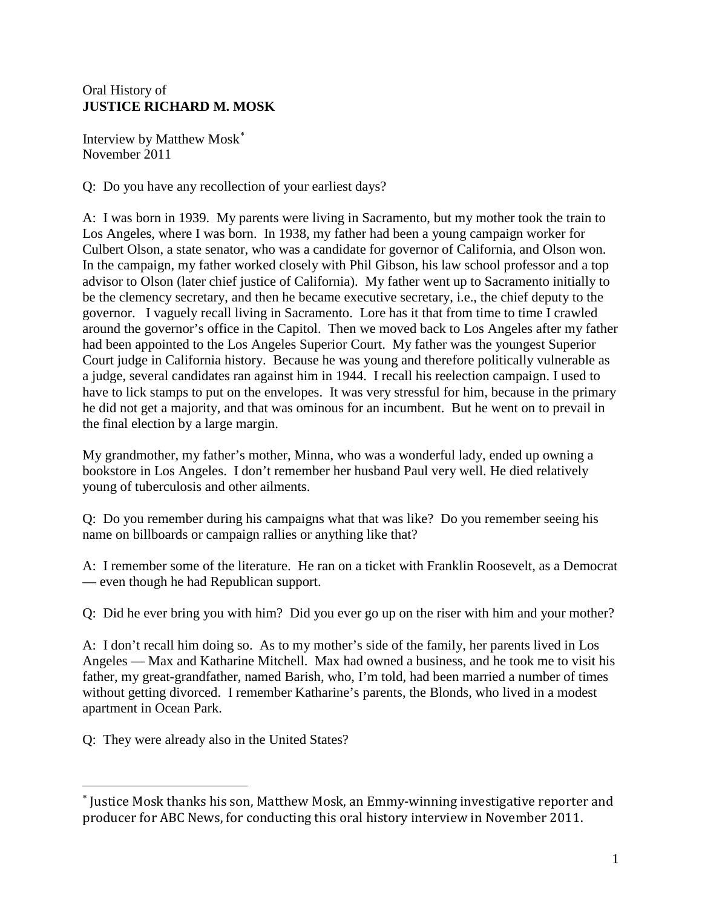## Oral History of **JUSTICE RICHARD M. MOSK**

Interview by Matthew Mosk[∗](#page-0-0) November 2011

Q: Do you have any recollection of your earliest days?

A: I was born in 1939. My parents were living in Sacramento, but my mother took the train to Los Angeles, where I was born. In 1938, my father had been a young campaign worker for Culbert Olson, a state senator, who was a candidate for governor of California, and Olson won. In the campaign, my father worked closely with Phil Gibson, his law school professor and a top advisor to Olson (later chief justice of California). My father went up to Sacramento initially to be the clemency secretary, and then he became executive secretary, i.e., the chief deputy to the governor. I vaguely recall living in Sacramento. Lore has it that from time to time I crawled around the governor's office in the Capitol. Then we moved back to Los Angeles after my father had been appointed to the Los Angeles Superior Court. My father was the youngest Superior Court judge in California history. Because he was young and therefore politically vulnerable as a judge, several candidates ran against him in 1944. I recall his reelection campaign. I used to have to lick stamps to put on the envelopes. It was very stressful for him, because in the primary he did not get a majority, and that was ominous for an incumbent. But he went on to prevail in the final election by a large margin.

My grandmother, my father's mother, Minna, who was a wonderful lady, ended up owning a bookstore in Los Angeles. I don't remember her husband Paul very well. He died relatively young of tuberculosis and other ailments.

Q: Do you remember during his campaigns what that was like? Do you remember seeing his name on billboards or campaign rallies or anything like that?

A: I remember some of the literature. He ran on a ticket with Franklin Roosevelt, as a Democrat — even though he had Republican support.

Q: Did he ever bring you with him? Did you ever go up on the riser with him and your mother?

A: I don't recall him doing so. As to my mother's side of the family, her parents lived in Los Angeles — Max and Katharine Mitchell. Max had owned a business, and he took me to visit his father, my great-grandfather, named Barish, who, I'm told, had been married a number of times without getting divorced. I remember Katharine's parents, the Blonds, who lived in a modest apartment in Ocean Park.

Q: They were already also in the United States?

 $\overline{a}$ 

<span id="page-0-0"></span><sup>∗</sup> Justice Mosk thanks his son, Matthew Mosk, an Emmy-winning investigative reporter and producer for ABC News, for conducting this oral history interview in November 2011.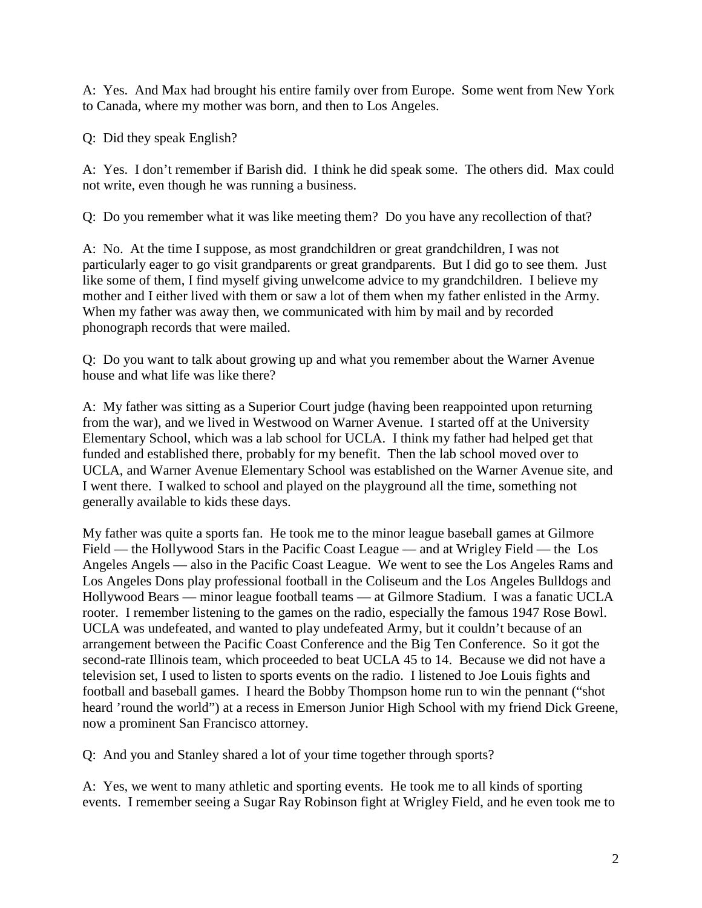A: Yes. And Max had brought his entire family over from Europe. Some went from New York to Canada, where my mother was born, and then to Los Angeles.

Q: Did they speak English?

A: Yes. I don't remember if Barish did. I think he did speak some. The others did. Max could not write, even though he was running a business.

Q: Do you remember what it was like meeting them? Do you have any recollection of that?

A: No. At the time I suppose, as most grandchildren or great grandchildren, I was not particularly eager to go visit grandparents or great grandparents. But I did go to see them. Just like some of them, I find myself giving unwelcome advice to my grandchildren. I believe my mother and I either lived with them or saw a lot of them when my father enlisted in the Army. When my father was away then, we communicated with him by mail and by recorded phonograph records that were mailed.

Q: Do you want to talk about growing up and what you remember about the Warner Avenue house and what life was like there?

A: My father was sitting as a Superior Court judge (having been reappointed upon returning from the war), and we lived in Westwood on Warner Avenue. I started off at the University Elementary School, which was a lab school for UCLA. I think my father had helped get that funded and established there, probably for my benefit. Then the lab school moved over to UCLA, and Warner Avenue Elementary School was established on the Warner Avenue site, and I went there. I walked to school and played on the playground all the time, something not generally available to kids these days.

My father was quite a sports fan. He took me to the minor league baseball games at Gilmore Field — the Hollywood Stars in the Pacific Coast League — and at Wrigley Field — the Los Angeles Angels — also in the Pacific Coast League. We went to see the Los Angeles Rams and Los Angeles Dons play professional football in the Coliseum and the Los Angeles Bulldogs and Hollywood Bears — minor league football teams — at Gilmore Stadium. I was a fanatic UCLA rooter. I remember listening to the games on the radio, especially the famous 1947 Rose Bowl. UCLA was undefeated, and wanted to play undefeated Army, but it couldn't because of an arrangement between the Pacific Coast Conference and the Big Ten Conference. So it got the second-rate Illinois team, which proceeded to beat UCLA 45 to 14. Because we did not have a television set, I used to listen to sports events on the radio. I listened to Joe Louis fights and football and baseball games. I heard the Bobby Thompson home run to win the pennant ("shot heard 'round the world") at a recess in Emerson Junior High School with my friend Dick Greene, now a prominent San Francisco attorney.

Q: And you and Stanley shared a lot of your time together through sports?

A: Yes, we went to many athletic and sporting events. He took me to all kinds of sporting events. I remember seeing a Sugar Ray Robinson fight at Wrigley Field, and he even took me to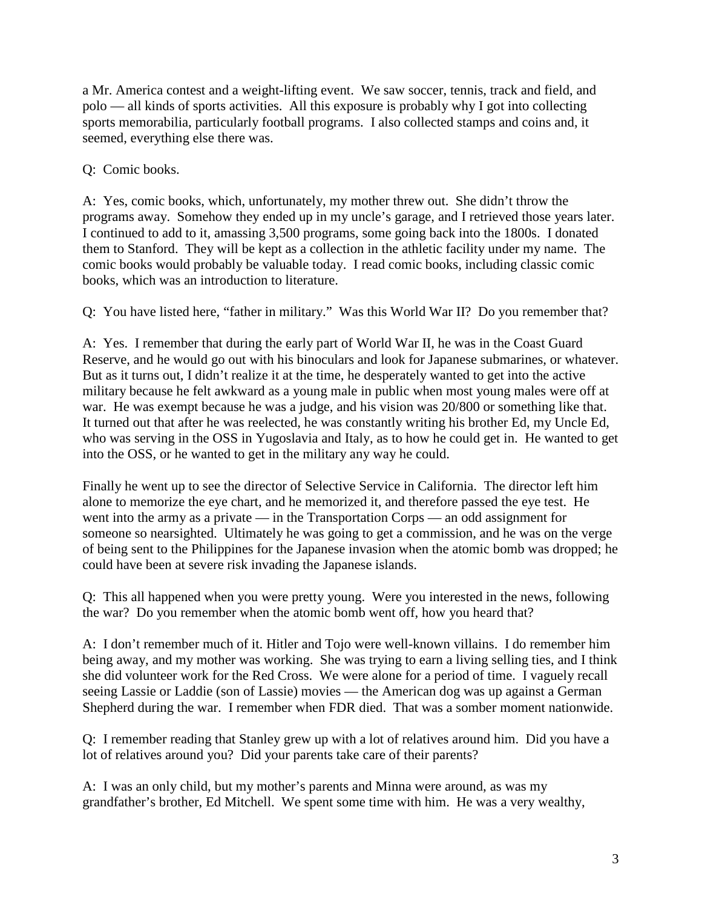a Mr. America contest and a weight-lifting event. We saw soccer, tennis, track and field, and polo — all kinds of sports activities. All this exposure is probably why I got into collecting sports memorabilia, particularly football programs. I also collected stamps and coins and, it seemed, everything else there was.

Q: Comic books.

A: Yes, comic books, which, unfortunately, my mother threw out. She didn't throw the programs away. Somehow they ended up in my uncle's garage, and I retrieved those years later. I continued to add to it, amassing 3,500 programs, some going back into the 1800s. I donated them to Stanford. They will be kept as a collection in the athletic facility under my name. The comic books would probably be valuable today. I read comic books, including classic comic books, which was an introduction to literature.

Q: You have listed here, "father in military." Was this World War II? Do you remember that?

A: Yes. I remember that during the early part of World War II, he was in the Coast Guard Reserve, and he would go out with his binoculars and look for Japanese submarines, or whatever. But as it turns out, I didn't realize it at the time, he desperately wanted to get into the active military because he felt awkward as a young male in public when most young males were off at war. He was exempt because he was a judge, and his vision was 20/800 or something like that. It turned out that after he was reelected, he was constantly writing his brother Ed, my Uncle Ed, who was serving in the OSS in Yugoslavia and Italy, as to how he could get in. He wanted to get into the OSS, or he wanted to get in the military any way he could.

Finally he went up to see the director of Selective Service in California. The director left him alone to memorize the eye chart, and he memorized it, and therefore passed the eye test. He went into the army as a private — in the Transportation Corps — an odd assignment for someone so nearsighted. Ultimately he was going to get a commission, and he was on the verge of being sent to the Philippines for the Japanese invasion when the atomic bomb was dropped; he could have been at severe risk invading the Japanese islands.

Q: This all happened when you were pretty young. Were you interested in the news, following the war? Do you remember when the atomic bomb went off, how you heard that?

A: I don't remember much of it. Hitler and Tojo were well-known villains. I do remember him being away, and my mother was working. She was trying to earn a living selling ties, and I think she did volunteer work for the Red Cross. We were alone for a period of time. I vaguely recall seeing Lassie or Laddie (son of Lassie) movies — the American dog was up against a German Shepherd during the war. I remember when FDR died. That was a somber moment nationwide.

Q: I remember reading that Stanley grew up with a lot of relatives around him. Did you have a lot of relatives around you? Did your parents take care of their parents?

A: I was an only child, but my mother's parents and Minna were around, as was my grandfather's brother, Ed Mitchell. We spent some time with him. He was a very wealthy,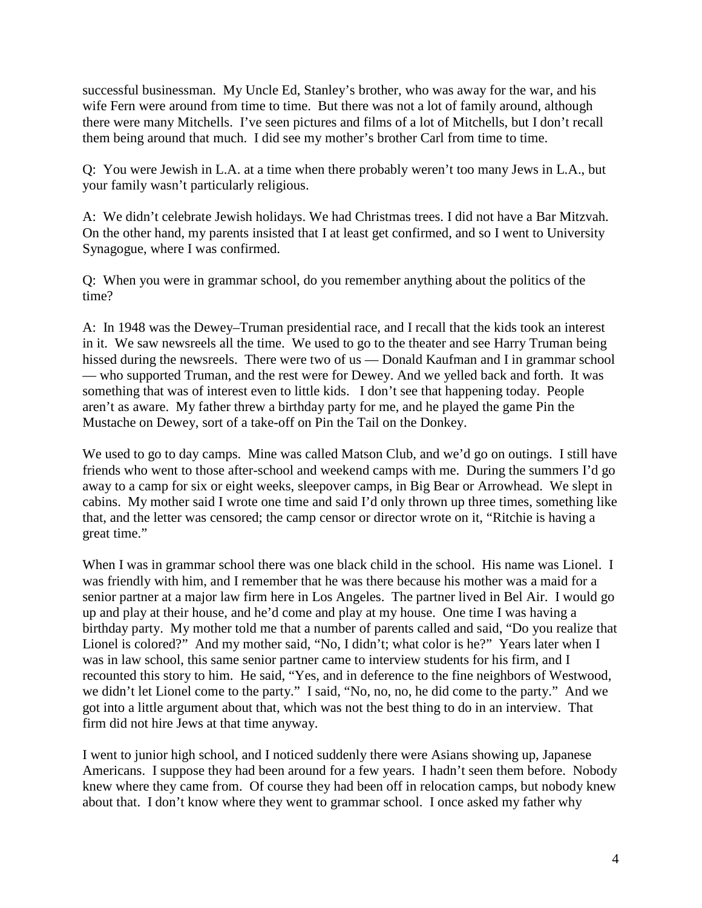successful businessman. My Uncle Ed, Stanley's brother, who was away for the war, and his wife Fern were around from time to time. But there was not a lot of family around, although there were many Mitchells. I've seen pictures and films of a lot of Mitchells, but I don't recall them being around that much. I did see my mother's brother Carl from time to time.

Q: You were Jewish in L.A. at a time when there probably weren't too many Jews in L.A., but your family wasn't particularly religious.

A: We didn't celebrate Jewish holidays. We had Christmas trees. I did not have a Bar Mitzvah. On the other hand, my parents insisted that I at least get confirmed, and so I went to University Synagogue, where I was confirmed.

Q: When you were in grammar school, do you remember anything about the politics of the time?

A: In 1948 was the Dewey–Truman presidential race, and I recall that the kids took an interest in it. We saw newsreels all the time. We used to go to the theater and see Harry Truman being hissed during the newsreels. There were two of us — Donald Kaufman and I in grammar school — who supported Truman, and the rest were for Dewey. And we yelled back and forth. It was something that was of interest even to little kids. I don't see that happening today. People aren't as aware. My father threw a birthday party for me, and he played the game Pin the Mustache on Dewey, sort of a take-off on Pin the Tail on the Donkey.

We used to go to day camps. Mine was called Matson Club, and we'd go on outings. I still have friends who went to those after-school and weekend camps with me. During the summers I'd go away to a camp for six or eight weeks, sleepover camps, in Big Bear or Arrowhead. We slept in cabins. My mother said I wrote one time and said I'd only thrown up three times, something like that, and the letter was censored; the camp censor or director wrote on it, "Ritchie is having a great time."

When I was in grammar school there was one black child in the school. His name was Lionel. I was friendly with him, and I remember that he was there because his mother was a maid for a senior partner at a major law firm here in Los Angeles. The partner lived in Bel Air. I would go up and play at their house, and he'd come and play at my house. One time I was having a birthday party. My mother told me that a number of parents called and said, "Do you realize that Lionel is colored?" And my mother said, "No, I didn't; what color is he?" Years later when I was in law school, this same senior partner came to interview students for his firm, and I recounted this story to him. He said, "Yes, and in deference to the fine neighbors of Westwood, we didn't let Lionel come to the party." I said, "No, no, no, he did come to the party." And we got into a little argument about that, which was not the best thing to do in an interview. That firm did not hire Jews at that time anyway.

I went to junior high school, and I noticed suddenly there were Asians showing up, Japanese Americans. I suppose they had been around for a few years. I hadn't seen them before. Nobody knew where they came from. Of course they had been off in relocation camps, but nobody knew about that. I don't know where they went to grammar school. I once asked my father why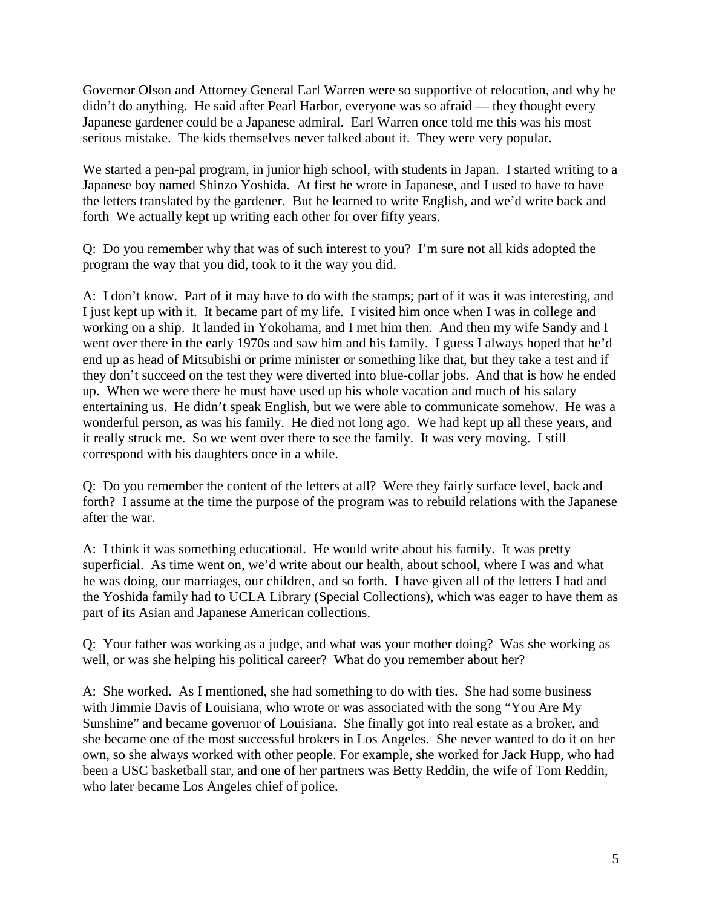Governor Olson and Attorney General Earl Warren were so supportive of relocation, and why he didn't do anything. He said after Pearl Harbor, everyone was so afraid — they thought every Japanese gardener could be a Japanese admiral. Earl Warren once told me this was his most serious mistake. The kids themselves never talked about it. They were very popular.

We started a pen-pal program, in junior high school, with students in Japan. I started writing to a Japanese boy named Shinzo Yoshida. At first he wrote in Japanese, and I used to have to have the letters translated by the gardener. But he learned to write English, and we'd write back and forth We actually kept up writing each other for over fifty years.

Q: Do you remember why that was of such interest to you? I'm sure not all kids adopted the program the way that you did, took to it the way you did.

A: I don't know. Part of it may have to do with the stamps; part of it was it was interesting, and I just kept up with it. It became part of my life. I visited him once when I was in college and working on a ship. It landed in Yokohama, and I met him then. And then my wife Sandy and I went over there in the early 1970s and saw him and his family. I guess I always hoped that he'd end up as head of Mitsubishi or prime minister or something like that, but they take a test and if they don't succeed on the test they were diverted into blue-collar jobs. And that is how he ended up. When we were there he must have used up his whole vacation and much of his salary entertaining us. He didn't speak English, but we were able to communicate somehow. He was a wonderful person, as was his family. He died not long ago. We had kept up all these years, and it really struck me. So we went over there to see the family. It was very moving. I still correspond with his daughters once in a while.

Q: Do you remember the content of the letters at all? Were they fairly surface level, back and forth? I assume at the time the purpose of the program was to rebuild relations with the Japanese after the war.

A: I think it was something educational. He would write about his family. It was pretty superficial. As time went on, we'd write about our health, about school, where I was and what he was doing, our marriages, our children, and so forth. I have given all of the letters I had and the Yoshida family had to UCLA Library (Special Collections), which was eager to have them as part of its Asian and Japanese American collections.

Q: Your father was working as a judge, and what was your mother doing? Was she working as well, or was she helping his political career? What do you remember about her?

A: She worked. As I mentioned, she had something to do with ties. She had some business with Jimmie Davis of Louisiana, who wrote or was associated with the song "You Are My Sunshine" and became governor of Louisiana. She finally got into real estate as a broker, and she became one of the most successful brokers in Los Angeles. She never wanted to do it on her own, so she always worked with other people. For example, she worked for Jack Hupp, who had been a USC basketball star, and one of her partners was Betty Reddin, the wife of Tom Reddin, who later became Los Angeles chief of police.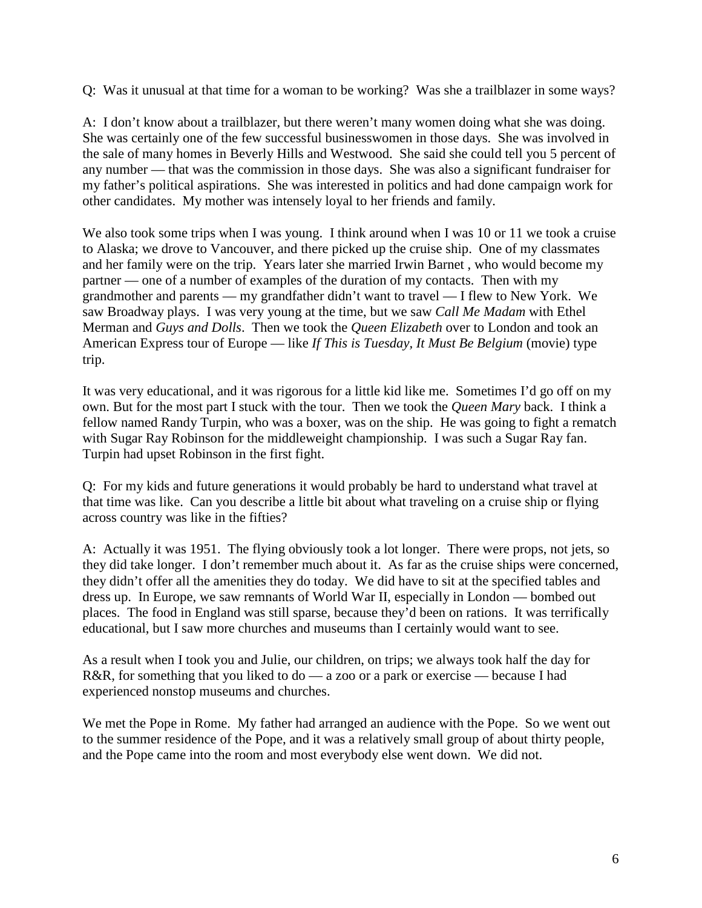Q: Was it unusual at that time for a woman to be working? Was she a trailblazer in some ways?

A: I don't know about a trailblazer, but there weren't many women doing what she was doing. She was certainly one of the few successful businesswomen in those days. She was involved in the sale of many homes in Beverly Hills and Westwood. She said she could tell you 5 percent of any number — that was the commission in those days. She was also a significant fundraiser for my father's political aspirations. She was interested in politics and had done campaign work for other candidates. My mother was intensely loyal to her friends and family.

We also took some trips when I was young. I think around when I was 10 or 11 we took a cruise to Alaska; we drove to Vancouver, and there picked up the cruise ship. One of my classmates and her family were on the trip. Years later she married Irwin Barnet , who would become my partner — one of a number of examples of the duration of my contacts. Then with my grandmother and parents — my grandfather didn't want to travel — I flew to New York. We saw Broadway plays. I was very young at the time, but we saw *Call Me Madam* with Ethel Merman and *Guys and Dolls*. Then we took the *Queen Elizabeth* over to London and took an American Express tour of Europe — like *If This is Tuesday, It Must Be Belgium* (movie) type trip.

It was very educational, and it was rigorous for a little kid like me. Sometimes I'd go off on my own. But for the most part I stuck with the tour. Then we took the *Queen Mary* back. I think a fellow named Randy Turpin, who was a boxer, was on the ship. He was going to fight a rematch with Sugar Ray Robinson for the middleweight championship. I was such a Sugar Ray fan. Turpin had upset Robinson in the first fight.

Q: For my kids and future generations it would probably be hard to understand what travel at that time was like. Can you describe a little bit about what traveling on a cruise ship or flying across country was like in the fifties?

A: Actually it was 1951. The flying obviously took a lot longer. There were props, not jets, so they did take longer. I don't remember much about it. As far as the cruise ships were concerned, they didn't offer all the amenities they do today. We did have to sit at the specified tables and dress up. In Europe, we saw remnants of World War II, especially in London — bombed out places. The food in England was still sparse, because they'd been on rations. It was terrifically educational, but I saw more churches and museums than I certainly would want to see.

As a result when I took you and Julie, our children, on trips; we always took half the day for R&R, for something that you liked to do — a zoo or a park or exercise — because I had experienced nonstop museums and churches.

We met the Pope in Rome. My father had arranged an audience with the Pope. So we went out to the summer residence of the Pope, and it was a relatively small group of about thirty people, and the Pope came into the room and most everybody else went down. We did not.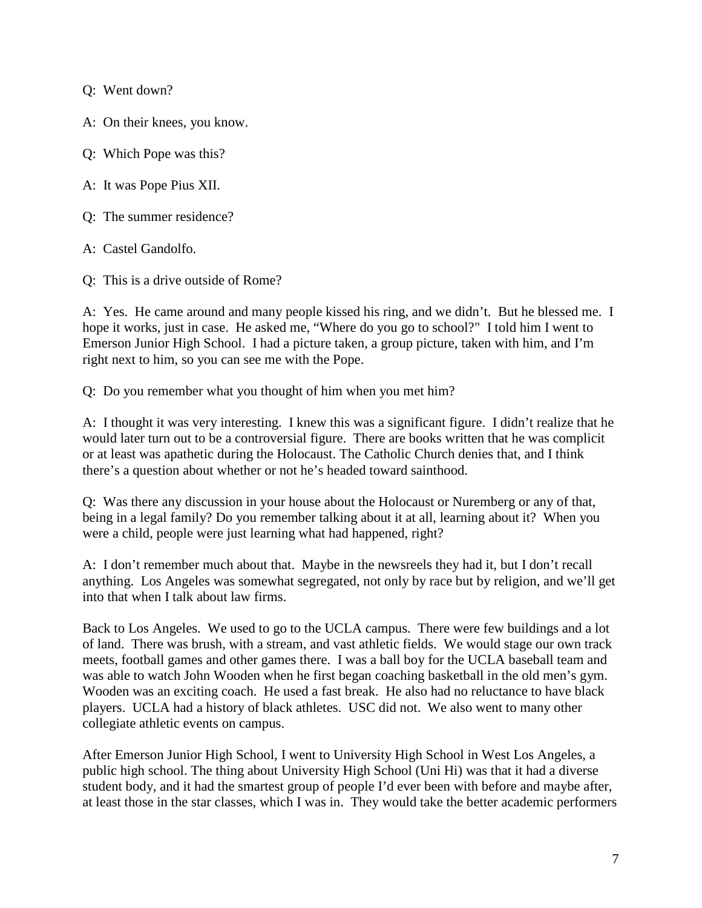Q: Went down?

A: On their knees, you know.

Q: Which Pope was this?

A: It was Pope Pius XII.

Q: The summer residence?

A: Castel Gandolfo.

Q: This is a drive outside of Rome?

A: Yes. He came around and many people kissed his ring, and we didn't. But he blessed me. I hope it works, just in case. He asked me, "Where do you go to school?" I told him I went to Emerson Junior High School. I had a picture taken, a group picture, taken with him, and I'm right next to him, so you can see me with the Pope.

Q: Do you remember what you thought of him when you met him?

A: I thought it was very interesting. I knew this was a significant figure. I didn't realize that he would later turn out to be a controversial figure. There are books written that he was complicit or at least was apathetic during the Holocaust. The Catholic Church denies that, and I think there's a question about whether or not he's headed toward sainthood.

Q: Was there any discussion in your house about the Holocaust or Nuremberg or any of that, being in a legal family? Do you remember talking about it at all, learning about it? When you were a child, people were just learning what had happened, right?

A: I don't remember much about that. Maybe in the newsreels they had it, but I don't recall anything. Los Angeles was somewhat segregated, not only by race but by religion, and we'll get into that when I talk about law firms.

Back to Los Angeles. We used to go to the UCLA campus. There were few buildings and a lot of land. There was brush, with a stream, and vast athletic fields. We would stage our own track meets, football games and other games there. I was a ball boy for the UCLA baseball team and was able to watch John Wooden when he first began coaching basketball in the old men's gym. Wooden was an exciting coach. He used a fast break. He also had no reluctance to have black players. UCLA had a history of black athletes. USC did not. We also went to many other collegiate athletic events on campus.

After Emerson Junior High School, I went to University High School in West Los Angeles, a public high school. The thing about University High School (Uni Hi) was that it had a diverse student body, and it had the smartest group of people I'd ever been with before and maybe after, at least those in the star classes, which I was in. They would take the better academic performers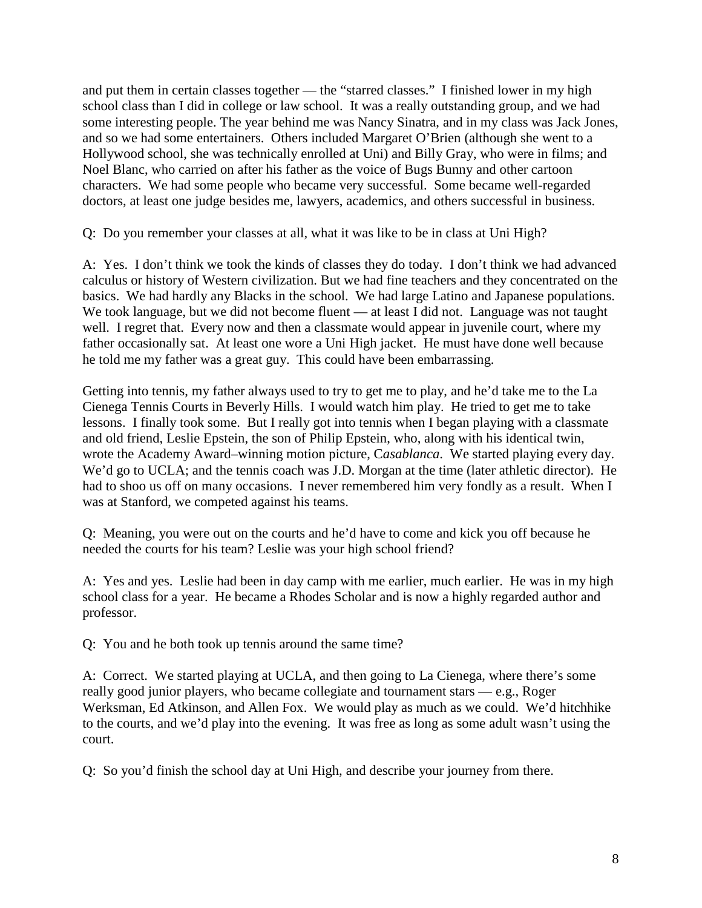and put them in certain classes together — the "starred classes." I finished lower in my high school class than I did in college or law school. It was a really outstanding group, and we had some interesting people. The year behind me was Nancy Sinatra, and in my class was Jack Jones, and so we had some entertainers. Others included Margaret O'Brien (although she went to a Hollywood school, she was technically enrolled at Uni) and Billy Gray, who were in films; and Noel Blanc, who carried on after his father as the voice of Bugs Bunny and other cartoon characters. We had some people who became very successful. Some became well-regarded doctors, at least one judge besides me, lawyers, academics, and others successful in business.

Q: Do you remember your classes at all, what it was like to be in class at Uni High?

A: Yes. I don't think we took the kinds of classes they do today. I don't think we had advanced calculus or history of Western civilization. But we had fine teachers and they concentrated on the basics. We had hardly any Blacks in the school. We had large Latino and Japanese populations. We took language, but we did not become fluent — at least I did not. Language was not taught well. I regret that. Every now and then a classmate would appear in juvenile court, where my father occasionally sat. At least one wore a Uni High jacket. He must have done well because he told me my father was a great guy. This could have been embarrassing.

Getting into tennis, my father always used to try to get me to play, and he'd take me to the La Cienega Tennis Courts in Beverly Hills. I would watch him play. He tried to get me to take lessons. I finally took some. But I really got into tennis when I began playing with a classmate and old friend, Leslie Epstein, the son of Philip Epstein, who, along with his identical twin, wrote the Academy Award–winning motion picture, C*asablanca*. We started playing every day. We'd go to UCLA; and the tennis coach was J.D. Morgan at the time (later athletic director). He had to shoo us off on many occasions. I never remembered him very fondly as a result. When I was at Stanford, we competed against his teams.

Q: Meaning, you were out on the courts and he'd have to come and kick you off because he needed the courts for his team? Leslie was your high school friend?

A: Yes and yes. Leslie had been in day camp with me earlier, much earlier. He was in my high school class for a year. He became a Rhodes Scholar and is now a highly regarded author and professor.

Q: You and he both took up tennis around the same time?

A: Correct. We started playing at UCLA, and then going to La Cienega, where there's some really good junior players, who became collegiate and tournament stars — e.g., Roger Werksman, Ed Atkinson, and Allen Fox. We would play as much as we could. We'd hitchhike to the courts, and we'd play into the evening. It was free as long as some adult wasn't using the court.

Q: So you'd finish the school day at Uni High, and describe your journey from there.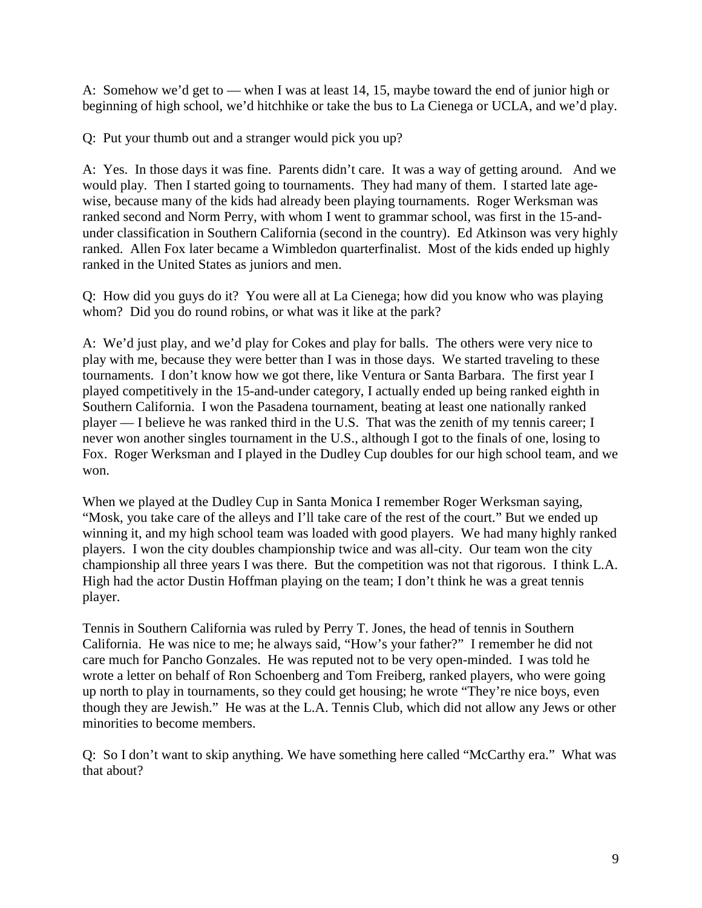A: Somehow we'd get to — when I was at least 14, 15, maybe toward the end of junior high or beginning of high school, we'd hitchhike or take the bus to La Cienega or UCLA, and we'd play.

Q: Put your thumb out and a stranger would pick you up?

A: Yes. In those days it was fine. Parents didn't care. It was a way of getting around. And we would play. Then I started going to tournaments. They had many of them. I started late agewise, because many of the kids had already been playing tournaments. Roger Werksman was ranked second and Norm Perry, with whom I went to grammar school, was first in the 15-andunder classification in Southern California (second in the country). Ed Atkinson was very highly ranked. Allen Fox later became a Wimbledon quarterfinalist. Most of the kids ended up highly ranked in the United States as juniors and men.

Q: How did you guys do it? You were all at La Cienega; how did you know who was playing whom? Did you do round robins, or what was it like at the park?

A: We'd just play, and we'd play for Cokes and play for balls. The others were very nice to play with me, because they were better than I was in those days. We started traveling to these tournaments. I don't know how we got there, like Ventura or Santa Barbara. The first year I played competitively in the 15-and-under category, I actually ended up being ranked eighth in Southern California. I won the Pasadena tournament, beating at least one nationally ranked player — I believe he was ranked third in the U.S. That was the zenith of my tennis career; I never won another singles tournament in the U.S., although I got to the finals of one, losing to Fox. Roger Werksman and I played in the Dudley Cup doubles for our high school team, and we won.

When we played at the Dudley Cup in Santa Monica I remember Roger Werksman saying, "Mosk, you take care of the alleys and I'll take care of the rest of the court." But we ended up winning it, and my high school team was loaded with good players. We had many highly ranked players. I won the city doubles championship twice and was all-city. Our team won the city championship all three years I was there. But the competition was not that rigorous. I think L.A. High had the actor Dustin Hoffman playing on the team; I don't think he was a great tennis player.

Tennis in Southern California was ruled by Perry T. Jones, the head of tennis in Southern California. He was nice to me; he always said, "How's your father?" I remember he did not care much for Pancho Gonzales. He was reputed not to be very open-minded. I was told he wrote a letter on behalf of Ron Schoenberg and Tom Freiberg, ranked players, who were going up north to play in tournaments, so they could get housing; he wrote "They're nice boys, even though they are Jewish." He was at the L.A. Tennis Club, which did not allow any Jews or other minorities to become members.

Q: So I don't want to skip anything. We have something here called "McCarthy era." What was that about?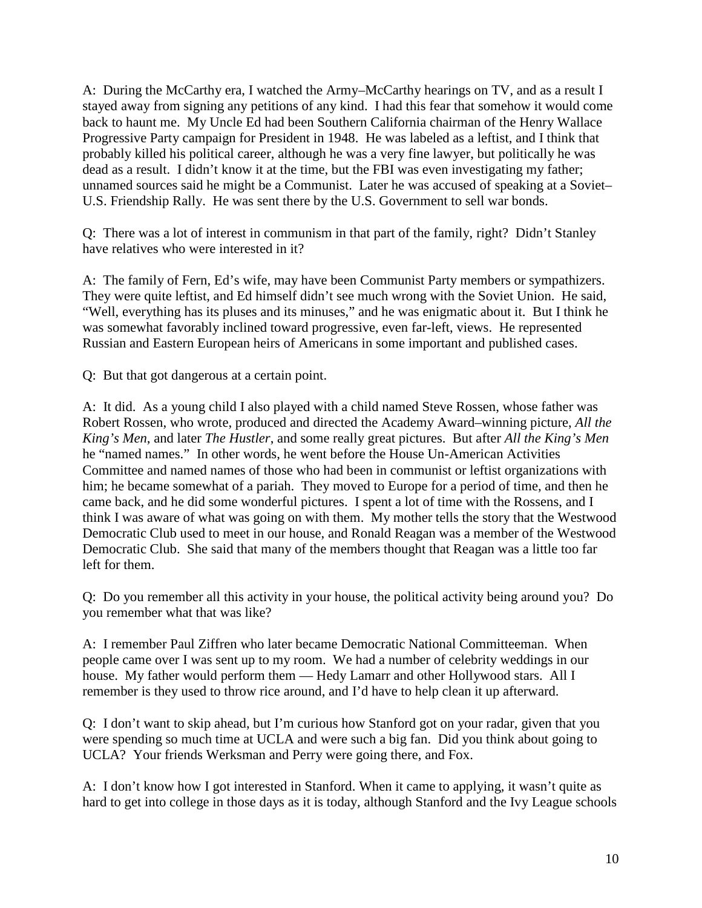A: During the McCarthy era, I watched the Army–McCarthy hearings on TV, and as a result I stayed away from signing any petitions of any kind. I had this fear that somehow it would come back to haunt me. My Uncle Ed had been Southern California chairman of the Henry Wallace Progressive Party campaign for President in 1948. He was labeled as a leftist, and I think that probably killed his political career, although he was a very fine lawyer, but politically he was dead as a result. I didn't know it at the time, but the FBI was even investigating my father; unnamed sources said he might be a Communist. Later he was accused of speaking at a Soviet– U.S. Friendship Rally. He was sent there by the U.S. Government to sell war bonds.

Q: There was a lot of interest in communism in that part of the family, right? Didn't Stanley have relatives who were interested in it?

A: The family of Fern, Ed's wife, may have been Communist Party members or sympathizers. They were quite leftist, and Ed himself didn't see much wrong with the Soviet Union. He said, "Well, everything has its pluses and its minuses," and he was enigmatic about it. But I think he was somewhat favorably inclined toward progressive, even far-left, views. He represented Russian and Eastern European heirs of Americans in some important and published cases.

Q: But that got dangerous at a certain point.

A: It did. As a young child I also played with a child named Steve Rossen, whose father was Robert Rossen, who wrote, produced and directed the Academy Award–winning picture, *All the King's Men*, and later *The Hustler*, and some really great pictures. But after *All the King's Men* he "named names." In other words, he went before the House Un-American Activities Committee and named names of those who had been in communist or leftist organizations with him; he became somewhat of a pariah. They moved to Europe for a period of time, and then he came back, and he did some wonderful pictures. I spent a lot of time with the Rossens, and I think I was aware of what was going on with them. My mother tells the story that the Westwood Democratic Club used to meet in our house, and Ronald Reagan was a member of the Westwood Democratic Club. She said that many of the members thought that Reagan was a little too far left for them.

Q: Do you remember all this activity in your house, the political activity being around you? Do you remember what that was like?

A: I remember Paul Ziffren who later became Democratic National Committeeman. When people came over I was sent up to my room. We had a number of celebrity weddings in our house. My father would perform them - Hedy Lamarr and other Hollywood stars. All I remember is they used to throw rice around, and I'd have to help clean it up afterward.

Q: I don't want to skip ahead, but I'm curious how Stanford got on your radar, given that you were spending so much time at UCLA and were such a big fan. Did you think about going to UCLA? Your friends Werksman and Perry were going there, and Fox.

A: I don't know how I got interested in Stanford. When it came to applying, it wasn't quite as hard to get into college in those days as it is today, although Stanford and the Ivy League schools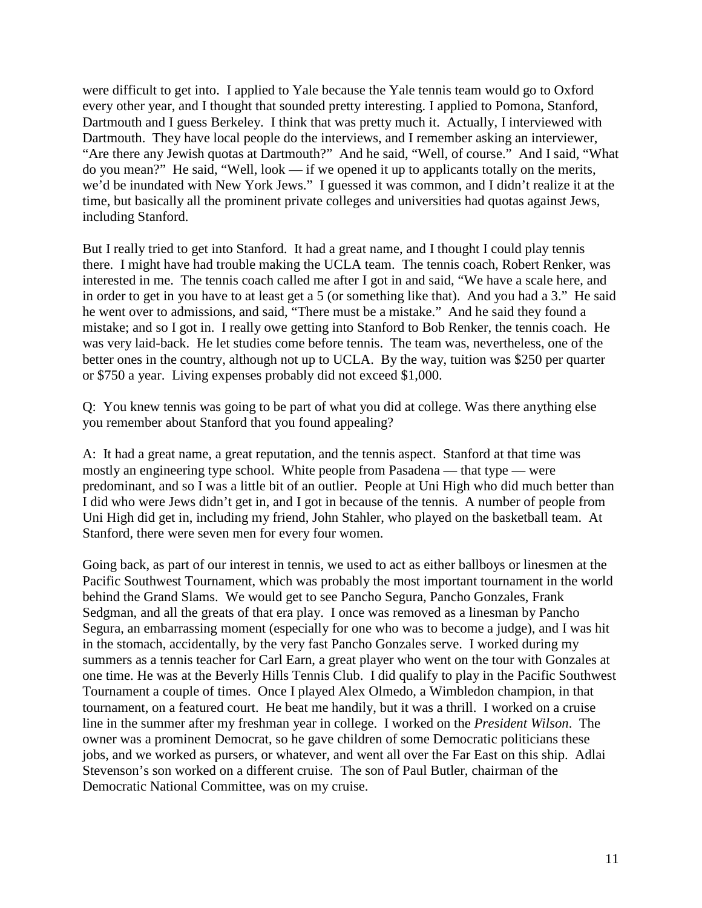were difficult to get into. I applied to Yale because the Yale tennis team would go to Oxford every other year, and I thought that sounded pretty interesting. I applied to Pomona, Stanford, Dartmouth and I guess Berkeley. I think that was pretty much it. Actually, I interviewed with Dartmouth. They have local people do the interviews, and I remember asking an interviewer, "Are there any Jewish quotas at Dartmouth?" And he said, "Well, of course." And I said, "What do you mean?" He said, "Well, look — if we opened it up to applicants totally on the merits, we'd be inundated with New York Jews." I guessed it was common, and I didn't realize it at the time, but basically all the prominent private colleges and universities had quotas against Jews, including Stanford.

But I really tried to get into Stanford. It had a great name, and I thought I could play tennis there. I might have had trouble making the UCLA team. The tennis coach, Robert Renker, was interested in me. The tennis coach called me after I got in and said, "We have a scale here, and in order to get in you have to at least get a 5 (or something like that). And you had a 3." He said he went over to admissions, and said, "There must be a mistake." And he said they found a mistake; and so I got in. I really owe getting into Stanford to Bob Renker, the tennis coach. He was very laid-back. He let studies come before tennis. The team was, nevertheless, one of the better ones in the country, although not up to UCLA. By the way, tuition was \$250 per quarter or \$750 a year. Living expenses probably did not exceed \$1,000.

Q: You knew tennis was going to be part of what you did at college. Was there anything else you remember about Stanford that you found appealing?

A: It had a great name, a great reputation, and the tennis aspect. Stanford at that time was mostly an engineering type school. White people from Pasadena — that type — were predominant, and so I was a little bit of an outlier. People at Uni High who did much better than I did who were Jews didn't get in, and I got in because of the tennis. A number of people from Uni High did get in, including my friend, John Stahler, who played on the basketball team. At Stanford, there were seven men for every four women.

Going back, as part of our interest in tennis, we used to act as either ballboys or linesmen at the Pacific Southwest Tournament, which was probably the most important tournament in the world behind the Grand Slams. We would get to see Pancho Segura, Pancho Gonzales, Frank Sedgman, and all the greats of that era play. I once was removed as a linesman by Pancho Segura, an embarrassing moment (especially for one who was to become a judge), and I was hit in the stomach, accidentally, by the very fast Pancho Gonzales serve. I worked during my summers as a tennis teacher for Carl Earn, a great player who went on the tour with Gonzales at one time. He was at the Beverly Hills Tennis Club. I did qualify to play in the Pacific Southwest Tournament a couple of times. Once I played Alex Olmedo, a Wimbledon champion, in that tournament, on a featured court. He beat me handily, but it was a thrill. I worked on a cruise line in the summer after my freshman year in college. I worked on the *President Wilson*. The owner was a prominent Democrat, so he gave children of some Democratic politicians these jobs, and we worked as pursers, or whatever, and went all over the Far East on this ship. Adlai Stevenson's son worked on a different cruise. The son of Paul Butler, chairman of the Democratic National Committee, was on my cruise.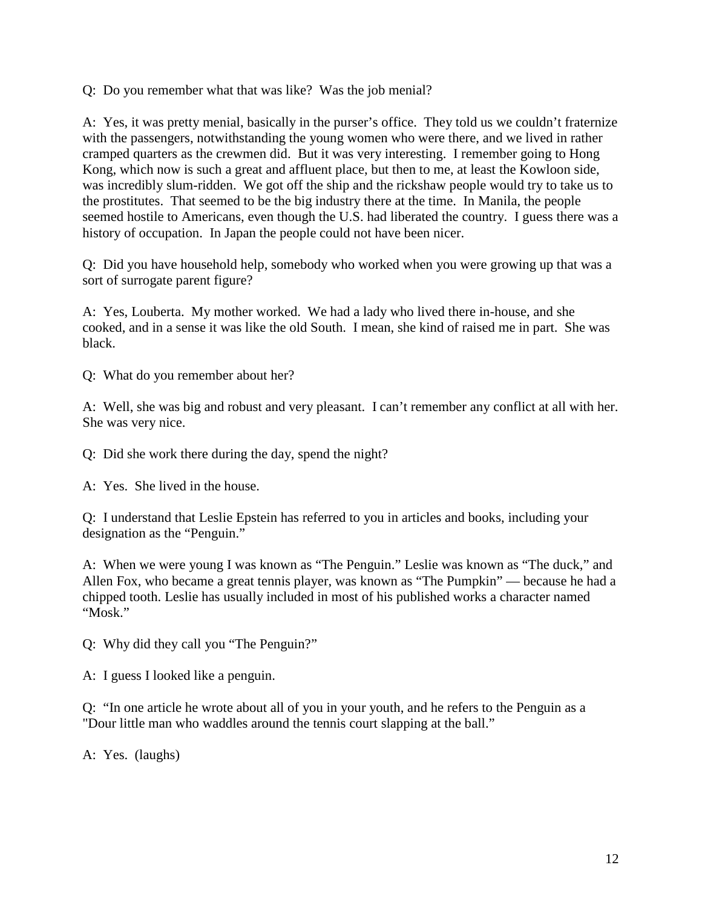Q: Do you remember what that was like? Was the job menial?

A: Yes, it was pretty menial, basically in the purser's office. They told us we couldn't fraternize with the passengers, notwithstanding the young women who were there, and we lived in rather cramped quarters as the crewmen did. But it was very interesting. I remember going to Hong Kong, which now is such a great and affluent place, but then to me, at least the Kowloon side, was incredibly slum-ridden. We got off the ship and the rickshaw people would try to take us to the prostitutes. That seemed to be the big industry there at the time. In Manila, the people seemed hostile to Americans, even though the U.S. had liberated the country. I guess there was a history of occupation. In Japan the people could not have been nicer.

Q: Did you have household help, somebody who worked when you were growing up that was a sort of surrogate parent figure?

A: Yes, Louberta. My mother worked. We had a lady who lived there in-house, and she cooked, and in a sense it was like the old South. I mean, she kind of raised me in part. She was black.

Q: What do you remember about her?

A: Well, she was big and robust and very pleasant. I can't remember any conflict at all with her. She was very nice.

Q: Did she work there during the day, spend the night?

A: Yes. She lived in the house.

Q: I understand that Leslie Epstein has referred to you in articles and books, including your designation as the "Penguin."

A: When we were young I was known as "The Penguin." Leslie was known as "The duck," and Allen Fox, who became a great tennis player, was known as "The Pumpkin" — because he had a chipped tooth. Leslie has usually included in most of his published works a character named "Mosk."

Q: Why did they call you "The Penguin?"

A: I guess I looked like a penguin.

Q: "In one article he wrote about all of you in your youth, and he refers to the Penguin as a "Dour little man who waddles around the tennis court slapping at the ball."

A: Yes. (laughs)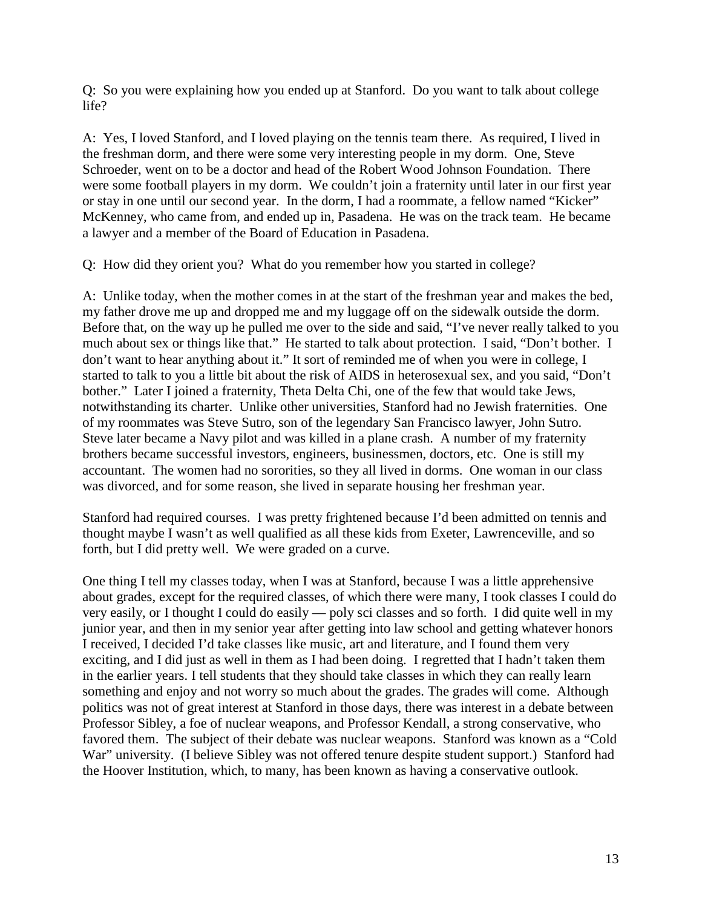Q: So you were explaining how you ended up at Stanford. Do you want to talk about college life?

A: Yes, I loved Stanford, and I loved playing on the tennis team there. As required, I lived in the freshman dorm, and there were some very interesting people in my dorm. One, Steve Schroeder, went on to be a doctor and head of the Robert Wood Johnson Foundation. There were some football players in my dorm. We couldn't join a fraternity until later in our first year or stay in one until our second year. In the dorm, I had a roommate, a fellow named "Kicker" McKenney, who came from, and ended up in, Pasadena. He was on the track team. He became a lawyer and a member of the Board of Education in Pasadena.

Q: How did they orient you? What do you remember how you started in college?

A: Unlike today, when the mother comes in at the start of the freshman year and makes the bed, my father drove me up and dropped me and my luggage off on the sidewalk outside the dorm. Before that, on the way up he pulled me over to the side and said, "I've never really talked to you much about sex or things like that." He started to talk about protection. I said, "Don't bother. I don't want to hear anything about it." It sort of reminded me of when you were in college, I started to talk to you a little bit about the risk of AIDS in heterosexual sex, and you said, "Don't bother." Later I joined a fraternity, Theta Delta Chi, one of the few that would take Jews, notwithstanding its charter. Unlike other universities, Stanford had no Jewish fraternities. One of my roommates was Steve Sutro, son of the legendary San Francisco lawyer, John Sutro. Steve later became a Navy pilot and was killed in a plane crash. A number of my fraternity brothers became successful investors, engineers, businessmen, doctors, etc. One is still my accountant. The women had no sororities, so they all lived in dorms. One woman in our class was divorced, and for some reason, she lived in separate housing her freshman year.

Stanford had required courses. I was pretty frightened because I'd been admitted on tennis and thought maybe I wasn't as well qualified as all these kids from Exeter, Lawrenceville, and so forth, but I did pretty well. We were graded on a curve.

One thing I tell my classes today, when I was at Stanford, because I was a little apprehensive about grades, except for the required classes, of which there were many, I took classes I could do very easily, or I thought I could do easily — poly sci classes and so forth. I did quite well in my junior year, and then in my senior year after getting into law school and getting whatever honors I received, I decided I'd take classes like music, art and literature, and I found them very exciting, and I did just as well in them as I had been doing. I regretted that I hadn't taken them in the earlier years. I tell students that they should take classes in which they can really learn something and enjoy and not worry so much about the grades. The grades will come. Although politics was not of great interest at Stanford in those days, there was interest in a debate between Professor Sibley, a foe of nuclear weapons, and Professor Kendall, a strong conservative, who favored them. The subject of their debate was nuclear weapons. Stanford was known as a "Cold War" university. (I believe Sibley was not offered tenure despite student support.) Stanford had the Hoover Institution, which, to many, has been known as having a conservative outlook.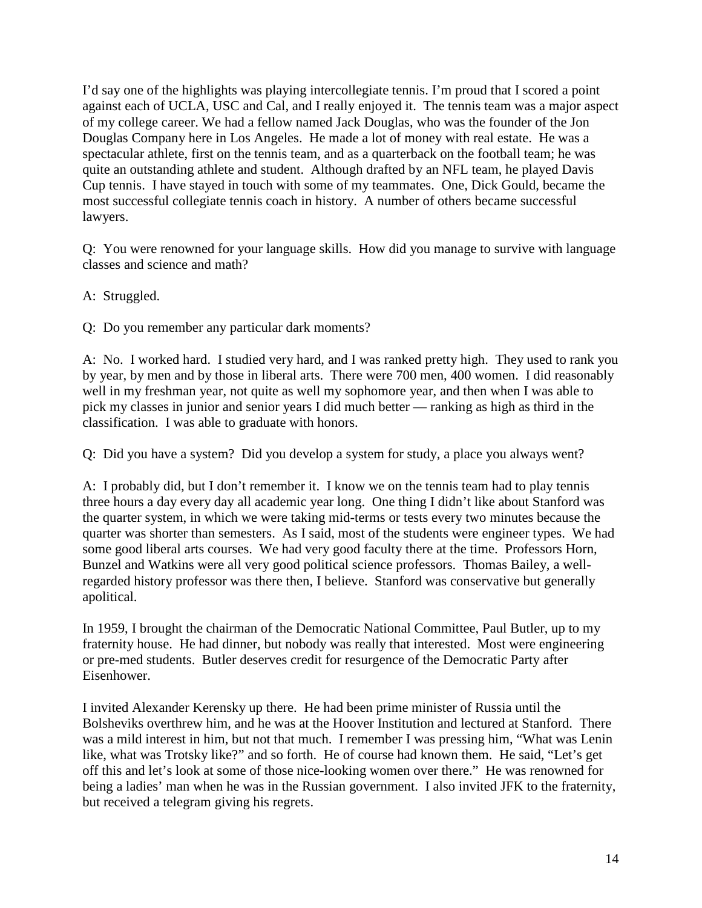I'd say one of the highlights was playing intercollegiate tennis. I'm proud that I scored a point against each of UCLA, USC and Cal, and I really enjoyed it. The tennis team was a major aspect of my college career. We had a fellow named Jack Douglas, who was the founder of the Jon Douglas Company here in Los Angeles. He made a lot of money with real estate. He was a spectacular athlete, first on the tennis team, and as a quarterback on the football team; he was quite an outstanding athlete and student. Although drafted by an NFL team, he played Davis Cup tennis. I have stayed in touch with some of my teammates. One, Dick Gould, became the most successful collegiate tennis coach in history. A number of others became successful lawyers.

Q: You were renowned for your language skills. How did you manage to survive with language classes and science and math?

A: Struggled.

Q: Do you remember any particular dark moments?

A: No. I worked hard. I studied very hard, and I was ranked pretty high. They used to rank you by year, by men and by those in liberal arts. There were 700 men, 400 women. I did reasonably well in my freshman year, not quite as well my sophomore year, and then when I was able to pick my classes in junior and senior years I did much better — ranking as high as third in the classification. I was able to graduate with honors.

Q: Did you have a system? Did you develop a system for study, a place you always went?

A: I probably did, but I don't remember it. I know we on the tennis team had to play tennis three hours a day every day all academic year long. One thing I didn't like about Stanford was the quarter system, in which we were taking mid-terms or tests every two minutes because the quarter was shorter than semesters. As I said, most of the students were engineer types. We had some good liberal arts courses. We had very good faculty there at the time. Professors Horn, Bunzel and Watkins were all very good political science professors. Thomas Bailey, a wellregarded history professor was there then, I believe. Stanford was conservative but generally apolitical.

In 1959, I brought the chairman of the Democratic National Committee, Paul Butler, up to my fraternity house. He had dinner, but nobody was really that interested. Most were engineering or pre-med students. Butler deserves credit for resurgence of the Democratic Party after Eisenhower.

I invited Alexander Kerensky up there. He had been prime minister of Russia until the Bolsheviks overthrew him, and he was at the Hoover Institution and lectured at Stanford. There was a mild interest in him, but not that much. I remember I was pressing him, "What was Lenin like, what was Trotsky like?" and so forth. He of course had known them. He said, "Let's get off this and let's look at some of those nice-looking women over there." He was renowned for being a ladies' man when he was in the Russian government. I also invited JFK to the fraternity, but received a telegram giving his regrets.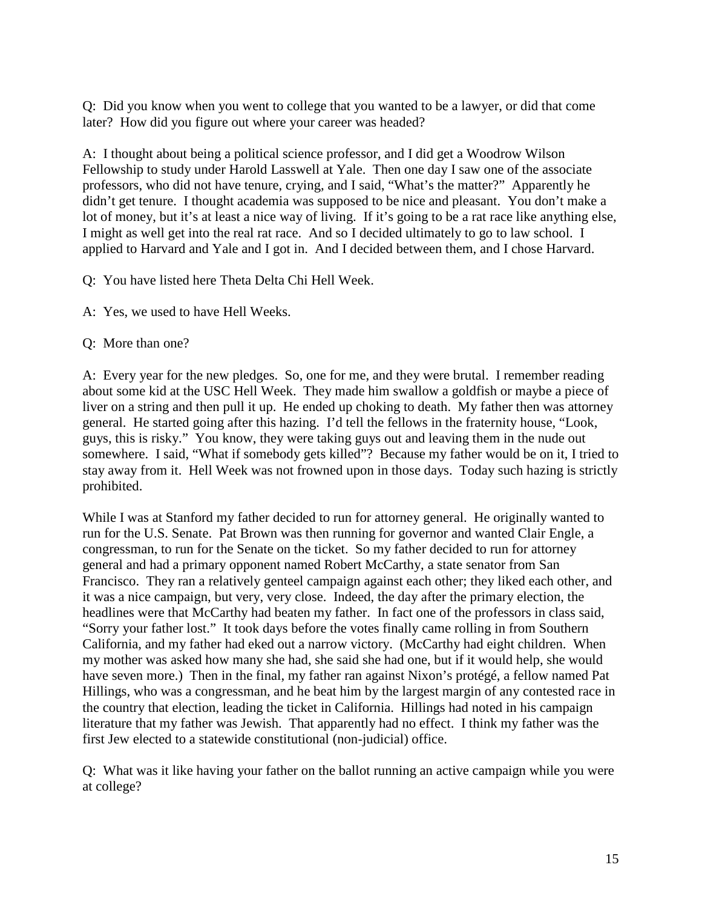Q: Did you know when you went to college that you wanted to be a lawyer, or did that come later? How did you figure out where your career was headed?

A: I thought about being a political science professor, and I did get a Woodrow Wilson Fellowship to study under Harold Lasswell at Yale. Then one day I saw one of the associate professors, who did not have tenure, crying, and I said, "What's the matter?" Apparently he didn't get tenure. I thought academia was supposed to be nice and pleasant. You don't make a lot of money, but it's at least a nice way of living. If it's going to be a rat race like anything else, I might as well get into the real rat race. And so I decided ultimately to go to law school. I applied to Harvard and Yale and I got in. And I decided between them, and I chose Harvard.

Q: You have listed here Theta Delta Chi Hell Week.

- A: Yes, we used to have Hell Weeks.
- Q: More than one?

A: Every year for the new pledges. So, one for me, and they were brutal. I remember reading about some kid at the USC Hell Week. They made him swallow a goldfish or maybe a piece of liver on a string and then pull it up. He ended up choking to death. My father then was attorney general. He started going after this hazing. I'd tell the fellows in the fraternity house, "Look, guys, this is risky." You know, they were taking guys out and leaving them in the nude out somewhere. I said, "What if somebody gets killed"? Because my father would be on it, I tried to stay away from it. Hell Week was not frowned upon in those days. Today such hazing is strictly prohibited.

While I was at Stanford my father decided to run for attorney general. He originally wanted to run for the U.S. Senate. Pat Brown was then running for governor and wanted Clair Engle, a congressman, to run for the Senate on the ticket. So my father decided to run for attorney general and had a primary opponent named Robert McCarthy, a state senator from San Francisco. They ran a relatively genteel campaign against each other; they liked each other, and it was a nice campaign, but very, very close. Indeed, the day after the primary election, the headlines were that McCarthy had beaten my father. In fact one of the professors in class said, "Sorry your father lost." It took days before the votes finally came rolling in from Southern California, and my father had eked out a narrow victory. (McCarthy had eight children. When my mother was asked how many she had, she said she had one, but if it would help, she would have seven more.) Then in the final, my father ran against Nixon's protégé, a fellow named Pat Hillings, who was a congressman, and he beat him by the largest margin of any contested race in the country that election, leading the ticket in California. Hillings had noted in his campaign literature that my father was Jewish. That apparently had no effect. I think my father was the first Jew elected to a statewide constitutional (non-judicial) office.

Q: What was it like having your father on the ballot running an active campaign while you were at college?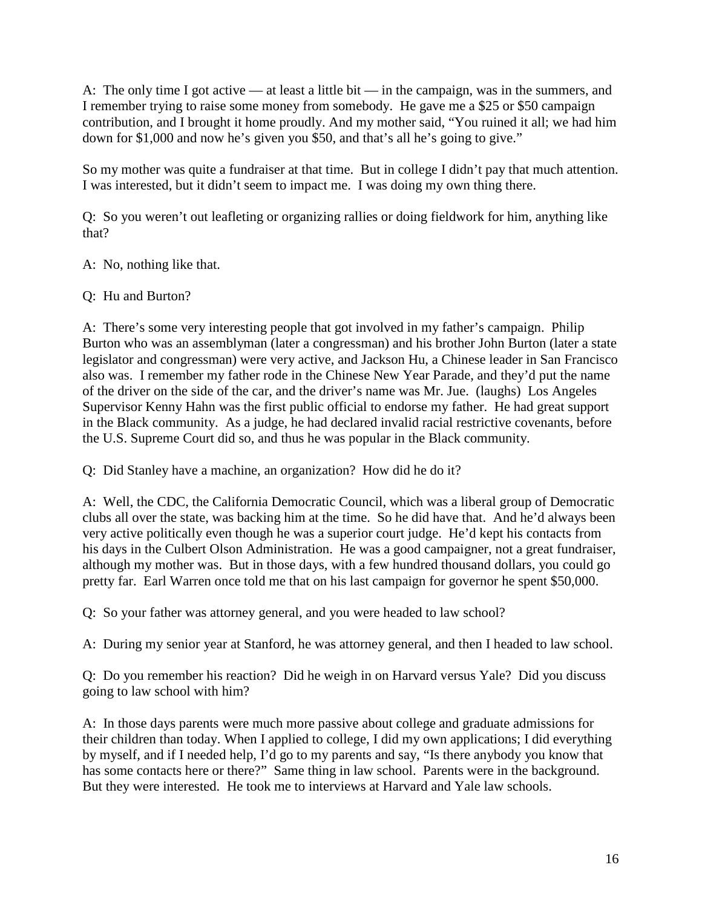A: The only time I got active — at least a little bit — in the campaign, was in the summers, and I remember trying to raise some money from somebody. He gave me a \$25 or \$50 campaign contribution, and I brought it home proudly. And my mother said, "You ruined it all; we had him down for \$1,000 and now he's given you \$50, and that's all he's going to give."

So my mother was quite a fundraiser at that time. But in college I didn't pay that much attention. I was interested, but it didn't seem to impact me. I was doing my own thing there.

Q: So you weren't out leafleting or organizing rallies or doing fieldwork for him, anything like that?

A: No, nothing like that.

Q: Hu and Burton?

A: There's some very interesting people that got involved in my father's campaign. Philip Burton who was an assemblyman (later a congressman) and his brother John Burton (later a state legislator and congressman) were very active, and Jackson Hu, a Chinese leader in San Francisco also was. I remember my father rode in the Chinese New Year Parade, and they'd put the name of the driver on the side of the car, and the driver's name was Mr. Jue. (laughs) Los Angeles Supervisor Kenny Hahn was the first public official to endorse my father. He had great support in the Black community. As a judge, he had declared invalid racial restrictive covenants, before the U.S. Supreme Court did so, and thus he was popular in the Black community.

Q: Did Stanley have a machine, an organization? How did he do it?

A: Well, the CDC, the California Democratic Council, which was a liberal group of Democratic clubs all over the state, was backing him at the time. So he did have that. And he'd always been very active politically even though he was a superior court judge. He'd kept his contacts from his days in the Culbert Olson Administration. He was a good campaigner, not a great fundraiser, although my mother was. But in those days, with a few hundred thousand dollars, you could go pretty far. Earl Warren once told me that on his last campaign for governor he spent \$50,000.

Q: So your father was attorney general, and you were headed to law school?

A: During my senior year at Stanford, he was attorney general, and then I headed to law school.

Q: Do you remember his reaction? Did he weigh in on Harvard versus Yale? Did you discuss going to law school with him?

A: In those days parents were much more passive about college and graduate admissions for their children than today. When I applied to college, I did my own applications; I did everything by myself, and if I needed help, I'd go to my parents and say, "Is there anybody you know that has some contacts here or there?" Same thing in law school. Parents were in the background. But they were interested. He took me to interviews at Harvard and Yale law schools.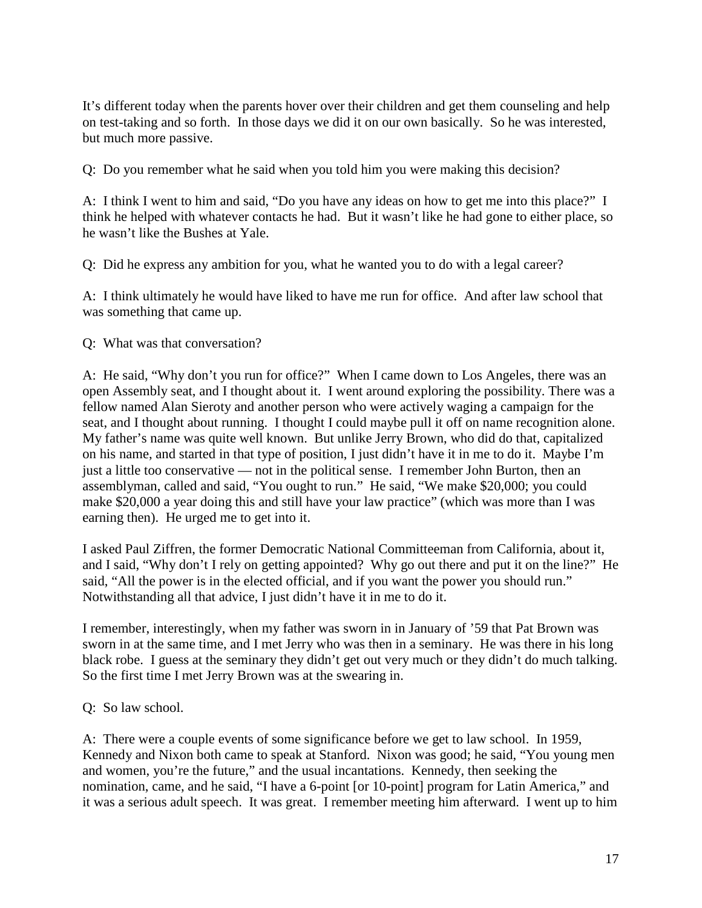It's different today when the parents hover over their children and get them counseling and help on test-taking and so forth. In those days we did it on our own basically. So he was interested, but much more passive.

Q: Do you remember what he said when you told him you were making this decision?

A: I think I went to him and said, "Do you have any ideas on how to get me into this place?" I think he helped with whatever contacts he had. But it wasn't like he had gone to either place, so he wasn't like the Bushes at Yale.

Q: Did he express any ambition for you, what he wanted you to do with a legal career?

A: I think ultimately he would have liked to have me run for office. And after law school that was something that came up.

Q: What was that conversation?

A: He said, "Why don't you run for office?" When I came down to Los Angeles, there was an open Assembly seat, and I thought about it. I went around exploring the possibility. There was a fellow named Alan Sieroty and another person who were actively waging a campaign for the seat, and I thought about running. I thought I could maybe pull it off on name recognition alone. My father's name was quite well known. But unlike Jerry Brown, who did do that, capitalized on his name, and started in that type of position, I just didn't have it in me to do it. Maybe I'm just a little too conservative — not in the political sense. I remember John Burton, then an assemblyman, called and said, "You ought to run." He said, "We make \$20,000; you could make \$20,000 a year doing this and still have your law practice" (which was more than I was earning then). He urged me to get into it.

I asked Paul Ziffren, the former Democratic National Committeeman from California, about it, and I said, "Why don't I rely on getting appointed? Why go out there and put it on the line?" He said, "All the power is in the elected official, and if you want the power you should run." Notwithstanding all that advice, I just didn't have it in me to do it.

I remember, interestingly, when my father was sworn in in January of '59 that Pat Brown was sworn in at the same time, and I met Jerry who was then in a seminary. He was there in his long black robe. I guess at the seminary they didn't get out very much or they didn't do much talking. So the first time I met Jerry Brown was at the swearing in.

Q: So law school.

A: There were a couple events of some significance before we get to law school. In 1959, Kennedy and Nixon both came to speak at Stanford. Nixon was good; he said, "You young men and women, you're the future," and the usual incantations. Kennedy, then seeking the nomination, came, and he said, "I have a 6-point [or 10-point] program for Latin America," and it was a serious adult speech. It was great. I remember meeting him afterward. I went up to him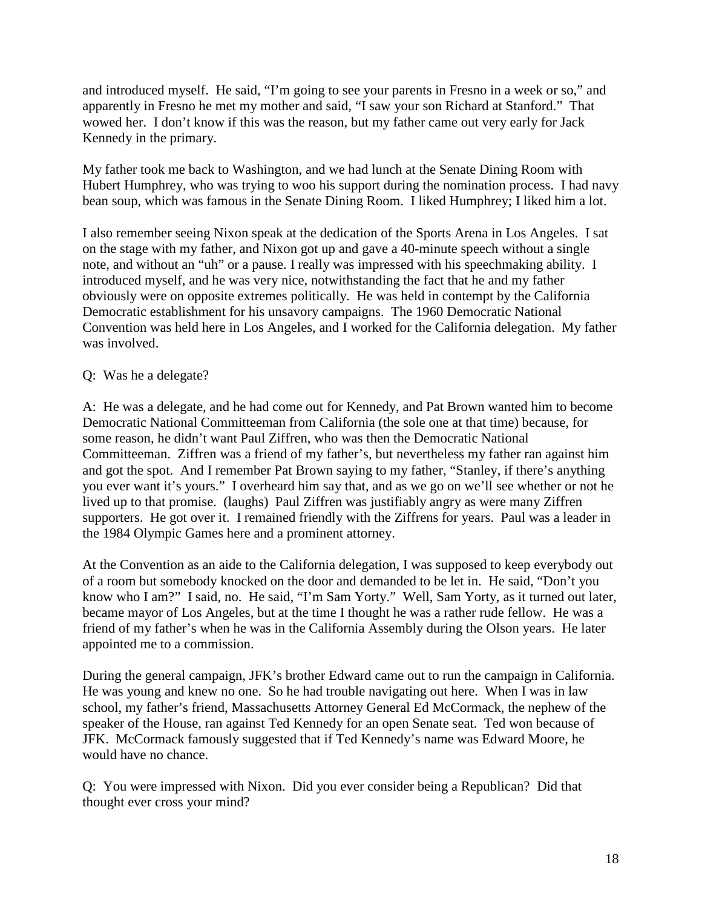and introduced myself. He said, "I'm going to see your parents in Fresno in a week or so," and apparently in Fresno he met my mother and said, "I saw your son Richard at Stanford." That wowed her. I don't know if this was the reason, but my father came out very early for Jack Kennedy in the primary.

My father took me back to Washington, and we had lunch at the Senate Dining Room with Hubert Humphrey, who was trying to woo his support during the nomination process. I had navy bean soup, which was famous in the Senate Dining Room. I liked Humphrey; I liked him a lot.

I also remember seeing Nixon speak at the dedication of the Sports Arena in Los Angeles. I sat on the stage with my father, and Nixon got up and gave a 40-minute speech without a single note, and without an "uh" or a pause. I really was impressed with his speechmaking ability. I introduced myself, and he was very nice, notwithstanding the fact that he and my father obviously were on opposite extremes politically. He was held in contempt by the California Democratic establishment for his unsavory campaigns. The 1960 Democratic National Convention was held here in Los Angeles, and I worked for the California delegation. My father was involved.

### Q: Was he a delegate?

A: He was a delegate, and he had come out for Kennedy, and Pat Brown wanted him to become Democratic National Committeeman from California (the sole one at that time) because, for some reason, he didn't want Paul Ziffren, who was then the Democratic National Committeeman. Ziffren was a friend of my father's, but nevertheless my father ran against him and got the spot. And I remember Pat Brown saying to my father, "Stanley, if there's anything you ever want it's yours." I overheard him say that, and as we go on we'll see whether or not he lived up to that promise. (laughs) Paul Ziffren was justifiably angry as were many Ziffren supporters. He got over it. I remained friendly with the Ziffrens for years. Paul was a leader in the 1984 Olympic Games here and a prominent attorney.

At the Convention as an aide to the California delegation, I was supposed to keep everybody out of a room but somebody knocked on the door and demanded to be let in. He said, "Don't you know who I am?" I said, no. He said, "I'm Sam Yorty." Well, Sam Yorty, as it turned out later, became mayor of Los Angeles, but at the time I thought he was a rather rude fellow. He was a friend of my father's when he was in the California Assembly during the Olson years. He later appointed me to a commission.

During the general campaign, JFK's brother Edward came out to run the campaign in California. He was young and knew no one. So he had trouble navigating out here. When I was in law school, my father's friend, Massachusetts Attorney General Ed McCormack, the nephew of the speaker of the House, ran against Ted Kennedy for an open Senate seat. Ted won because of JFK. McCormack famously suggested that if Ted Kennedy's name was Edward Moore, he would have no chance.

Q: You were impressed with Nixon. Did you ever consider being a Republican? Did that thought ever cross your mind?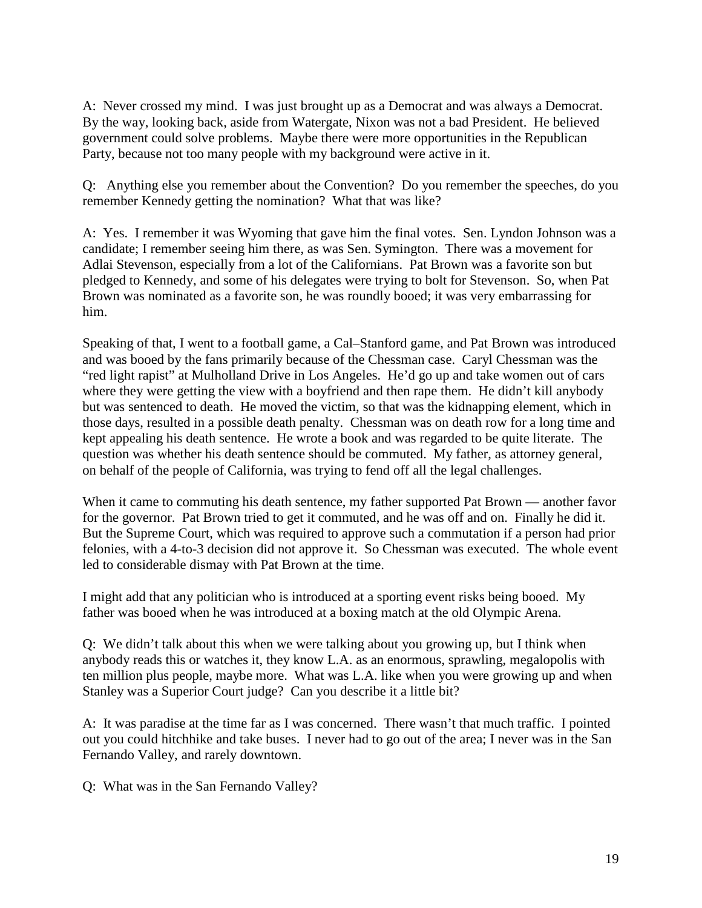A: Never crossed my mind. I was just brought up as a Democrat and was always a Democrat. By the way, looking back, aside from Watergate, Nixon was not a bad President. He believed government could solve problems. Maybe there were more opportunities in the Republican Party, because not too many people with my background were active in it.

Q: Anything else you remember about the Convention? Do you remember the speeches, do you remember Kennedy getting the nomination? What that was like?

A: Yes. I remember it was Wyoming that gave him the final votes. Sen. Lyndon Johnson was a candidate; I remember seeing him there, as was Sen. Symington. There was a movement for Adlai Stevenson, especially from a lot of the Californians. Pat Brown was a favorite son but pledged to Kennedy, and some of his delegates were trying to bolt for Stevenson. So, when Pat Brown was nominated as a favorite son, he was roundly booed; it was very embarrassing for him.

Speaking of that, I went to a football game, a Cal–Stanford game, and Pat Brown was introduced and was booed by the fans primarily because of the Chessman case. Caryl Chessman was the "red light rapist" at Mulholland Drive in Los Angeles. He'd go up and take women out of cars where they were getting the view with a boyfriend and then rape them. He didn't kill anybody but was sentenced to death. He moved the victim, so that was the kidnapping element, which in those days, resulted in a possible death penalty. Chessman was on death row for a long time and kept appealing his death sentence. He wrote a book and was regarded to be quite literate. The question was whether his death sentence should be commuted. My father, as attorney general, on behalf of the people of California, was trying to fend off all the legal challenges.

When it came to commuting his death sentence, my father supported Pat Brown — another favor for the governor. Pat Brown tried to get it commuted, and he was off and on. Finally he did it. But the Supreme Court, which was required to approve such a commutation if a person had prior felonies, with a 4-to-3 decision did not approve it. So Chessman was executed. The whole event led to considerable dismay with Pat Brown at the time.

I might add that any politician who is introduced at a sporting event risks being booed. My father was booed when he was introduced at a boxing match at the old Olympic Arena.

Q: We didn't talk about this when we were talking about you growing up, but I think when anybody reads this or watches it, they know L.A. as an enormous, sprawling, megalopolis with ten million plus people, maybe more. What was L.A. like when you were growing up and when Stanley was a Superior Court judge? Can you describe it a little bit?

A: It was paradise at the time far as I was concerned. There wasn't that much traffic. I pointed out you could hitchhike and take buses. I never had to go out of the area; I never was in the San Fernando Valley, and rarely downtown.

Q: What was in the San Fernando Valley?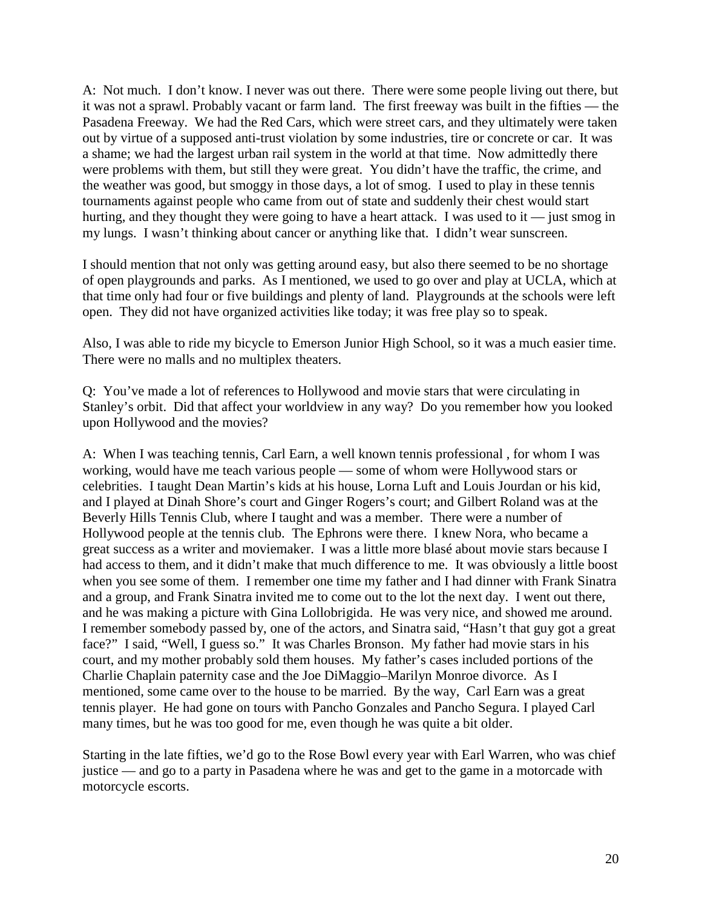A: Not much. I don't know. I never was out there. There were some people living out there, but it was not a sprawl. Probably vacant or farm land. The first freeway was built in the fifties — the Pasadena Freeway. We had the Red Cars, which were street cars, and they ultimately were taken out by virtue of a supposed anti-trust violation by some industries, tire or concrete or car. It was a shame; we had the largest urban rail system in the world at that time. Now admittedly there were problems with them, but still they were great. You didn't have the traffic, the crime, and the weather was good, but smoggy in those days, a lot of smog. I used to play in these tennis tournaments against people who came from out of state and suddenly their chest would start hurting, and they thought they were going to have a heart attack. I was used to it — just smog in my lungs. I wasn't thinking about cancer or anything like that. I didn't wear sunscreen.

I should mention that not only was getting around easy, but also there seemed to be no shortage of open playgrounds and parks. As I mentioned, we used to go over and play at UCLA, which at that time only had four or five buildings and plenty of land. Playgrounds at the schools were left open. They did not have organized activities like today; it was free play so to speak.

Also, I was able to ride my bicycle to Emerson Junior High School, so it was a much easier time. There were no malls and no multiplex theaters.

Q: You've made a lot of references to Hollywood and movie stars that were circulating in Stanley's orbit. Did that affect your worldview in any way? Do you remember how you looked upon Hollywood and the movies?

A: When I was teaching tennis, Carl Earn, a well known tennis professional , for whom I was working, would have me teach various people — some of whom were Hollywood stars or celebrities. I taught Dean Martin's kids at his house, Lorna Luft and Louis Jourdan or his kid, and I played at Dinah Shore's court and Ginger Rogers's court; and Gilbert Roland was at the Beverly Hills Tennis Club, where I taught and was a member. There were a number of Hollywood people at the tennis club. The Ephrons were there. I knew Nora, who became a great success as a writer and moviemaker. I was a little more blasé about movie stars because I had access to them, and it didn't make that much difference to me. It was obviously a little boost when you see some of them. I remember one time my father and I had dinner with Frank Sinatra and a group, and Frank Sinatra invited me to come out to the lot the next day. I went out there, and he was making a picture with Gina Lollobrigida. He was very nice, and showed me around. I remember somebody passed by, one of the actors, and Sinatra said, "Hasn't that guy got a great face?" I said, "Well, I guess so." It was Charles Bronson. My father had movie stars in his court, and my mother probably sold them houses. My father's cases included portions of the Charlie Chaplain paternity case and the Joe DiMaggio–Marilyn Monroe divorce. As I mentioned, some came over to the house to be married. By the way, Carl Earn was a great tennis player. He had gone on tours with Pancho Gonzales and Pancho Segura. I played Carl many times, but he was too good for me, even though he was quite a bit older.

Starting in the late fifties, we'd go to the Rose Bowl every year with Earl Warren, who was chief justice — and go to a party in Pasadena where he was and get to the game in a motorcade with motorcycle escorts.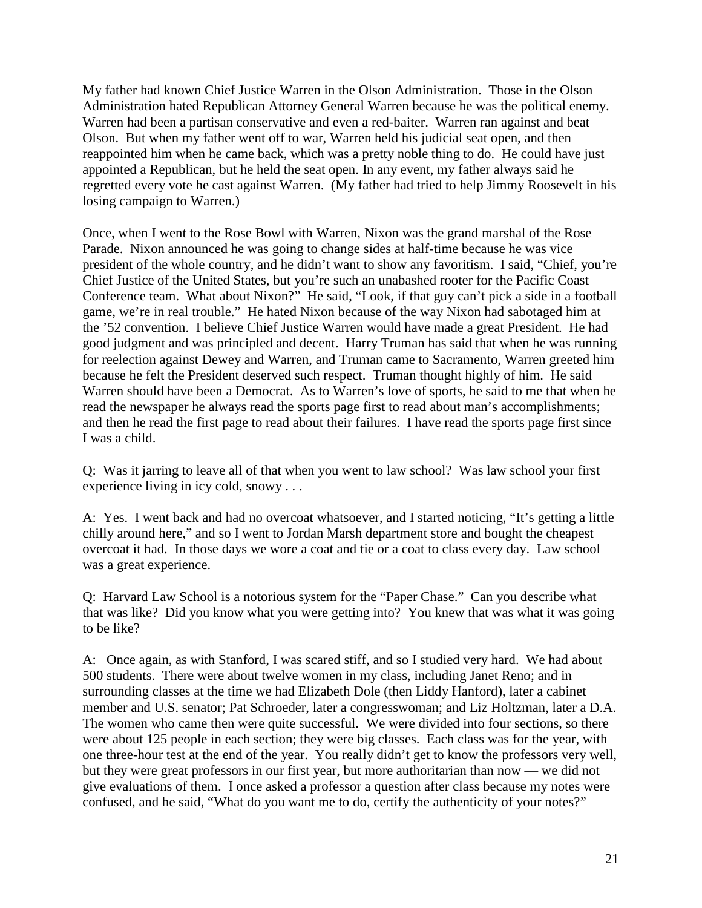My father had known Chief Justice Warren in the Olson Administration. Those in the Olson Administration hated Republican Attorney General Warren because he was the political enemy. Warren had been a partisan conservative and even a red-baiter. Warren ran against and beat Olson. But when my father went off to war, Warren held his judicial seat open, and then reappointed him when he came back, which was a pretty noble thing to do. He could have just appointed a Republican, but he held the seat open. In any event, my father always said he regretted every vote he cast against Warren. (My father had tried to help Jimmy Roosevelt in his losing campaign to Warren.)

Once, when I went to the Rose Bowl with Warren, Nixon was the grand marshal of the Rose Parade. Nixon announced he was going to change sides at half-time because he was vice president of the whole country, and he didn't want to show any favoritism. I said, "Chief, you're Chief Justice of the United States, but you're such an unabashed rooter for the Pacific Coast Conference team. What about Nixon?" He said, "Look, if that guy can't pick a side in a football game, we're in real trouble." He hated Nixon because of the way Nixon had sabotaged him at the '52 convention. I believe Chief Justice Warren would have made a great President. He had good judgment and was principled and decent. Harry Truman has said that when he was running for reelection against Dewey and Warren, and Truman came to Sacramento, Warren greeted him because he felt the President deserved such respect. Truman thought highly of him. He said Warren should have been a Democrat. As to Warren's love of sports, he said to me that when he read the newspaper he always read the sports page first to read about man's accomplishments; and then he read the first page to read about their failures. I have read the sports page first since I was a child.

Q: Was it jarring to leave all of that when you went to law school? Was law school your first experience living in icy cold, snowy . . .

A: Yes. I went back and had no overcoat whatsoever, and I started noticing, "It's getting a little chilly around here," and so I went to Jordan Marsh department store and bought the cheapest overcoat it had. In those days we wore a coat and tie or a coat to class every day. Law school was a great experience.

Q: Harvard Law School is a notorious system for the "Paper Chase." Can you describe what that was like? Did you know what you were getting into? You knew that was what it was going to be like?

A: Once again, as with Stanford, I was scared stiff, and so I studied very hard. We had about 500 students. There were about twelve women in my class, including Janet Reno; and in surrounding classes at the time we had Elizabeth Dole (then Liddy Hanford), later a cabinet member and U.S. senator; Pat Schroeder, later a congresswoman; and Liz Holtzman, later a D.A. The women who came then were quite successful. We were divided into four sections, so there were about 125 people in each section; they were big classes. Each class was for the year, with one three-hour test at the end of the year. You really didn't get to know the professors very well, but they were great professors in our first year, but more authoritarian than now — we did not give evaluations of them. I once asked a professor a question after class because my notes were confused, and he said, "What do you want me to do, certify the authenticity of your notes?"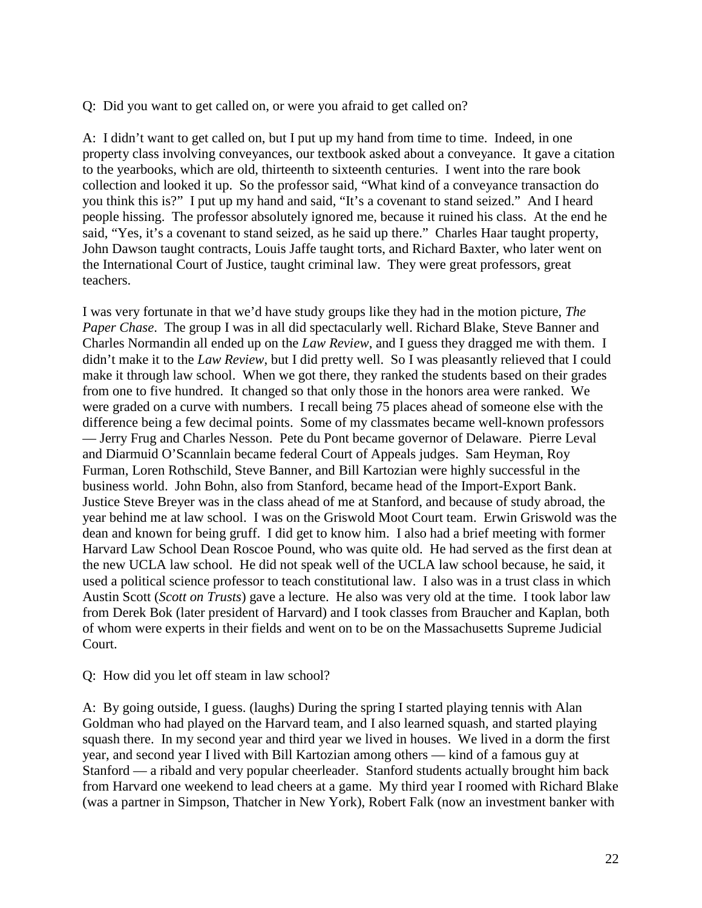Q: Did you want to get called on, or were you afraid to get called on?

A: I didn't want to get called on, but I put up my hand from time to time. Indeed, in one property class involving conveyances, our textbook asked about a conveyance. It gave a citation to the yearbooks, which are old, thirteenth to sixteenth centuries. I went into the rare book collection and looked it up. So the professor said, "What kind of a conveyance transaction do you think this is?" I put up my hand and said, "It's a covenant to stand seized." And I heard people hissing. The professor absolutely ignored me, because it ruined his class. At the end he said, "Yes, it's a covenant to stand seized, as he said up there." Charles Haar taught property, John Dawson taught contracts, Louis Jaffe taught torts, and Richard Baxter, who later went on the International Court of Justice, taught criminal law. They were great professors, great teachers.

I was very fortunate in that we'd have study groups like they had in the motion picture, *The Paper Chase*. The group I was in all did spectacularly well. Richard Blake, Steve Banner and Charles Normandin all ended up on the *Law Review*, and I guess they dragged me with them. I didn't make it to the *Law Review*, but I did pretty well. So I was pleasantly relieved that I could make it through law school. When we got there, they ranked the students based on their grades from one to five hundred. It changed so that only those in the honors area were ranked. We were graded on a curve with numbers. I recall being 75 places ahead of someone else with the difference being a few decimal points. Some of my classmates became well-known professors — Jerry Frug and Charles Nesson. Pete du Pont became governor of Delaware. Pierre Leval and Diarmuid O'Scannlain became federal Court of Appeals judges. Sam Heyman, Roy Furman, Loren Rothschild, Steve Banner, and Bill Kartozian were highly successful in the business world. John Bohn, also from Stanford, became head of the Import-Export Bank. Justice Steve Breyer was in the class ahead of me at Stanford, and because of study abroad, the year behind me at law school. I was on the Griswold Moot Court team. Erwin Griswold was the dean and known for being gruff. I did get to know him. I also had a brief meeting with former Harvard Law School Dean Roscoe Pound, who was quite old. He had served as the first dean at the new UCLA law school. He did not speak well of the UCLA law school because, he said, it used a political science professor to teach constitutional law. I also was in a trust class in which Austin Scott (*Scott on Trusts*) gave a lecture. He also was very old at the time. I took labor law from Derek Bok (later president of Harvard) and I took classes from Braucher and Kaplan, both of whom were experts in their fields and went on to be on the Massachusetts Supreme Judicial Court.

#### Q: How did you let off steam in law school?

A: By going outside, I guess. (laughs) During the spring I started playing tennis with Alan Goldman who had played on the Harvard team, and I also learned squash, and started playing squash there. In my second year and third year we lived in houses. We lived in a dorm the first year, and second year I lived with Bill Kartozian among others — kind of a famous guy at Stanford — a ribald and very popular cheerleader. Stanford students actually brought him back from Harvard one weekend to lead cheers at a game. My third year I roomed with Richard Blake (was a partner in Simpson, Thatcher in New York), Robert Falk (now an investment banker with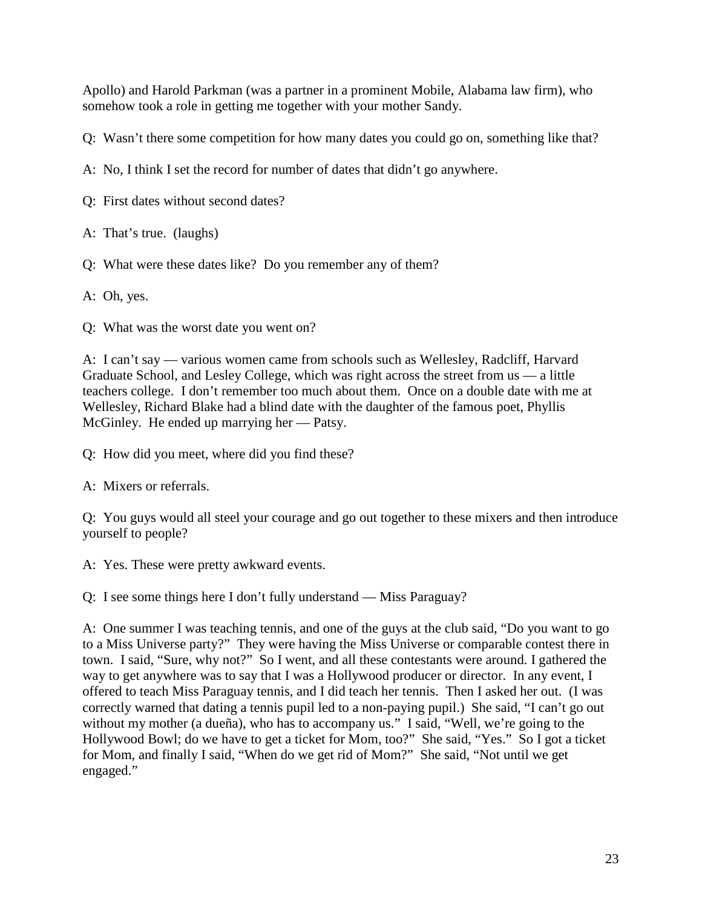Apollo) and Harold Parkman (was a partner in a prominent Mobile, Alabama law firm), who somehow took a role in getting me together with your mother Sandy.

Q: Wasn't there some competition for how many dates you could go on, something like that?

A: No, I think I set the record for number of dates that didn't go anywhere.

Q: First dates without second dates?

A: That's true. (laughs)

Q: What were these dates like? Do you remember any of them?

A: Oh, yes.

Q: What was the worst date you went on?

A: I can't say — various women came from schools such as Wellesley, Radcliff, Harvard Graduate School, and Lesley College, which was right across the street from us — a little teachers college. I don't remember too much about them. Once on a double date with me at Wellesley, Richard Blake had a blind date with the daughter of the famous poet, Phyllis McGinley. He ended up marrying her — Patsy.

Q: How did you meet, where did you find these?

A: Mixers or referrals.

Q: You guys would all steel your courage and go out together to these mixers and then introduce yourself to people?

A: Yes. These were pretty awkward events.

Q: I see some things here I don't fully understand — Miss Paraguay?

A: One summer I was teaching tennis, and one of the guys at the club said, "Do you want to go to a Miss Universe party?" They were having the Miss Universe or comparable contest there in town. I said, "Sure, why not?" So I went, and all these contestants were around. I gathered the way to get anywhere was to say that I was a Hollywood producer or director. In any event, I offered to teach Miss Paraguay tennis, and I did teach her tennis. Then I asked her out. (I was correctly warned that dating a tennis pupil led to a non-paying pupil.) She said, "I can't go out without my mother (a dueña), who has to accompany us." I said, "Well, we're going to the Hollywood Bowl; do we have to get a ticket for Mom, too?" She said, "Yes." So I got a ticket for Mom, and finally I said, "When do we get rid of Mom?" She said, "Not until we get engaged."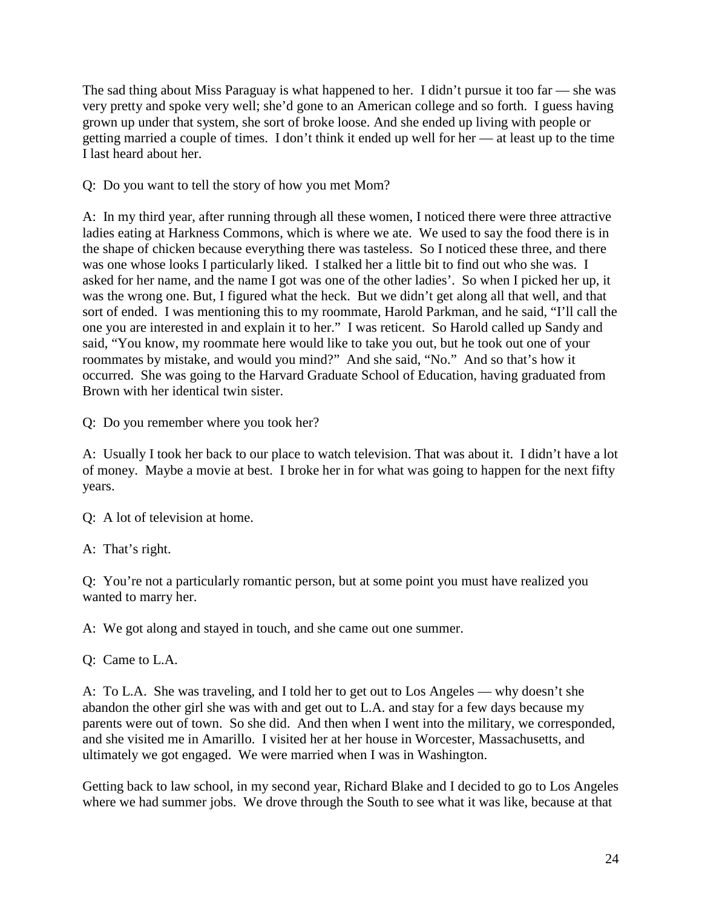The sad thing about Miss Paraguay is what happened to her. I didn't pursue it too far — she was very pretty and spoke very well; she'd gone to an American college and so forth. I guess having grown up under that system, she sort of broke loose. And she ended up living with people or getting married a couple of times. I don't think it ended up well for her — at least up to the time I last heard about her.

Q: Do you want to tell the story of how you met Mom?

A: In my third year, after running through all these women, I noticed there were three attractive ladies eating at Harkness Commons, which is where we ate. We used to say the food there is in the shape of chicken because everything there was tasteless. So I noticed these three, and there was one whose looks I particularly liked. I stalked her a little bit to find out who she was. I asked for her name, and the name I got was one of the other ladies'. So when I picked her up, it was the wrong one. But, I figured what the heck. But we didn't get along all that well, and that sort of ended. I was mentioning this to my roommate, Harold Parkman, and he said, "I'll call the one you are interested in and explain it to her." I was reticent. So Harold called up Sandy and said, "You know, my roommate here would like to take you out, but he took out one of your roommates by mistake, and would you mind?" And she said, "No." And so that's how it occurred. She was going to the Harvard Graduate School of Education, having graduated from Brown with her identical twin sister.

Q: Do you remember where you took her?

A: Usually I took her back to our place to watch television. That was about it. I didn't have a lot of money. Maybe a movie at best. I broke her in for what was going to happen for the next fifty years.

Q: A lot of television at home.

A: That's right.

Q: You're not a particularly romantic person, but at some point you must have realized you wanted to marry her.

A: We got along and stayed in touch, and she came out one summer.

Q: Came to L.A.

A: To L.A. She was traveling, and I told her to get out to Los Angeles — why doesn't she abandon the other girl she was with and get out to L.A. and stay for a few days because my parents were out of town. So she did. And then when I went into the military, we corresponded, and she visited me in Amarillo. I visited her at her house in Worcester, Massachusetts, and ultimately we got engaged. We were married when I was in Washington.

Getting back to law school, in my second year, Richard Blake and I decided to go to Los Angeles where we had summer jobs. We drove through the South to see what it was like, because at that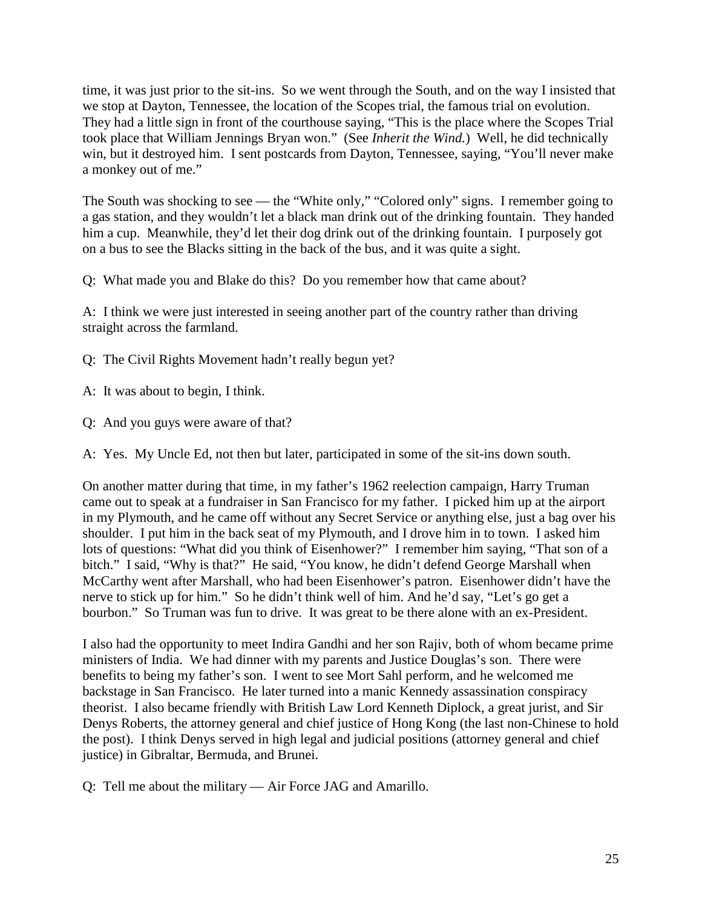time, it was just prior to the sit-ins. So we went through the South, and on the way I insisted that we stop at Dayton, Tennessee, the location of the Scopes trial, the famous trial on evolution. They had a little sign in front of the courthouse saying, "This is the place where the Scopes Trial took place that William Jennings Bryan won." (See *Inherit the Wind.*) Well, he did technically win, but it destroyed him. I sent postcards from Dayton, Tennessee, saying, "You'll never make a monkey out of me."

The South was shocking to see — the "White only," "Colored only" signs. I remember going to a gas station, and they wouldn't let a black man drink out of the drinking fountain. They handed him a cup. Meanwhile, they'd let their dog drink out of the drinking fountain. I purposely got on a bus to see the Blacks sitting in the back of the bus, and it was quite a sight.

Q: What made you and Blake do this? Do you remember how that came about?

A: I think we were just interested in seeing another part of the country rather than driving straight across the farmland.

Q: The Civil Rights Movement hadn't really begun yet?

A: It was about to begin, I think.

Q: And you guys were aware of that?

A: Yes. My Uncle Ed, not then but later, participated in some of the sit-ins down south.

On another matter during that time, in my father's 1962 reelection campaign, Harry Truman came out to speak at a fundraiser in San Francisco for my father. I picked him up at the airport in my Plymouth, and he came off without any Secret Service or anything else, just a bag over his shoulder. I put him in the back seat of my Plymouth, and I drove him in to town. I asked him lots of questions: "What did you think of Eisenhower?" I remember him saying, "That son of a bitch." I said, "Why is that?" He said, "You know, he didn't defend George Marshall when McCarthy went after Marshall, who had been Eisenhower's patron. Eisenhower didn't have the nerve to stick up for him." So he didn't think well of him. And he'd say, "Let's go get a bourbon." So Truman was fun to drive. It was great to be there alone with an ex-President.

I also had the opportunity to meet Indira Gandhi and her son Rajiv, both of whom became prime ministers of India. We had dinner with my parents and Justice Douglas's son. There were benefits to being my father's son. I went to see Mort Sahl perform, and he welcomed me backstage in San Francisco. He later turned into a manic Kennedy assassination conspiracy theorist. I also became friendly with British Law Lord Kenneth Diplock, a great jurist, and Sir Denys Roberts, the attorney general and chief justice of Hong Kong (the last non-Chinese to hold the post). I think Denys served in high legal and judicial positions (attorney general and chief justice) in Gibraltar, Bermuda, and Brunei.

Q: Tell me about the military — Air Force JAG and Amarillo.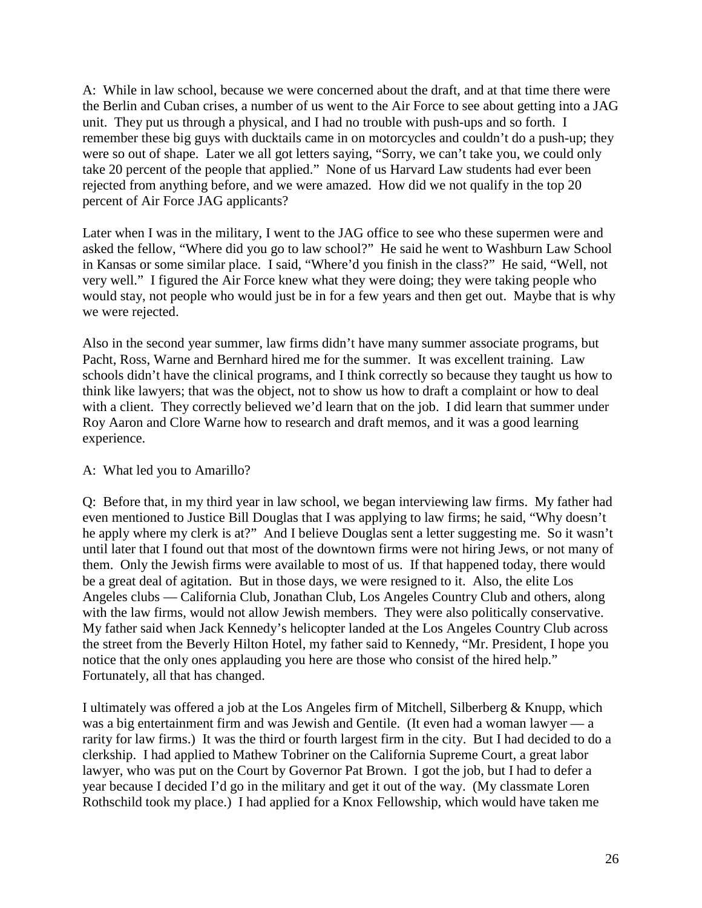A: While in law school, because we were concerned about the draft, and at that time there were the Berlin and Cuban crises, a number of us went to the Air Force to see about getting into a JAG unit. They put us through a physical, and I had no trouble with push-ups and so forth. I remember these big guys with ducktails came in on motorcycles and couldn't do a push-up; they were so out of shape. Later we all got letters saying, "Sorry, we can't take you, we could only take 20 percent of the people that applied." None of us Harvard Law students had ever been rejected from anything before, and we were amazed. How did we not qualify in the top 20 percent of Air Force JAG applicants?

Later when I was in the military, I went to the JAG office to see who these supermen were and asked the fellow, "Where did you go to law school?" He said he went to Washburn Law School in Kansas or some similar place. I said, "Where'd you finish in the class?" He said, "Well, not very well." I figured the Air Force knew what they were doing; they were taking people who would stay, not people who would just be in for a few years and then get out. Maybe that is why we were rejected.

Also in the second year summer, law firms didn't have many summer associate programs, but Pacht, Ross, Warne and Bernhard hired me for the summer. It was excellent training. Law schools didn't have the clinical programs, and I think correctly so because they taught us how to think like lawyers; that was the object, not to show us how to draft a complaint or how to deal with a client. They correctly believed we'd learn that on the job. I did learn that summer under Roy Aaron and Clore Warne how to research and draft memos, and it was a good learning experience.

## A: What led you to Amarillo?

Q: Before that, in my third year in law school, we began interviewing law firms. My father had even mentioned to Justice Bill Douglas that I was applying to law firms; he said, "Why doesn't he apply where my clerk is at?" And I believe Douglas sent a letter suggesting me. So it wasn't until later that I found out that most of the downtown firms were not hiring Jews, or not many of them. Only the Jewish firms were available to most of us. If that happened today, there would be a great deal of agitation. But in those days, we were resigned to it. Also, the elite Los Angeles clubs — California Club, Jonathan Club, Los Angeles Country Club and others, along with the law firms, would not allow Jewish members. They were also politically conservative. My father said when Jack Kennedy's helicopter landed at the Los Angeles Country Club across the street from the Beverly Hilton Hotel, my father said to Kennedy, "Mr. President, I hope you notice that the only ones applauding you here are those who consist of the hired help." Fortunately, all that has changed.

I ultimately was offered a job at the Los Angeles firm of Mitchell, Silberberg & Knupp, which was a big entertainment firm and was Jewish and Gentile. (It even had a woman lawyer — a rarity for law firms.) It was the third or fourth largest firm in the city. But I had decided to do a clerkship. I had applied to Mathew Tobriner on the California Supreme Court, a great labor lawyer, who was put on the Court by Governor Pat Brown. I got the job, but I had to defer a year because I decided I'd go in the military and get it out of the way. (My classmate Loren Rothschild took my place.) I had applied for a Knox Fellowship, which would have taken me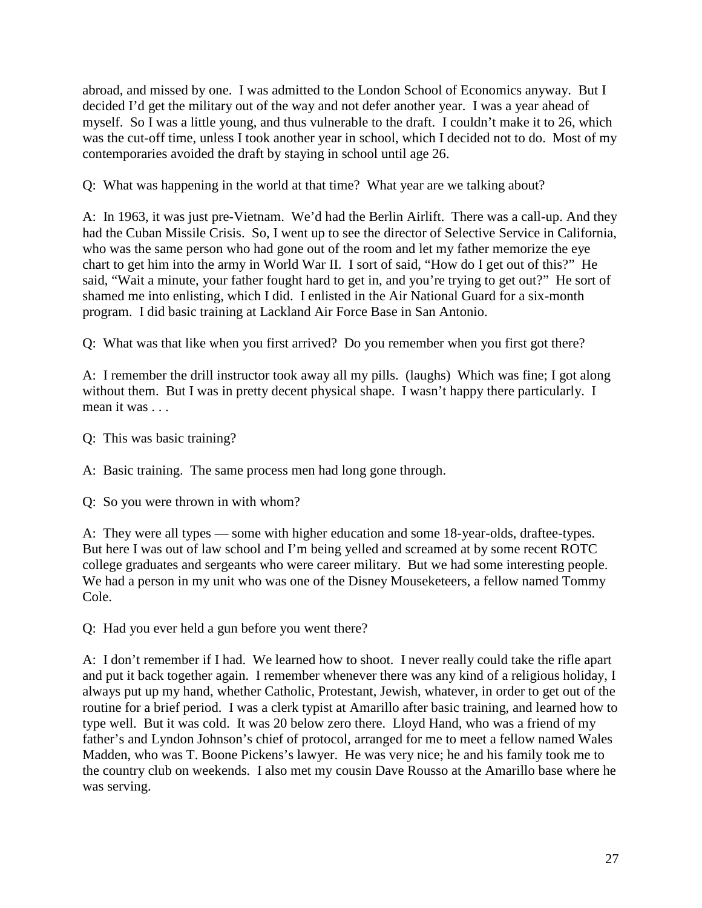abroad, and missed by one. I was admitted to the London School of Economics anyway. But I decided I'd get the military out of the way and not defer another year. I was a year ahead of myself. So I was a little young, and thus vulnerable to the draft. I couldn't make it to 26, which was the cut-off time, unless I took another year in school, which I decided not to do. Most of my contemporaries avoided the draft by staying in school until age 26.

Q: What was happening in the world at that time? What year are we talking about?

A: In 1963, it was just pre-Vietnam. We'd had the Berlin Airlift. There was a call-up. And they had the Cuban Missile Crisis. So, I went up to see the director of Selective Service in California, who was the same person who had gone out of the room and let my father memorize the eye chart to get him into the army in World War II. I sort of said, "How do I get out of this?" He said, "Wait a minute, your father fought hard to get in, and you're trying to get out?" He sort of shamed me into enlisting, which I did. I enlisted in the Air National Guard for a six-month program. I did basic training at Lackland Air Force Base in San Antonio.

Q: What was that like when you first arrived? Do you remember when you first got there?

A: I remember the drill instructor took away all my pills. (laughs) Which was fine; I got along without them. But I was in pretty decent physical shape. I wasn't happy there particularly. I mean it was ...

Q: This was basic training?

A: Basic training. The same process men had long gone through.

Q: So you were thrown in with whom?

A: They were all types — some with higher education and some 18-year-olds, draftee-types. But here I was out of law school and I'm being yelled and screamed at by some recent ROTC college graduates and sergeants who were career military. But we had some interesting people. We had a person in my unit who was one of the Disney Mouseketeers, a fellow named Tommy Cole.

Q: Had you ever held a gun before you went there?

A: I don't remember if I had. We learned how to shoot. I never really could take the rifle apart and put it back together again. I remember whenever there was any kind of a religious holiday, I always put up my hand, whether Catholic, Protestant, Jewish, whatever, in order to get out of the routine for a brief period. I was a clerk typist at Amarillo after basic training, and learned how to type well. But it was cold. It was 20 below zero there. Lloyd Hand, who was a friend of my father's and Lyndon Johnson's chief of protocol, arranged for me to meet a fellow named Wales Madden, who was T. Boone Pickens's lawyer. He was very nice; he and his family took me to the country club on weekends. I also met my cousin Dave Rousso at the Amarillo base where he was serving.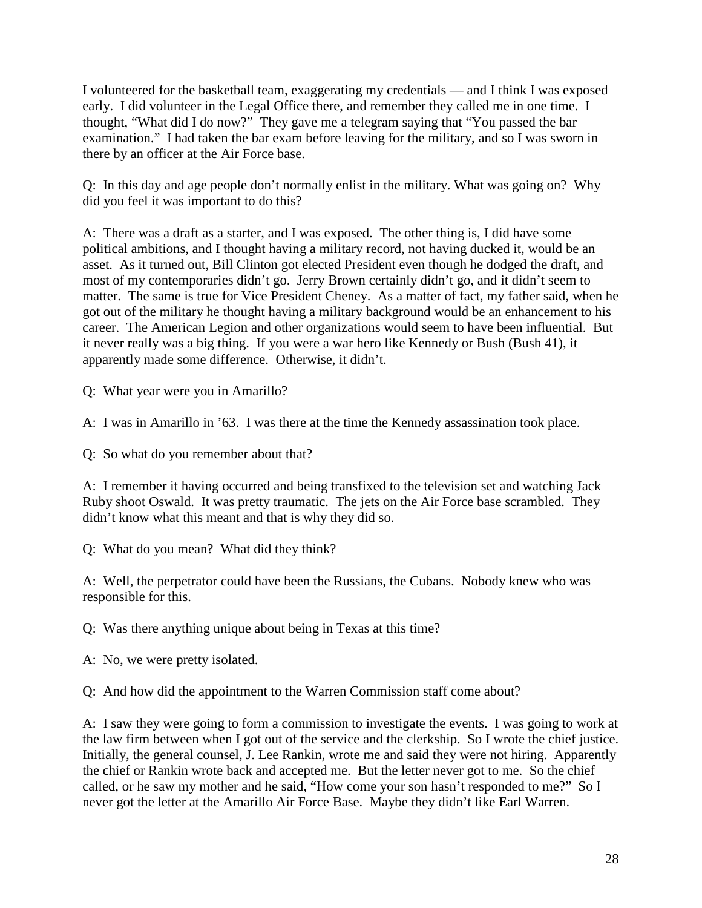I volunteered for the basketball team, exaggerating my credentials — and I think I was exposed early. I did volunteer in the Legal Office there, and remember they called me in one time. I thought, "What did I do now?" They gave me a telegram saying that "You passed the bar examination." I had taken the bar exam before leaving for the military, and so I was sworn in there by an officer at the Air Force base.

Q: In this day and age people don't normally enlist in the military. What was going on? Why did you feel it was important to do this?

A: There was a draft as a starter, and I was exposed. The other thing is, I did have some political ambitions, and I thought having a military record, not having ducked it, would be an asset. As it turned out, Bill Clinton got elected President even though he dodged the draft, and most of my contemporaries didn't go. Jerry Brown certainly didn't go, and it didn't seem to matter. The same is true for Vice President Cheney. As a matter of fact, my father said, when he got out of the military he thought having a military background would be an enhancement to his career. The American Legion and other organizations would seem to have been influential. But it never really was a big thing. If you were a war hero like Kennedy or Bush (Bush 41), it apparently made some difference. Otherwise, it didn't.

Q: What year were you in Amarillo?

A: I was in Amarillo in '63. I was there at the time the Kennedy assassination took place.

Q: So what do you remember about that?

A: I remember it having occurred and being transfixed to the television set and watching Jack Ruby shoot Oswald. It was pretty traumatic. The jets on the Air Force base scrambled. They didn't know what this meant and that is why they did so.

Q: What do you mean? What did they think?

A: Well, the perpetrator could have been the Russians, the Cubans. Nobody knew who was responsible for this.

Q: Was there anything unique about being in Texas at this time?

A: No, we were pretty isolated.

Q: And how did the appointment to the Warren Commission staff come about?

A: I saw they were going to form a commission to investigate the events. I was going to work at the law firm between when I got out of the service and the clerkship. So I wrote the chief justice. Initially, the general counsel, J. Lee Rankin, wrote me and said they were not hiring. Apparently the chief or Rankin wrote back and accepted me. But the letter never got to me. So the chief called, or he saw my mother and he said, "How come your son hasn't responded to me?" So I never got the letter at the Amarillo Air Force Base. Maybe they didn't like Earl Warren.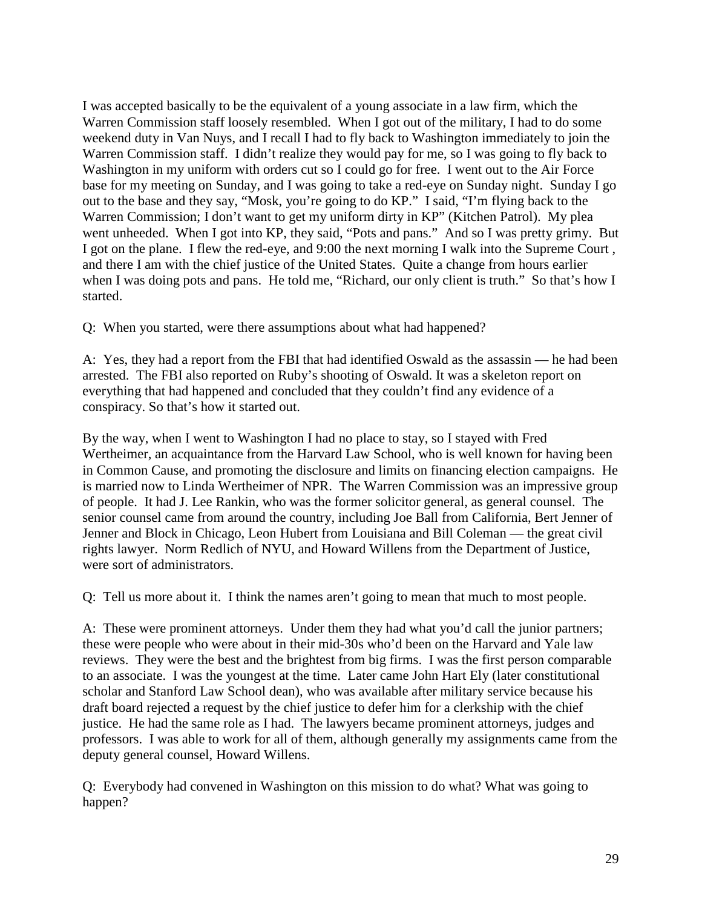I was accepted basically to be the equivalent of a young associate in a law firm, which the Warren Commission staff loosely resembled. When I got out of the military, I had to do some weekend duty in Van Nuys, and I recall I had to fly back to Washington immediately to join the Warren Commission staff. I didn't realize they would pay for me, so I was going to fly back to Washington in my uniform with orders cut so I could go for free. I went out to the Air Force base for my meeting on Sunday, and I was going to take a red-eye on Sunday night. Sunday I go out to the base and they say, "Mosk, you're going to do KP." I said, "I'm flying back to the Warren Commission; I don't want to get my uniform dirty in KP" (Kitchen Patrol). My plea went unheeded. When I got into KP, they said, "Pots and pans." And so I was pretty grimy. But I got on the plane. I flew the red-eye, and 9:00 the next morning I walk into the Supreme Court , and there I am with the chief justice of the United States. Quite a change from hours earlier when I was doing pots and pans. He told me, "Richard, our only client is truth." So that's how I started.

Q: When you started, were there assumptions about what had happened?

A: Yes, they had a report from the FBI that had identified Oswald as the assassin — he had been arrested. The FBI also reported on Ruby's shooting of Oswald. It was a skeleton report on everything that had happened and concluded that they couldn't find any evidence of a conspiracy. So that's how it started out.

By the way, when I went to Washington I had no place to stay, so I stayed with Fred Wertheimer, an acquaintance from the Harvard Law School, who is well known for having been in Common Cause, and promoting the disclosure and limits on financing election campaigns. He is married now to Linda Wertheimer of NPR. The Warren Commission was an impressive group of people. It had J. Lee Rankin, who was the former solicitor general, as general counsel. The senior counsel came from around the country, including Joe Ball from California, Bert Jenner of Jenner and Block in Chicago, Leon Hubert from Louisiana and Bill Coleman — the great civil rights lawyer. Norm Redlich of NYU, and Howard Willens from the Department of Justice, were sort of administrators.

Q: Tell us more about it. I think the names aren't going to mean that much to most people.

A: These were prominent attorneys. Under them they had what you'd call the junior partners; these were people who were about in their mid-30s who'd been on the Harvard and Yale law reviews. They were the best and the brightest from big firms. I was the first person comparable to an associate. I was the youngest at the time. Later came John Hart Ely (later constitutional scholar and Stanford Law School dean), who was available after military service because his draft board rejected a request by the chief justice to defer him for a clerkship with the chief justice. He had the same role as I had. The lawyers became prominent attorneys, judges and professors. I was able to work for all of them, although generally my assignments came from the deputy general counsel, Howard Willens.

Q: Everybody had convened in Washington on this mission to do what? What was going to happen?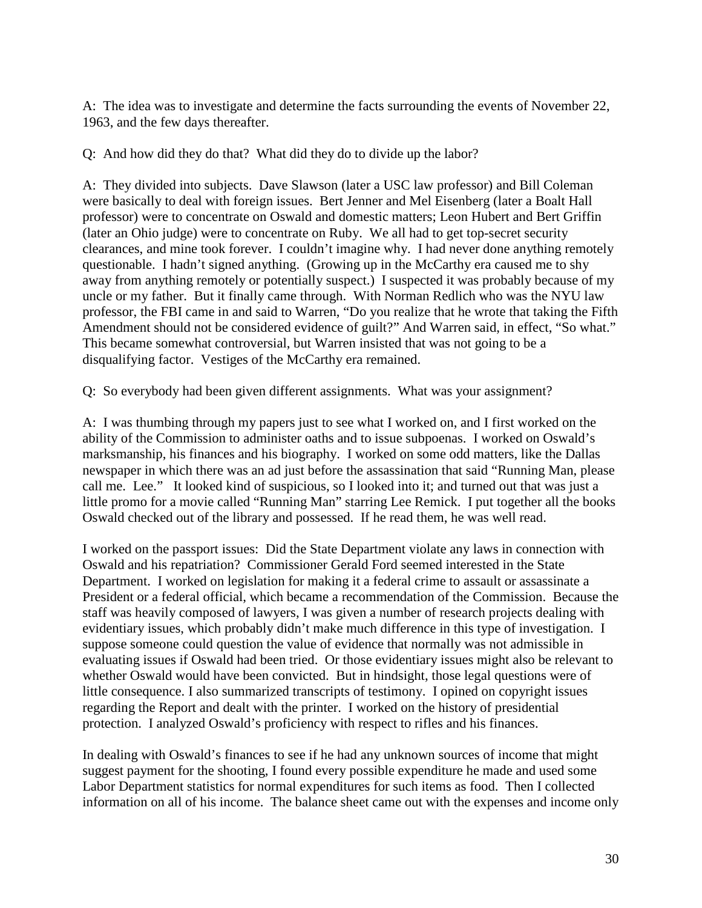A: The idea was to investigate and determine the facts surrounding the events of November 22, 1963, and the few days thereafter.

Q: And how did they do that? What did they do to divide up the labor?

A: They divided into subjects. Dave Slawson (later a USC law professor) and Bill Coleman were basically to deal with foreign issues. Bert Jenner and Mel Eisenberg (later a Boalt Hall professor) were to concentrate on Oswald and domestic matters; Leon Hubert and Bert Griffin (later an Ohio judge) were to concentrate on Ruby. We all had to get top-secret security clearances, and mine took forever. I couldn't imagine why. I had never done anything remotely questionable. I hadn't signed anything. (Growing up in the McCarthy era caused me to shy away from anything remotely or potentially suspect.) I suspected it was probably because of my uncle or my father. But it finally came through. With Norman Redlich who was the NYU law professor, the FBI came in and said to Warren, "Do you realize that he wrote that taking the Fifth Amendment should not be considered evidence of guilt?" And Warren said, in effect, "So what." This became somewhat controversial, but Warren insisted that was not going to be a disqualifying factor. Vestiges of the McCarthy era remained.

Q: So everybody had been given different assignments. What was your assignment?

A: I was thumbing through my papers just to see what I worked on, and I first worked on the ability of the Commission to administer oaths and to issue subpoenas. I worked on Oswald's marksmanship, his finances and his biography. I worked on some odd matters, like the Dallas newspaper in which there was an ad just before the assassination that said "Running Man, please call me. Lee." It looked kind of suspicious, so I looked into it; and turned out that was just a little promo for a movie called "Running Man" starring Lee Remick. I put together all the books Oswald checked out of the library and possessed. If he read them, he was well read.

I worked on the passport issues: Did the State Department violate any laws in connection with Oswald and his repatriation? Commissioner Gerald Ford seemed interested in the State Department. I worked on legislation for making it a federal crime to assault or assassinate a President or a federal official, which became a recommendation of the Commission. Because the staff was heavily composed of lawyers, I was given a number of research projects dealing with evidentiary issues, which probably didn't make much difference in this type of investigation. I suppose someone could question the value of evidence that normally was not admissible in evaluating issues if Oswald had been tried. Or those evidentiary issues might also be relevant to whether Oswald would have been convicted. But in hindsight, those legal questions were of little consequence. I also summarized transcripts of testimony. I opined on copyright issues regarding the Report and dealt with the printer. I worked on the history of presidential protection. I analyzed Oswald's proficiency with respect to rifles and his finances.

In dealing with Oswald's finances to see if he had any unknown sources of income that might suggest payment for the shooting, I found every possible expenditure he made and used some Labor Department statistics for normal expenditures for such items as food. Then I collected information on all of his income. The balance sheet came out with the expenses and income only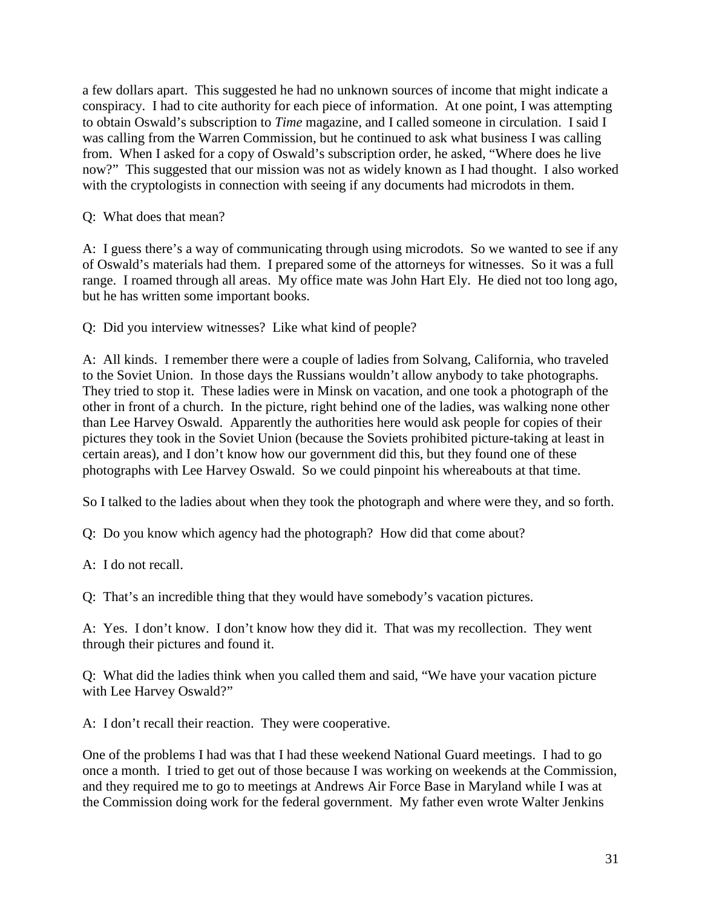a few dollars apart. This suggested he had no unknown sources of income that might indicate a conspiracy. I had to cite authority for each piece of information. At one point, I was attempting to obtain Oswald's subscription to *Time* magazine, and I called someone in circulation. I said I was calling from the Warren Commission, but he continued to ask what business I was calling from. When I asked for a copy of Oswald's subscription order, he asked, "Where does he live now?" This suggested that our mission was not as widely known as I had thought. I also worked with the cryptologists in connection with seeing if any documents had microdots in them.

Q: What does that mean?

A: I guess there's a way of communicating through using microdots. So we wanted to see if any of Oswald's materials had them. I prepared some of the attorneys for witnesses. So it was a full range. I roamed through all areas. My office mate was John Hart Ely. He died not too long ago, but he has written some important books.

Q: Did you interview witnesses? Like what kind of people?

A: All kinds. I remember there were a couple of ladies from Solvang, California, who traveled to the Soviet Union. In those days the Russians wouldn't allow anybody to take photographs. They tried to stop it. These ladies were in Minsk on vacation, and one took a photograph of the other in front of a church. In the picture, right behind one of the ladies, was walking none other than Lee Harvey Oswald. Apparently the authorities here would ask people for copies of their pictures they took in the Soviet Union (because the Soviets prohibited picture-taking at least in certain areas), and I don't know how our government did this, but they found one of these photographs with Lee Harvey Oswald. So we could pinpoint his whereabouts at that time.

So I talked to the ladies about when they took the photograph and where were they, and so forth.

Q: Do you know which agency had the photograph? How did that come about?

A: I do not recall.

Q: That's an incredible thing that they would have somebody's vacation pictures.

A: Yes. I don't know. I don't know how they did it. That was my recollection. They went through their pictures and found it.

Q: What did the ladies think when you called them and said, "We have your vacation picture with Lee Harvey Oswald?"

A: I don't recall their reaction. They were cooperative.

One of the problems I had was that I had these weekend National Guard meetings. I had to go once a month. I tried to get out of those because I was working on weekends at the Commission, and they required me to go to meetings at Andrews Air Force Base in Maryland while I was at the Commission doing work for the federal government. My father even wrote Walter Jenkins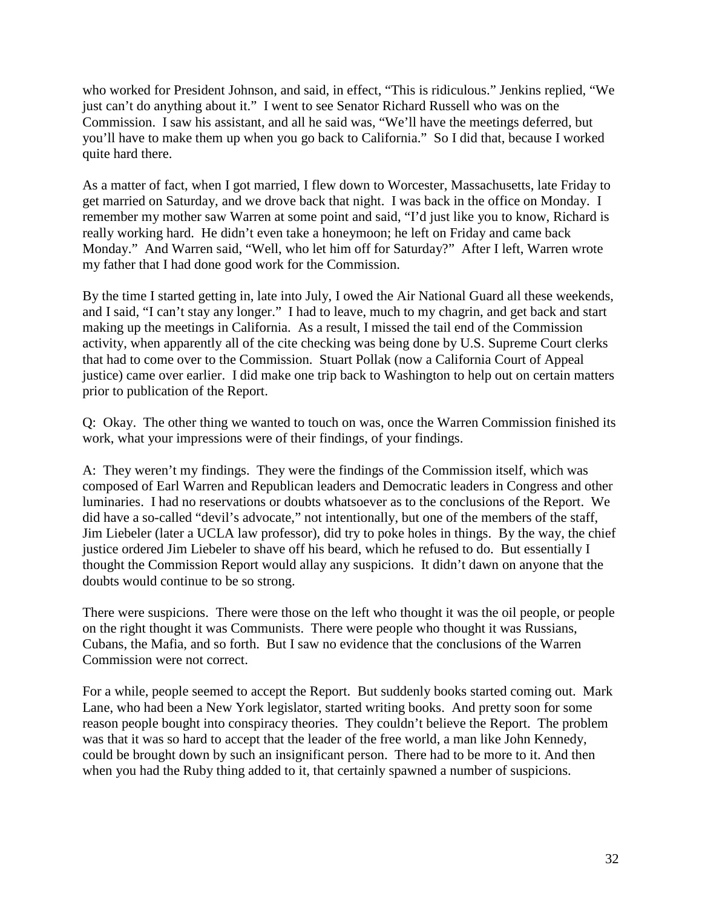who worked for President Johnson, and said, in effect, "This is ridiculous." Jenkins replied, "We just can't do anything about it." I went to see Senator Richard Russell who was on the Commission. I saw his assistant, and all he said was, "We'll have the meetings deferred, but you'll have to make them up when you go back to California." So I did that, because I worked quite hard there.

As a matter of fact, when I got married, I flew down to Worcester, Massachusetts, late Friday to get married on Saturday, and we drove back that night. I was back in the office on Monday. I remember my mother saw Warren at some point and said, "I'd just like you to know, Richard is really working hard. He didn't even take a honeymoon; he left on Friday and came back Monday." And Warren said, "Well, who let him off for Saturday?" After I left, Warren wrote my father that I had done good work for the Commission.

By the time I started getting in, late into July, I owed the Air National Guard all these weekends, and I said, "I can't stay any longer." I had to leave, much to my chagrin, and get back and start making up the meetings in California. As a result, I missed the tail end of the Commission activity, when apparently all of the cite checking was being done by U.S. Supreme Court clerks that had to come over to the Commission. Stuart Pollak (now a California Court of Appeal justice) came over earlier. I did make one trip back to Washington to help out on certain matters prior to publication of the Report.

Q: Okay. The other thing we wanted to touch on was, once the Warren Commission finished its work, what your impressions were of their findings, of your findings.

A: They weren't my findings. They were the findings of the Commission itself, which was composed of Earl Warren and Republican leaders and Democratic leaders in Congress and other luminaries. I had no reservations or doubts whatsoever as to the conclusions of the Report. We did have a so-called "devil's advocate," not intentionally, but one of the members of the staff, Jim Liebeler (later a UCLA law professor), did try to poke holes in things. By the way, the chief justice ordered Jim Liebeler to shave off his beard, which he refused to do. But essentially I thought the Commission Report would allay any suspicions. It didn't dawn on anyone that the doubts would continue to be so strong.

There were suspicions. There were those on the left who thought it was the oil people, or people on the right thought it was Communists. There were people who thought it was Russians, Cubans, the Mafia, and so forth. But I saw no evidence that the conclusions of the Warren Commission were not correct.

For a while, people seemed to accept the Report. But suddenly books started coming out. Mark Lane, who had been a New York legislator, started writing books. And pretty soon for some reason people bought into conspiracy theories. They couldn't believe the Report. The problem was that it was so hard to accept that the leader of the free world, a man like John Kennedy, could be brought down by such an insignificant person. There had to be more to it. And then when you had the Ruby thing added to it, that certainly spawned a number of suspicions.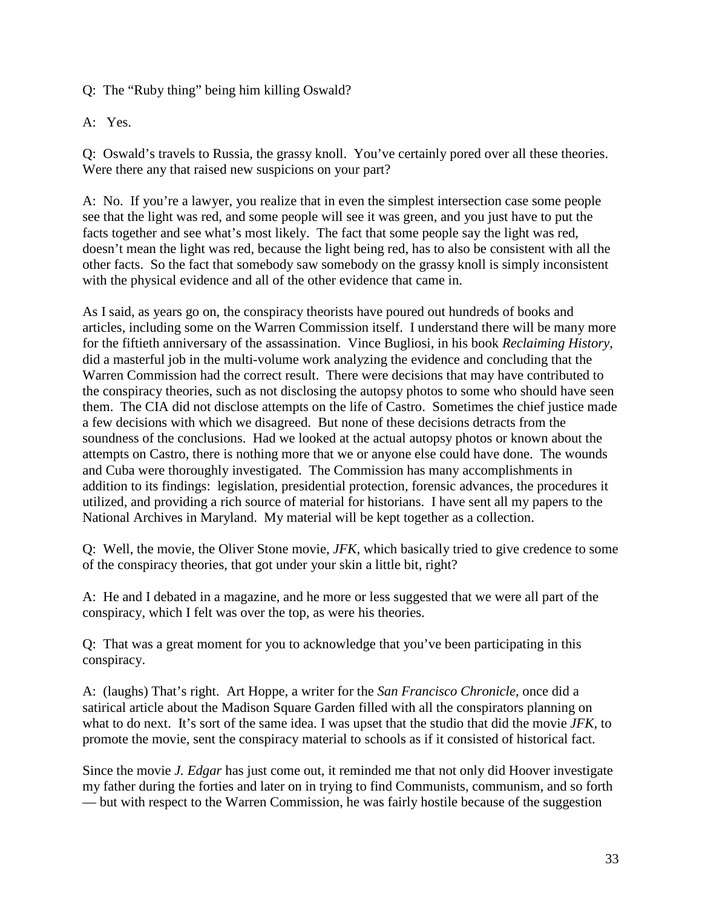Q: The "Ruby thing" being him killing Oswald?

A: Yes.

Q: Oswald's travels to Russia, the grassy knoll. You've certainly pored over all these theories. Were there any that raised new suspicions on your part?

A: No. If you're a lawyer, you realize that in even the simplest intersection case some people see that the light was red, and some people will see it was green, and you just have to put the facts together and see what's most likely. The fact that some people say the light was red, doesn't mean the light was red, because the light being red, has to also be consistent with all the other facts. So the fact that somebody saw somebody on the grassy knoll is simply inconsistent with the physical evidence and all of the other evidence that came in.

As I said, as years go on, the conspiracy theorists have poured out hundreds of books and articles, including some on the Warren Commission itself. I understand there will be many more for the fiftieth anniversary of the assassination. Vince Bugliosi, in his book *Reclaiming History*, did a masterful job in the multi-volume work analyzing the evidence and concluding that the Warren Commission had the correct result. There were decisions that may have contributed to the conspiracy theories, such as not disclosing the autopsy photos to some who should have seen them. The CIA did not disclose attempts on the life of Castro. Sometimes the chief justice made a few decisions with which we disagreed. But none of these decisions detracts from the soundness of the conclusions. Had we looked at the actual autopsy photos or known about the attempts on Castro, there is nothing more that we or anyone else could have done. The wounds and Cuba were thoroughly investigated. The Commission has many accomplishments in addition to its findings: legislation, presidential protection, forensic advances, the procedures it utilized, and providing a rich source of material for historians. I have sent all my papers to the National Archives in Maryland. My material will be kept together as a collection.

Q: Well, the movie, the Oliver Stone movie, *JFK*, which basically tried to give credence to some of the conspiracy theories, that got under your skin a little bit, right?

A: He and I debated in a magazine, and he more or less suggested that we were all part of the conspiracy, which I felt was over the top, as were his theories.

Q: That was a great moment for you to acknowledge that you've been participating in this conspiracy.

A: (laughs) That's right. Art Hoppe, a writer for the *San Francisco Chronicle*, once did a satirical article about the Madison Square Garden filled with all the conspirators planning on what to do next. It's sort of the same idea. I was upset that the studio that did the movie *JFK*, to promote the movie, sent the conspiracy material to schools as if it consisted of historical fact.

Since the movie *J. Edgar* has just come out, it reminded me that not only did Hoover investigate my father during the forties and later on in trying to find Communists, communism, and so forth — but with respect to the Warren Commission, he was fairly hostile because of the suggestion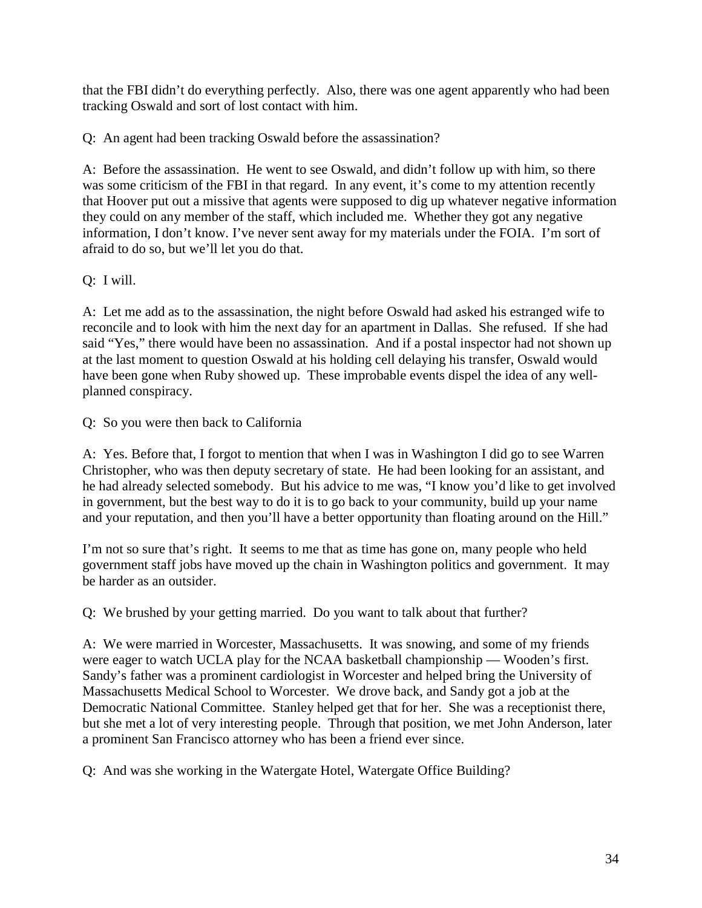that the FBI didn't do everything perfectly. Also, there was one agent apparently who had been tracking Oswald and sort of lost contact with him.

Q: An agent had been tracking Oswald before the assassination?

A: Before the assassination. He went to see Oswald, and didn't follow up with him, so there was some criticism of the FBI in that regard. In any event, it's come to my attention recently that Hoover put out a missive that agents were supposed to dig up whatever negative information they could on any member of the staff, which included me. Whether they got any negative information, I don't know. I've never sent away for my materials under the FOIA. I'm sort of afraid to do so, but we'll let you do that.

Q: I will.

A: Let me add as to the assassination, the night before Oswald had asked his estranged wife to reconcile and to look with him the next day for an apartment in Dallas. She refused. If she had said "Yes," there would have been no assassination. And if a postal inspector had not shown up at the last moment to question Oswald at his holding cell delaying his transfer, Oswald would have been gone when Ruby showed up. These improbable events dispel the idea of any wellplanned conspiracy.

Q: So you were then back to California

A: Yes. Before that, I forgot to mention that when I was in Washington I did go to see Warren Christopher, who was then deputy secretary of state. He had been looking for an assistant, and he had already selected somebody. But his advice to me was, "I know you'd like to get involved in government, but the best way to do it is to go back to your community, build up your name and your reputation, and then you'll have a better opportunity than floating around on the Hill."

I'm not so sure that's right. It seems to me that as time has gone on, many people who held government staff jobs have moved up the chain in Washington politics and government. It may be harder as an outsider.

Q: We brushed by your getting married. Do you want to talk about that further?

A: We were married in Worcester, Massachusetts. It was snowing, and some of my friends were eager to watch UCLA play for the NCAA basketball championship — Wooden's first. Sandy's father was a prominent cardiologist in Worcester and helped bring the University of Massachusetts Medical School to Worcester. We drove back, and Sandy got a job at the Democratic National Committee. Stanley helped get that for her. She was a receptionist there, but she met a lot of very interesting people. Through that position, we met John Anderson, later a prominent San Francisco attorney who has been a friend ever since.

Q: And was she working in the Watergate Hotel, Watergate Office Building?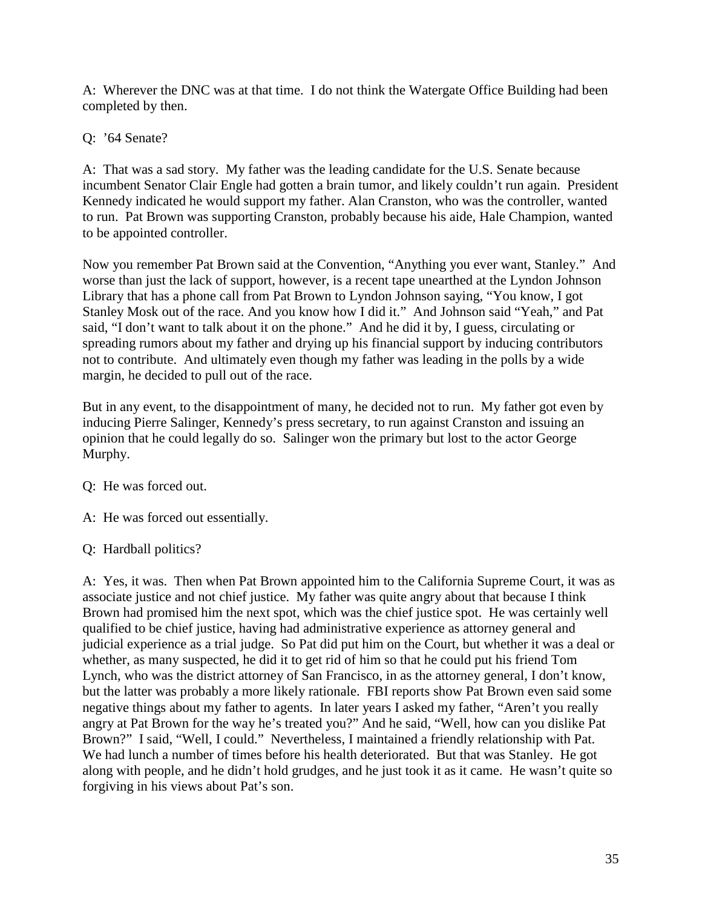A: Wherever the DNC was at that time. I do not think the Watergate Office Building had been completed by then.

Q: '64 Senate?

A: That was a sad story. My father was the leading candidate for the U.S. Senate because incumbent Senator Clair Engle had gotten a brain tumor, and likely couldn't run again. President Kennedy indicated he would support my father. Alan Cranston, who was the controller, wanted to run. Pat Brown was supporting Cranston, probably because his aide, Hale Champion, wanted to be appointed controller.

Now you remember Pat Brown said at the Convention, "Anything you ever want, Stanley." And worse than just the lack of support, however, is a recent tape unearthed at the Lyndon Johnson Library that has a phone call from Pat Brown to Lyndon Johnson saying, "You know, I got Stanley Mosk out of the race. And you know how I did it." And Johnson said "Yeah," and Pat said, "I don't want to talk about it on the phone." And he did it by, I guess, circulating or spreading rumors about my father and drying up his financial support by inducing contributors not to contribute. And ultimately even though my father was leading in the polls by a wide margin, he decided to pull out of the race.

But in any event, to the disappointment of many, he decided not to run. My father got even by inducing Pierre Salinger, Kennedy's press secretary, to run against Cranston and issuing an opinion that he could legally do so. Salinger won the primary but lost to the actor George Murphy.

Q: He was forced out.

A: He was forced out essentially.

# Q: Hardball politics?

A: Yes, it was. Then when Pat Brown appointed him to the California Supreme Court, it was as associate justice and not chief justice. My father was quite angry about that because I think Brown had promised him the next spot, which was the chief justice spot. He was certainly well qualified to be chief justice, having had administrative experience as attorney general and judicial experience as a trial judge. So Pat did put him on the Court, but whether it was a deal or whether, as many suspected, he did it to get rid of him so that he could put his friend Tom Lynch, who was the district attorney of San Francisco, in as the attorney general, I don't know, but the latter was probably a more likely rationale. FBI reports show Pat Brown even said some negative things about my father to agents. In later years I asked my father, "Aren't you really angry at Pat Brown for the way he's treated you?" And he said, "Well, how can you dislike Pat Brown?" I said, "Well, I could." Nevertheless, I maintained a friendly relationship with Pat. We had lunch a number of times before his health deteriorated. But that was Stanley. He got along with people, and he didn't hold grudges, and he just took it as it came. He wasn't quite so forgiving in his views about Pat's son.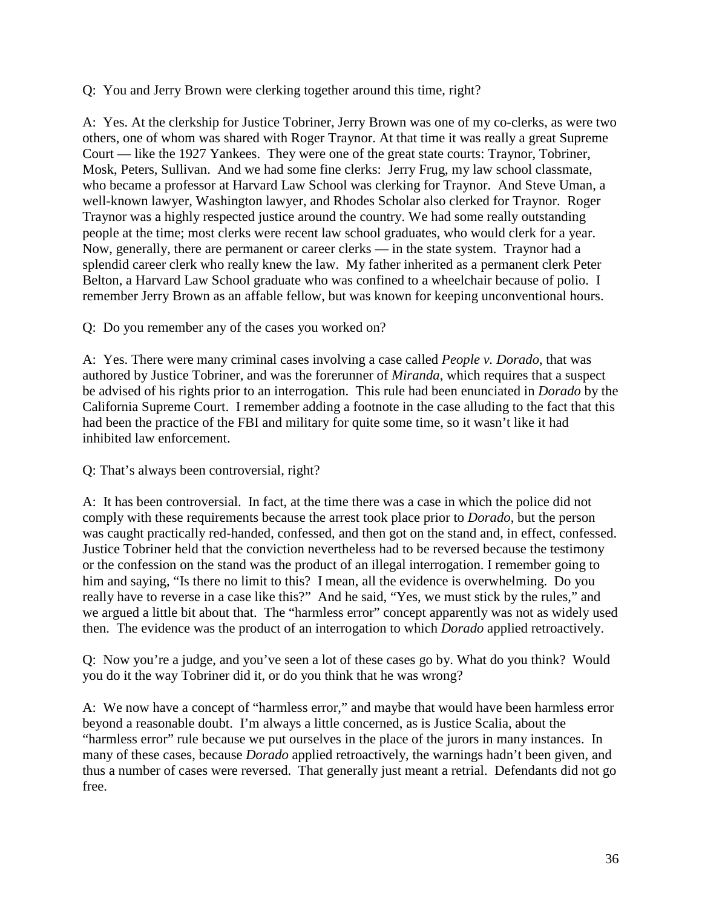Q: You and Jerry Brown were clerking together around this time, right?

A: Yes. At the clerkship for Justice Tobriner, Jerry Brown was one of my co-clerks, as were two others, one of whom was shared with Roger Traynor. At that time it was really a great Supreme Court — like the 1927 Yankees. They were one of the great state courts: Traynor, Tobriner, Mosk, Peters, Sullivan. And we had some fine clerks: Jerry Frug, my law school classmate, who became a professor at Harvard Law School was clerking for Traynor. And Steve Uman, a well-known lawyer, Washington lawyer, and Rhodes Scholar also clerked for Traynor. Roger Traynor was a highly respected justice around the country. We had some really outstanding people at the time; most clerks were recent law school graduates, who would clerk for a year. Now, generally, there are permanent or career clerks — in the state system. Traynor had a splendid career clerk who really knew the law. My father inherited as a permanent clerk Peter Belton, a Harvard Law School graduate who was confined to a wheelchair because of polio. I remember Jerry Brown as an affable fellow, but was known for keeping unconventional hours.

Q: Do you remember any of the cases you worked on?

A: Yes. There were many criminal cases involving a case called *People v. Dorado*, that was authored by Justice Tobriner, and was the forerunner of *Miranda*, which requires that a suspect be advised of his rights prior to an interrogation. This rule had been enunciated in *Dorado* by the California Supreme Court. I remember adding a footnote in the case alluding to the fact that this had been the practice of the FBI and military for quite some time, so it wasn't like it had inhibited law enforcement.

Q: That's always been controversial, right?

A: It has been controversial. In fact, at the time there was a case in which the police did not comply with these requirements because the arrest took place prior to *Dorado*, but the person was caught practically red-handed, confessed, and then got on the stand and, in effect, confessed. Justice Tobriner held that the conviction nevertheless had to be reversed because the testimony or the confession on the stand was the product of an illegal interrogation. I remember going to him and saying, "Is there no limit to this? I mean, all the evidence is overwhelming. Do you really have to reverse in a case like this?" And he said, "Yes, we must stick by the rules," and we argued a little bit about that. The "harmless error" concept apparently was not as widely used then. The evidence was the product of an interrogation to which *Dorado* applied retroactively.

Q: Now you're a judge, and you've seen a lot of these cases go by. What do you think? Would you do it the way Tobriner did it, or do you think that he was wrong?

A: We now have a concept of "harmless error," and maybe that would have been harmless error beyond a reasonable doubt. I'm always a little concerned, as is Justice Scalia, about the "harmless error" rule because we put ourselves in the place of the jurors in many instances. In many of these cases, because *Dorado* applied retroactively, the warnings hadn't been given, and thus a number of cases were reversed. That generally just meant a retrial. Defendants did not go free.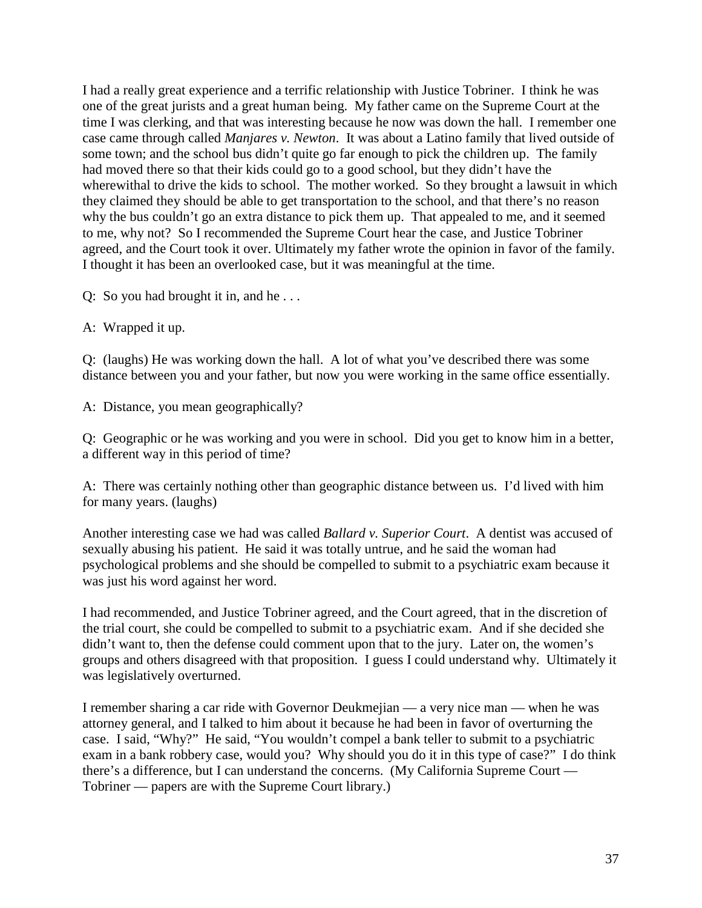I had a really great experience and a terrific relationship with Justice Tobriner. I think he was one of the great jurists and a great human being. My father came on the Supreme Court at the time I was clerking, and that was interesting because he now was down the hall. I remember one case came through called *Manjares v. Newton*. It was about a Latino family that lived outside of some town; and the school bus didn't quite go far enough to pick the children up. The family had moved there so that their kids could go to a good school, but they didn't have the wherewithal to drive the kids to school. The mother worked. So they brought a lawsuit in which they claimed they should be able to get transportation to the school, and that there's no reason why the bus couldn't go an extra distance to pick them up. That appealed to me, and it seemed to me, why not? So I recommended the Supreme Court hear the case, and Justice Tobriner agreed, and the Court took it over. Ultimately my father wrote the opinion in favor of the family. I thought it has been an overlooked case, but it was meaningful at the time.

Q: So you had brought it in, and he . . .

A: Wrapped it up.

Q: (laughs) He was working down the hall. A lot of what you've described there was some distance between you and your father, but now you were working in the same office essentially.

A: Distance, you mean geographically?

Q: Geographic or he was working and you were in school. Did you get to know him in a better, a different way in this period of time?

A: There was certainly nothing other than geographic distance between us. I'd lived with him for many years. (laughs)

Another interesting case we had was called *Ballard v. Superior Court*. A dentist was accused of sexually abusing his patient. He said it was totally untrue, and he said the woman had psychological problems and she should be compelled to submit to a psychiatric exam because it was just his word against her word.

I had recommended, and Justice Tobriner agreed, and the Court agreed, that in the discretion of the trial court, she could be compelled to submit to a psychiatric exam. And if she decided she didn't want to, then the defense could comment upon that to the jury. Later on, the women's groups and others disagreed with that proposition. I guess I could understand why. Ultimately it was legislatively overturned.

I remember sharing a car ride with Governor Deukmejian — a very nice man — when he was attorney general, and I talked to him about it because he had been in favor of overturning the case. I said, "Why?" He said, "You wouldn't compel a bank teller to submit to a psychiatric exam in a bank robbery case, would you? Why should you do it in this type of case?" I do think there's a difference, but I can understand the concerns. (My California Supreme Court — Tobriner — papers are with the Supreme Court library.)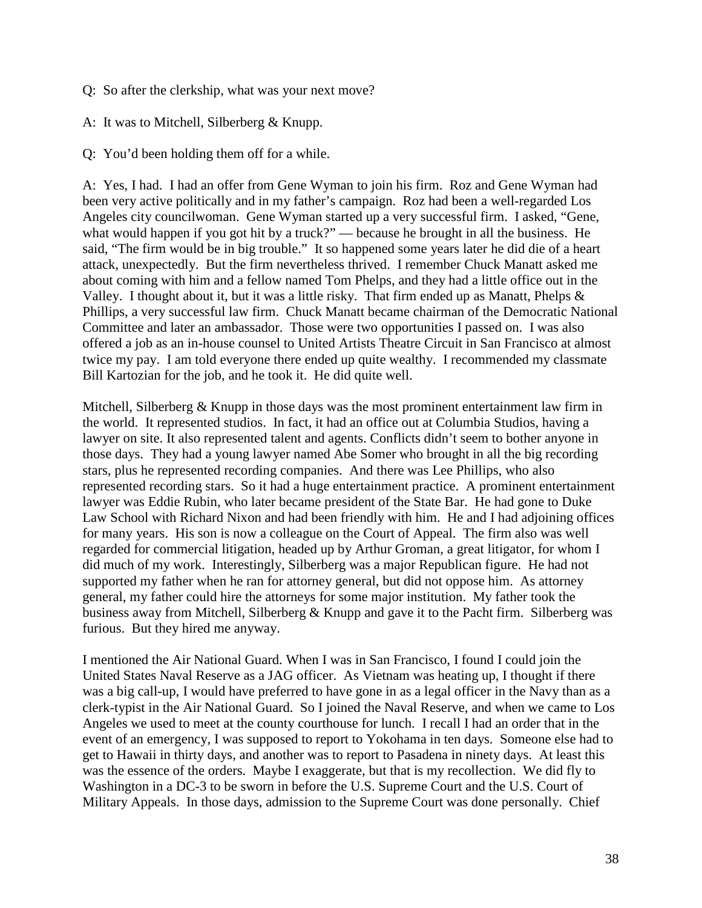- Q: So after the clerkship, what was your next move?
- A: It was to Mitchell, Silberberg & Knupp.
- Q: You'd been holding them off for a while.

A: Yes, I had. I had an offer from Gene Wyman to join his firm. Roz and Gene Wyman had been very active politically and in my father's campaign. Roz had been a well-regarded Los Angeles city councilwoman. Gene Wyman started up a very successful firm. I asked, "Gene, what would happen if you got hit by a truck?" — because he brought in all the business. He said, "The firm would be in big trouble." It so happened some years later he did die of a heart attack, unexpectedly. But the firm nevertheless thrived. I remember Chuck Manatt asked me about coming with him and a fellow named Tom Phelps, and they had a little office out in the Valley. I thought about it, but it was a little risky. That firm ended up as Manatt, Phelps & Phillips, a very successful law firm. Chuck Manatt became chairman of the Democratic National Committee and later an ambassador. Those were two opportunities I passed on. I was also offered a job as an in-house counsel to United Artists Theatre Circuit in San Francisco at almost twice my pay. I am told everyone there ended up quite wealthy. I recommended my classmate Bill Kartozian for the job, and he took it. He did quite well.

Mitchell, Silberberg & Knupp in those days was the most prominent entertainment law firm in the world. It represented studios. In fact, it had an office out at Columbia Studios, having a lawyer on site. It also represented talent and agents. Conflicts didn't seem to bother anyone in those days. They had a young lawyer named Abe Somer who brought in all the big recording stars, plus he represented recording companies. And there was Lee Phillips, who also represented recording stars. So it had a huge entertainment practice. A prominent entertainment lawyer was Eddie Rubin, who later became president of the State Bar. He had gone to Duke Law School with Richard Nixon and had been friendly with him. He and I had adjoining offices for many years. His son is now a colleague on the Court of Appeal. The firm also was well regarded for commercial litigation, headed up by Arthur Groman, a great litigator, for whom I did much of my work. Interestingly, Silberberg was a major Republican figure. He had not supported my father when he ran for attorney general, but did not oppose him. As attorney general, my father could hire the attorneys for some major institution. My father took the business away from Mitchell, Silberberg & Knupp and gave it to the Pacht firm. Silberberg was furious. But they hired me anyway.

I mentioned the Air National Guard. When I was in San Francisco, I found I could join the United States Naval Reserve as a JAG officer. As Vietnam was heating up, I thought if there was a big call-up, I would have preferred to have gone in as a legal officer in the Navy than as a clerk-typist in the Air National Guard. So I joined the Naval Reserve, and when we came to Los Angeles we used to meet at the county courthouse for lunch. I recall I had an order that in the event of an emergency, I was supposed to report to Yokohama in ten days. Someone else had to get to Hawaii in thirty days, and another was to report to Pasadena in ninety days. At least this was the essence of the orders. Maybe I exaggerate, but that is my recollection. We did fly to Washington in a DC-3 to be sworn in before the U.S. Supreme Court and the U.S. Court of Military Appeals. In those days, admission to the Supreme Court was done personally. Chief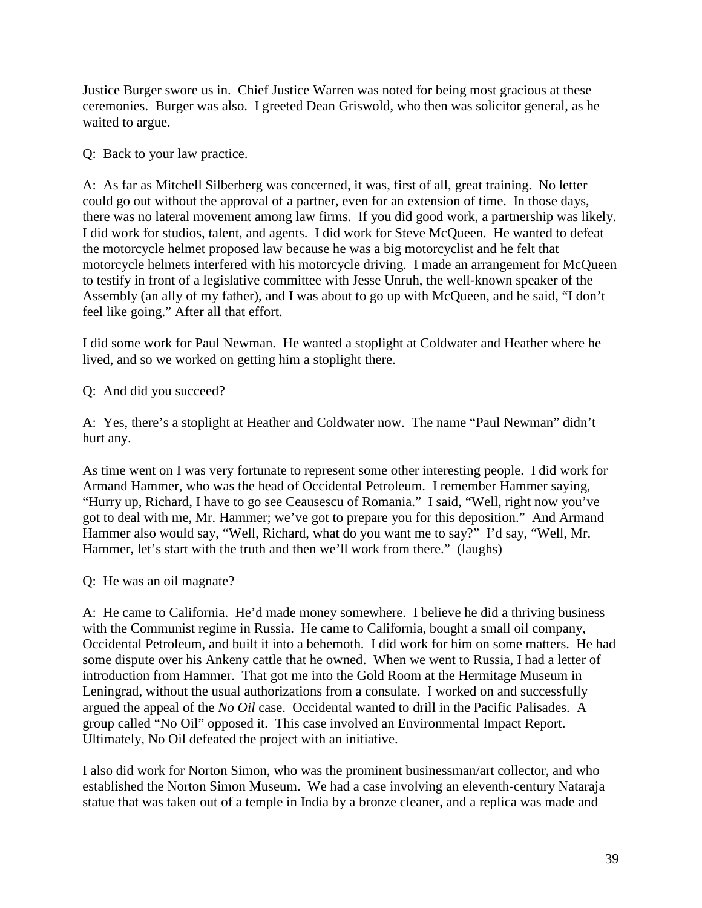Justice Burger swore us in. Chief Justice Warren was noted for being most gracious at these ceremonies. Burger was also. I greeted Dean Griswold, who then was solicitor general, as he waited to argue.

Q: Back to your law practice.

A: As far as Mitchell Silberberg was concerned, it was, first of all, great training. No letter could go out without the approval of a partner, even for an extension of time. In those days, there was no lateral movement among law firms. If you did good work, a partnership was likely. I did work for studios, talent, and agents. I did work for Steve McQueen. He wanted to defeat the motorcycle helmet proposed law because he was a big motorcyclist and he felt that motorcycle helmets interfered with his motorcycle driving. I made an arrangement for McQueen to testify in front of a legislative committee with Jesse Unruh, the well-known speaker of the Assembly (an ally of my father), and I was about to go up with McQueen, and he said, "I don't feel like going." After all that effort.

I did some work for Paul Newman. He wanted a stoplight at Coldwater and Heather where he lived, and so we worked on getting him a stoplight there.

Q: And did you succeed?

A: Yes, there's a stoplight at Heather and Coldwater now. The name "Paul Newman" didn't hurt any.

As time went on I was very fortunate to represent some other interesting people. I did work for Armand Hammer, who was the head of Occidental Petroleum. I remember Hammer saying, "Hurry up, Richard, I have to go see Ceausescu of Romania." I said, "Well, right now you've got to deal with me, Mr. Hammer; we've got to prepare you for this deposition." And Armand Hammer also would say, "Well, Richard, what do you want me to say?" I'd say, "Well, Mr. Hammer, let's start with the truth and then we'll work from there." (laughs)

Q: He was an oil magnate?

A: He came to California. He'd made money somewhere. I believe he did a thriving business with the Communist regime in Russia. He came to California, bought a small oil company, Occidental Petroleum, and built it into a behemoth. I did work for him on some matters. He had some dispute over his Ankeny cattle that he owned. When we went to Russia, I had a letter of introduction from Hammer. That got me into the Gold Room at the Hermitage Museum in Leningrad, without the usual authorizations from a consulate. I worked on and successfully argued the appeal of the *No Oil* case. Occidental wanted to drill in the Pacific Palisades. A group called "No Oil" opposed it. This case involved an Environmental Impact Report. Ultimately, No Oil defeated the project with an initiative.

I also did work for Norton Simon, who was the prominent businessman/art collector, and who established the Norton Simon Museum. We had a case involving an eleventh-century Nataraja statue that was taken out of a temple in India by a bronze cleaner, and a replica was made and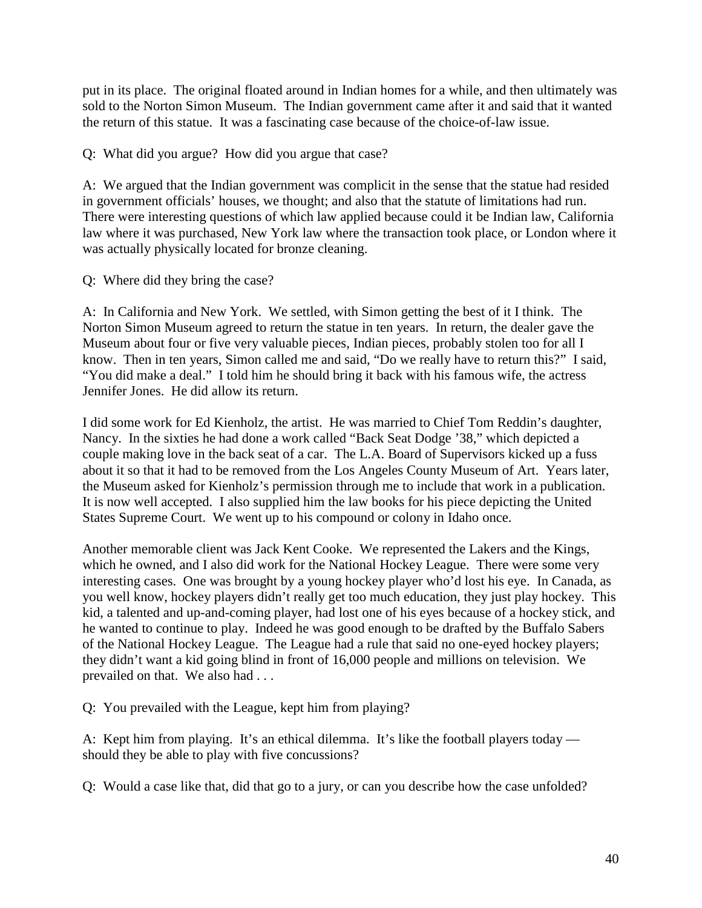put in its place. The original floated around in Indian homes for a while, and then ultimately was sold to the Norton Simon Museum. The Indian government came after it and said that it wanted the return of this statue. It was a fascinating case because of the choice-of-law issue.

Q: What did you argue? How did you argue that case?

A: We argued that the Indian government was complicit in the sense that the statue had resided in government officials' houses, we thought; and also that the statute of limitations had run. There were interesting questions of which law applied because could it be Indian law, California law where it was purchased, New York law where the transaction took place, or London where it was actually physically located for bronze cleaning.

Q: Where did they bring the case?

A: In California and New York. We settled, with Simon getting the best of it I think. The Norton Simon Museum agreed to return the statue in ten years. In return, the dealer gave the Museum about four or five very valuable pieces, Indian pieces, probably stolen too for all I know. Then in ten years, Simon called me and said, "Do we really have to return this?" I said, "You did make a deal." I told him he should bring it back with his famous wife, the actress Jennifer Jones. He did allow its return.

I did some work for Ed Kienholz, the artist. He was married to Chief Tom Reddin's daughter, Nancy. In the sixties he had done a work called "Back Seat Dodge '38," which depicted a couple making love in the back seat of a car. The L.A. Board of Supervisors kicked up a fuss about it so that it had to be removed from the Los Angeles County Museum of Art. Years later, the Museum asked for Kienholz's permission through me to include that work in a publication. It is now well accepted. I also supplied him the law books for his piece depicting the United States Supreme Court. We went up to his compound or colony in Idaho once.

Another memorable client was Jack Kent Cooke. We represented the Lakers and the Kings, which he owned, and I also did work for the National Hockey League. There were some very interesting cases. One was brought by a young hockey player who'd lost his eye. In Canada, as you well know, hockey players didn't really get too much education, they just play hockey. This kid, a talented and up-and-coming player, had lost one of his eyes because of a hockey stick, and he wanted to continue to play. Indeed he was good enough to be drafted by the Buffalo Sabers of the National Hockey League. The League had a rule that said no one-eyed hockey players; they didn't want a kid going blind in front of 16,000 people and millions on television. We prevailed on that. We also had . . .

Q: You prevailed with the League, kept him from playing?

A: Kept him from playing. It's an ethical dilemma. It's like the football players today should they be able to play with five concussions?

Q: Would a case like that, did that go to a jury, or can you describe how the case unfolded?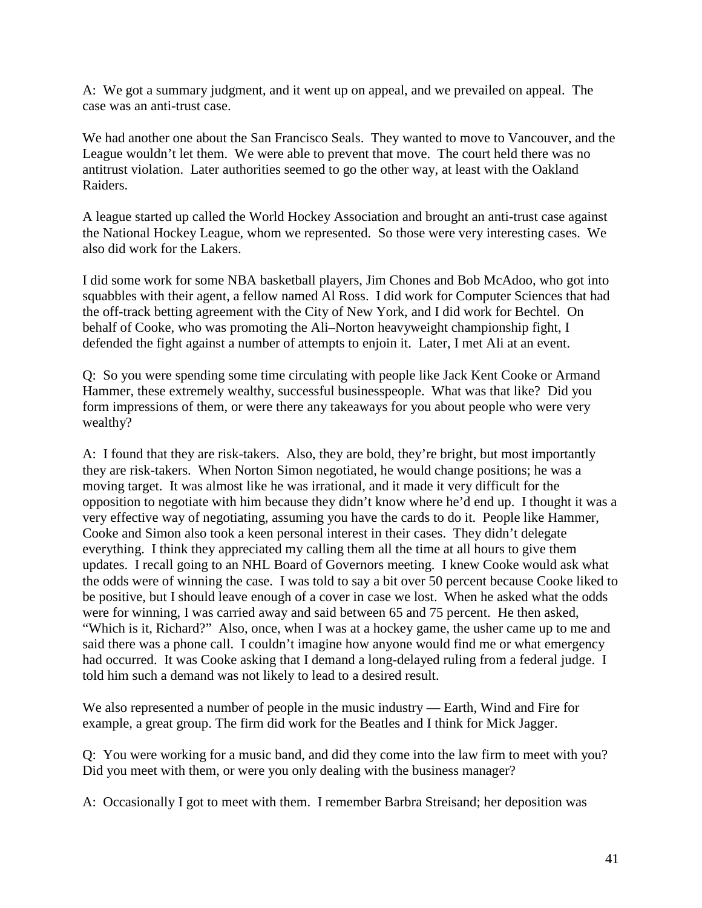A: We got a summary judgment, and it went up on appeal, and we prevailed on appeal. The case was an anti-trust case.

We had another one about the San Francisco Seals. They wanted to move to Vancouver, and the League wouldn't let them. We were able to prevent that move. The court held there was no antitrust violation. Later authorities seemed to go the other way, at least with the Oakland Raiders.

A league started up called the World Hockey Association and brought an anti-trust case against the National Hockey League, whom we represented. So those were very interesting cases. We also did work for the Lakers.

I did some work for some NBA basketball players, Jim Chones and Bob McAdoo, who got into squabbles with their agent, a fellow named Al Ross. I did work for Computer Sciences that had the off-track betting agreement with the City of New York, and I did work for Bechtel. On behalf of Cooke, who was promoting the Ali–Norton heavyweight championship fight, I defended the fight against a number of attempts to enjoin it. Later, I met Ali at an event.

Q: So you were spending some time circulating with people like Jack Kent Cooke or Armand Hammer, these extremely wealthy, successful businesspeople. What was that like? Did you form impressions of them, or were there any takeaways for you about people who were very wealthy?

A: I found that they are risk-takers. Also, they are bold, they're bright, but most importantly they are risk-takers. When Norton Simon negotiated, he would change positions; he was a moving target. It was almost like he was irrational, and it made it very difficult for the opposition to negotiate with him because they didn't know where he'd end up. I thought it was a very effective way of negotiating, assuming you have the cards to do it. People like Hammer, Cooke and Simon also took a keen personal interest in their cases. They didn't delegate everything. I think they appreciated my calling them all the time at all hours to give them updates. I recall going to an NHL Board of Governors meeting. I knew Cooke would ask what the odds were of winning the case. I was told to say a bit over 50 percent because Cooke liked to be positive, but I should leave enough of a cover in case we lost. When he asked what the odds were for winning, I was carried away and said between 65 and 75 percent. He then asked, "Which is it, Richard?" Also, once, when I was at a hockey game, the usher came up to me and said there was a phone call. I couldn't imagine how anyone would find me or what emergency had occurred. It was Cooke asking that I demand a long-delayed ruling from a federal judge. I told him such a demand was not likely to lead to a desired result.

We also represented a number of people in the music industry — Earth, Wind and Fire for example, a great group. The firm did work for the Beatles and I think for Mick Jagger.

Q: You were working for a music band, and did they come into the law firm to meet with you? Did you meet with them, or were you only dealing with the business manager?

A: Occasionally I got to meet with them. I remember Barbra Streisand; her deposition was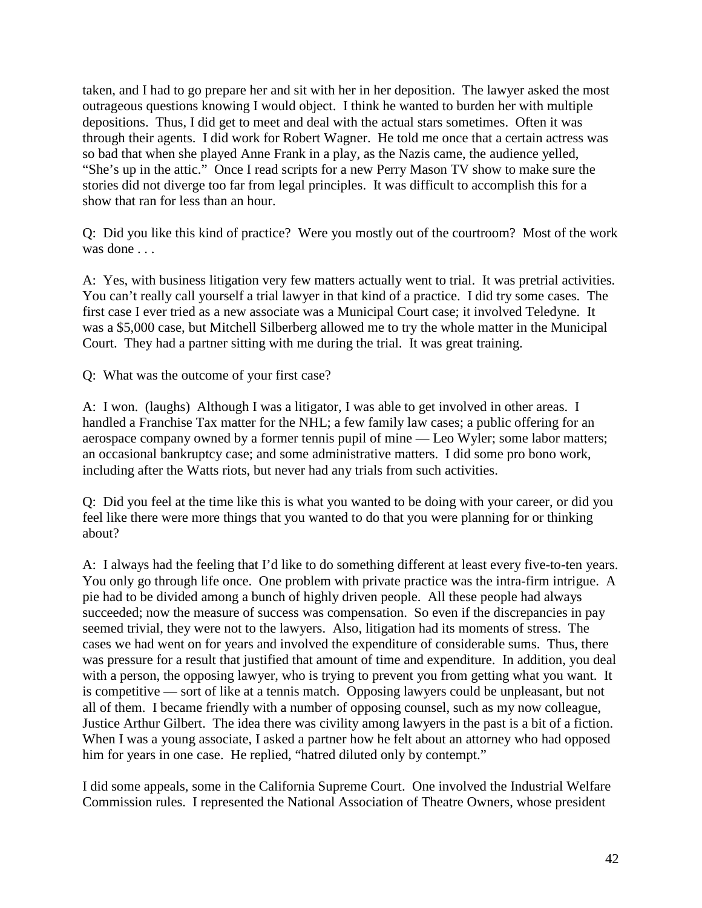taken, and I had to go prepare her and sit with her in her deposition. The lawyer asked the most outrageous questions knowing I would object. I think he wanted to burden her with multiple depositions. Thus, I did get to meet and deal with the actual stars sometimes. Often it was through their agents. I did work for Robert Wagner. He told me once that a certain actress was so bad that when she played Anne Frank in a play, as the Nazis came, the audience yelled, "She's up in the attic." Once I read scripts for a new Perry Mason TV show to make sure the stories did not diverge too far from legal principles. It was difficult to accomplish this for a show that ran for less than an hour.

Q: Did you like this kind of practice? Were you mostly out of the courtroom? Most of the work was done . . . .

A: Yes, with business litigation very few matters actually went to trial. It was pretrial activities. You can't really call yourself a trial lawyer in that kind of a practice. I did try some cases. The first case I ever tried as a new associate was a Municipal Court case; it involved Teledyne. It was a \$5,000 case, but Mitchell Silberberg allowed me to try the whole matter in the Municipal Court. They had a partner sitting with me during the trial. It was great training.

Q: What was the outcome of your first case?

A: I won. (laughs) Although I was a litigator, I was able to get involved in other areas. I handled a Franchise Tax matter for the NHL; a few family law cases; a public offering for an aerospace company owned by a former tennis pupil of mine — Leo Wyler; some labor matters; an occasional bankruptcy case; and some administrative matters. I did some pro bono work, including after the Watts riots, but never had any trials from such activities.

Q: Did you feel at the time like this is what you wanted to be doing with your career, or did you feel like there were more things that you wanted to do that you were planning for or thinking about?

A: I always had the feeling that I'd like to do something different at least every five-to-ten years. You only go through life once. One problem with private practice was the intra-firm intrigue. A pie had to be divided among a bunch of highly driven people. All these people had always succeeded; now the measure of success was compensation. So even if the discrepancies in pay seemed trivial, they were not to the lawyers. Also, litigation had its moments of stress. The cases we had went on for years and involved the expenditure of considerable sums. Thus, there was pressure for a result that justified that amount of time and expenditure. In addition, you deal with a person, the opposing lawyer, who is trying to prevent you from getting what you want. It is competitive — sort of like at a tennis match. Opposing lawyers could be unpleasant, but not all of them. I became friendly with a number of opposing counsel, such as my now colleague, Justice Arthur Gilbert. The idea there was civility among lawyers in the past is a bit of a fiction. When I was a young associate, I asked a partner how he felt about an attorney who had opposed him for years in one case. He replied, "hatred diluted only by contempt."

I did some appeals, some in the California Supreme Court. One involved the Industrial Welfare Commission rules. I represented the National Association of Theatre Owners, whose president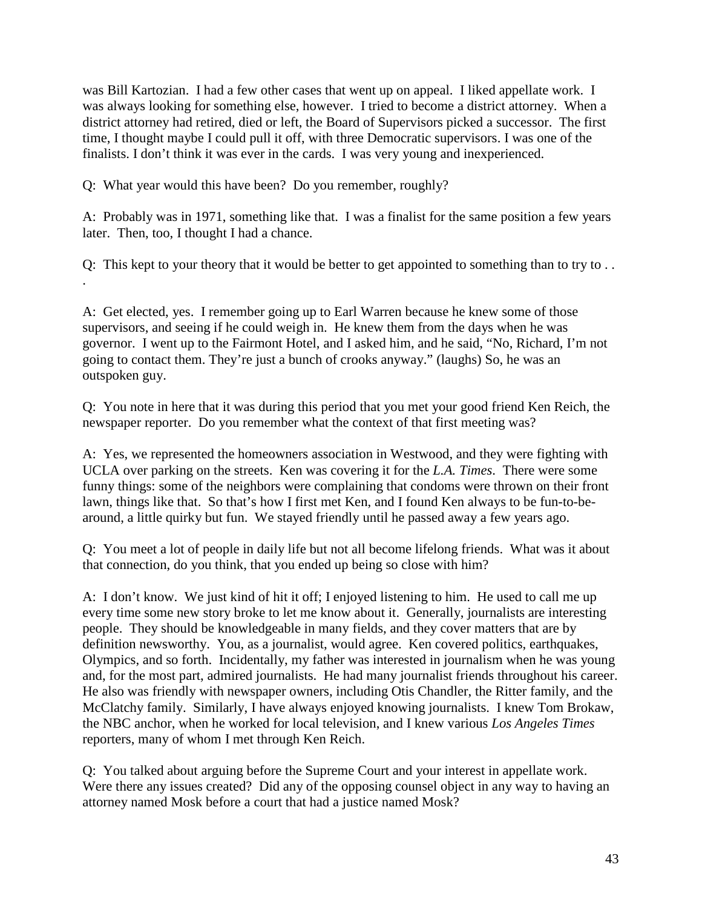was Bill Kartozian. I had a few other cases that went up on appeal. I liked appellate work. I was always looking for something else, however. I tried to become a district attorney. When a district attorney had retired, died or left, the Board of Supervisors picked a successor. The first time, I thought maybe I could pull it off, with three Democratic supervisors. I was one of the finalists. I don't think it was ever in the cards. I was very young and inexperienced.

Q: What year would this have been? Do you remember, roughly?

A: Probably was in 1971, something like that. I was a finalist for the same position a few years later. Then, too, I thought I had a chance.

Q: This kept to your theory that it would be better to get appointed to something than to try to . . .

A: Get elected, yes. I remember going up to Earl Warren because he knew some of those supervisors, and seeing if he could weigh in. He knew them from the days when he was governor. I went up to the Fairmont Hotel, and I asked him, and he said, "No, Richard, I'm not going to contact them. They're just a bunch of crooks anyway." (laughs) So, he was an outspoken guy.

Q: You note in here that it was during this period that you met your good friend Ken Reich, the newspaper reporter. Do you remember what the context of that first meeting was?

A: Yes, we represented the homeowners association in Westwood, and they were fighting with UCLA over parking on the streets. Ken was covering it for the *L.A. Times*. There were some funny things: some of the neighbors were complaining that condoms were thrown on their front lawn, things like that. So that's how I first met Ken, and I found Ken always to be fun-to-bearound, a little quirky but fun. We stayed friendly until he passed away a few years ago.

Q: You meet a lot of people in daily life but not all become lifelong friends. What was it about that connection, do you think, that you ended up being so close with him?

A: I don't know. We just kind of hit it off; I enjoyed listening to him. He used to call me up every time some new story broke to let me know about it. Generally, journalists are interesting people. They should be knowledgeable in many fields, and they cover matters that are by definition newsworthy. You, as a journalist, would agree. Ken covered politics, earthquakes, Olympics, and so forth. Incidentally, my father was interested in journalism when he was young and, for the most part, admired journalists. He had many journalist friends throughout his career. He also was friendly with newspaper owners, including Otis Chandler, the Ritter family, and the McClatchy family. Similarly, I have always enjoyed knowing journalists. I knew Tom Brokaw, the NBC anchor, when he worked for local television, and I knew various *Los Angeles Times* reporters, many of whom I met through Ken Reich.

Q: You talked about arguing before the Supreme Court and your interest in appellate work. Were there any issues created? Did any of the opposing counsel object in any way to having an attorney named Mosk before a court that had a justice named Mosk?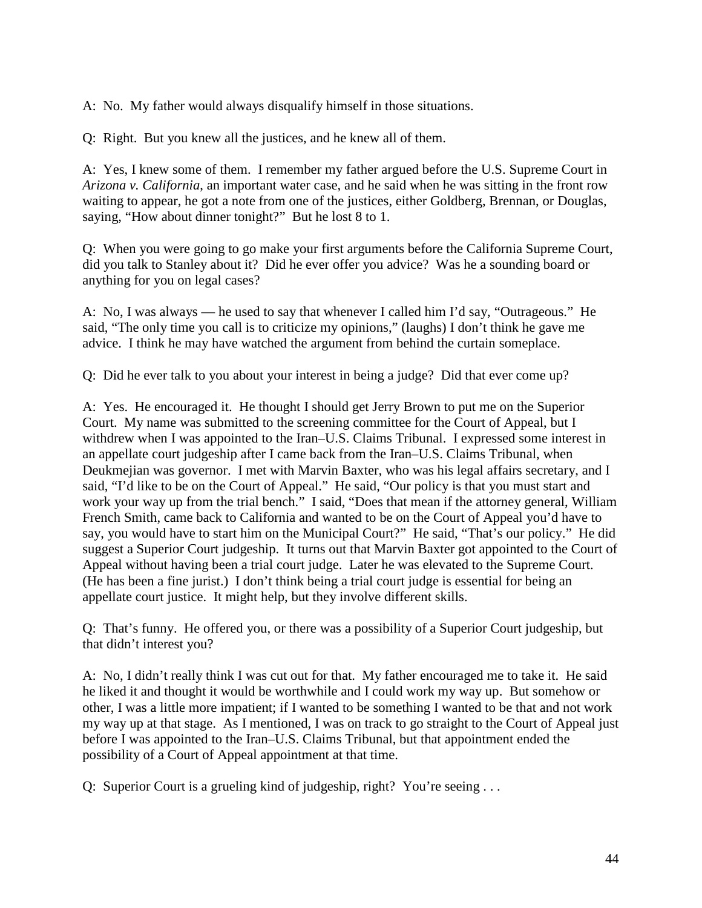A: No. My father would always disqualify himself in those situations.

Q: Right. But you knew all the justices, and he knew all of them.

A: Yes, I knew some of them. I remember my father argued before the U.S. Supreme Court in *Arizona v. California*, an important water case, and he said when he was sitting in the front row waiting to appear, he got a note from one of the justices, either Goldberg, Brennan, or Douglas, saying, "How about dinner tonight?" But he lost 8 to 1.

Q: When you were going to go make your first arguments before the California Supreme Court, did you talk to Stanley about it? Did he ever offer you advice? Was he a sounding board or anything for you on legal cases?

A: No, I was always — he used to say that whenever I called him I'd say, "Outrageous." He said, "The only time you call is to criticize my opinions," (laughs) I don't think he gave me advice. I think he may have watched the argument from behind the curtain someplace.

Q: Did he ever talk to you about your interest in being a judge? Did that ever come up?

A: Yes. He encouraged it. He thought I should get Jerry Brown to put me on the Superior Court. My name was submitted to the screening committee for the Court of Appeal, but I withdrew when I was appointed to the Iran–U.S. Claims Tribunal. I expressed some interest in an appellate court judgeship after I came back from the Iran–U.S. Claims Tribunal, when Deukmejian was governor. I met with Marvin Baxter, who was his legal affairs secretary, and I said, "I'd like to be on the Court of Appeal." He said, "Our policy is that you must start and work your way up from the trial bench." I said, "Does that mean if the attorney general, William French Smith, came back to California and wanted to be on the Court of Appeal you'd have to say, you would have to start him on the Municipal Court?" He said, "That's our policy." He did suggest a Superior Court judgeship. It turns out that Marvin Baxter got appointed to the Court of Appeal without having been a trial court judge. Later he was elevated to the Supreme Court. (He has been a fine jurist.) I don't think being a trial court judge is essential for being an appellate court justice. It might help, but they involve different skills.

Q: That's funny. He offered you, or there was a possibility of a Superior Court judgeship, but that didn't interest you?

A: No, I didn't really think I was cut out for that. My father encouraged me to take it. He said he liked it and thought it would be worthwhile and I could work my way up. But somehow or other, I was a little more impatient; if I wanted to be something I wanted to be that and not work my way up at that stage. As I mentioned, I was on track to go straight to the Court of Appeal just before I was appointed to the Iran–U.S. Claims Tribunal, but that appointment ended the possibility of a Court of Appeal appointment at that time.

Q: Superior Court is a grueling kind of judgeship, right? You're seeing ...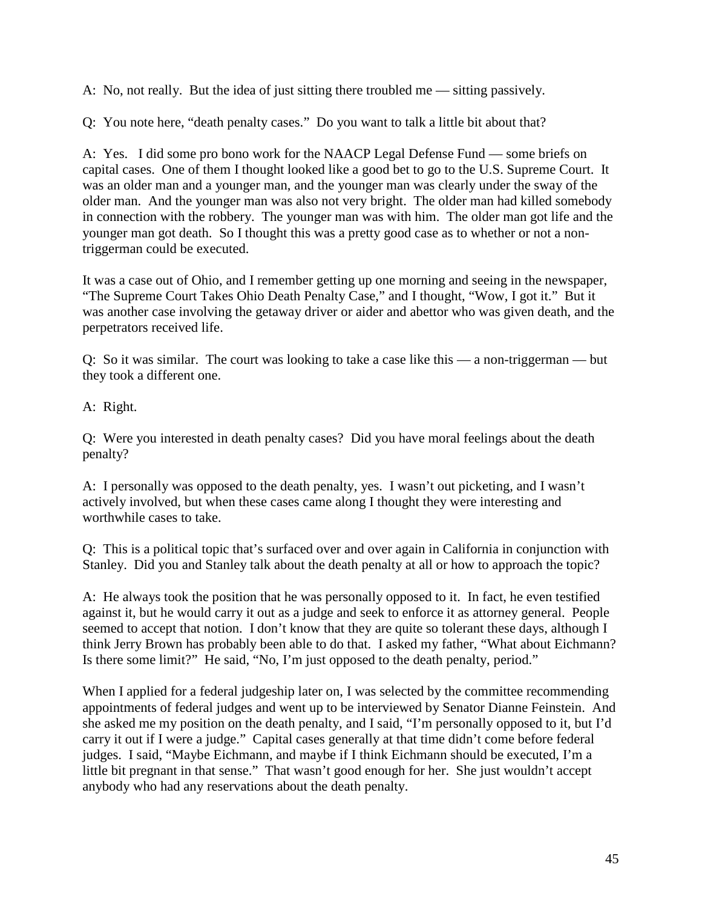A: No, not really. But the idea of just sitting there troubled me — sitting passively.

Q: You note here, "death penalty cases." Do you want to talk a little bit about that?

A: Yes. I did some pro bono work for the NAACP Legal Defense Fund — some briefs on capital cases. One of them I thought looked like a good bet to go to the U.S. Supreme Court. It was an older man and a younger man, and the younger man was clearly under the sway of the older man. And the younger man was also not very bright. The older man had killed somebody in connection with the robbery. The younger man was with him. The older man got life and the younger man got death. So I thought this was a pretty good case as to whether or not a nontriggerman could be executed.

It was a case out of Ohio, and I remember getting up one morning and seeing in the newspaper, "The Supreme Court Takes Ohio Death Penalty Case," and I thought, "Wow, I got it." But it was another case involving the getaway driver or aider and abettor who was given death, and the perpetrators received life.

Q: So it was similar. The court was looking to take a case like this — a non-triggerman — but they took a different one.

A: Right.

Q: Were you interested in death penalty cases? Did you have moral feelings about the death penalty?

A: I personally was opposed to the death penalty, yes. I wasn't out picketing, and I wasn't actively involved, but when these cases came along I thought they were interesting and worthwhile cases to take.

Q: This is a political topic that's surfaced over and over again in California in conjunction with Stanley. Did you and Stanley talk about the death penalty at all or how to approach the topic?

A: He always took the position that he was personally opposed to it. In fact, he even testified against it, but he would carry it out as a judge and seek to enforce it as attorney general. People seemed to accept that notion. I don't know that they are quite so tolerant these days, although I think Jerry Brown has probably been able to do that. I asked my father, "What about Eichmann? Is there some limit?" He said, "No, I'm just opposed to the death penalty, period."

When I applied for a federal judgeship later on, I was selected by the committee recommending appointments of federal judges and went up to be interviewed by Senator Dianne Feinstein. And she asked me my position on the death penalty, and I said, "I'm personally opposed to it, but I'd carry it out if I were a judge." Capital cases generally at that time didn't come before federal judges. I said, "Maybe Eichmann, and maybe if I think Eichmann should be executed, I'm a little bit pregnant in that sense." That wasn't good enough for her. She just wouldn't accept anybody who had any reservations about the death penalty.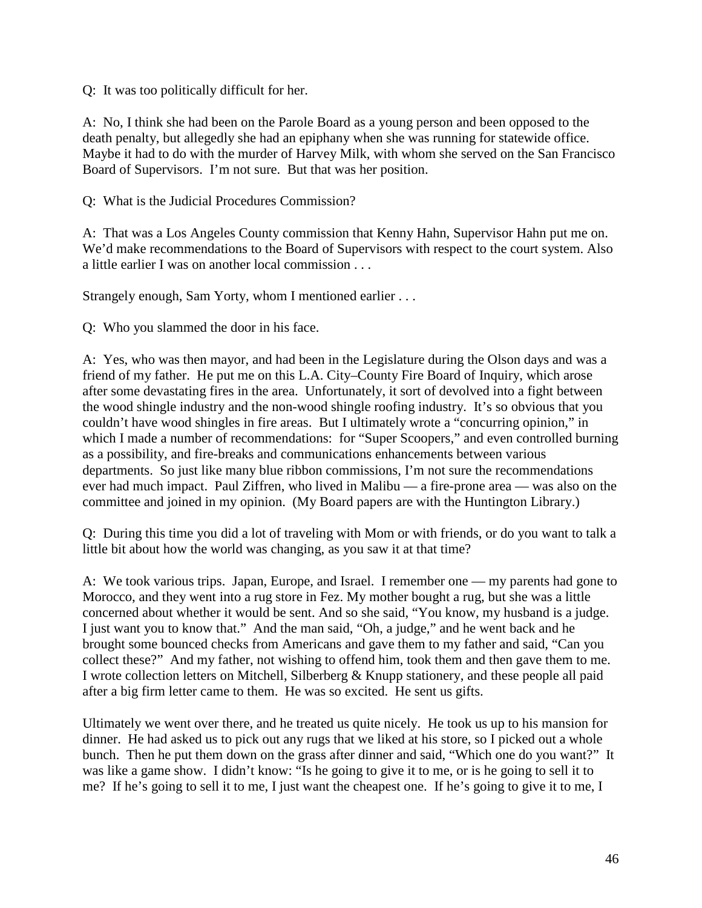Q: It was too politically difficult for her.

A: No, I think she had been on the Parole Board as a young person and been opposed to the death penalty, but allegedly she had an epiphany when she was running for statewide office. Maybe it had to do with the murder of Harvey Milk, with whom she served on the San Francisco Board of Supervisors. I'm not sure. But that was her position.

Q: What is the Judicial Procedures Commission?

A: That was a Los Angeles County commission that Kenny Hahn, Supervisor Hahn put me on. We'd make recommendations to the Board of Supervisors with respect to the court system. Also a little earlier I was on another local commission . . .

Strangely enough, Sam Yorty, whom I mentioned earlier . . .

Q: Who you slammed the door in his face.

A: Yes, who was then mayor, and had been in the Legislature during the Olson days and was a friend of my father. He put me on this L.A. City–County Fire Board of Inquiry, which arose after some devastating fires in the area. Unfortunately, it sort of devolved into a fight between the wood shingle industry and the non-wood shingle roofing industry. It's so obvious that you couldn't have wood shingles in fire areas. But I ultimately wrote a "concurring opinion," in which I made a number of recommendations: for "Super Scoopers," and even controlled burning as a possibility, and fire-breaks and communications enhancements between various departments. So just like many blue ribbon commissions, I'm not sure the recommendations ever had much impact. Paul Ziffren, who lived in Malibu — a fire-prone area — was also on the committee and joined in my opinion. (My Board papers are with the Huntington Library.)

Q: During this time you did a lot of traveling with Mom or with friends, or do you want to talk a little bit about how the world was changing, as you saw it at that time?

A: We took various trips. Japan, Europe, and Israel. I remember one — my parents had gone to Morocco, and they went into a rug store in Fez. My mother bought a rug, but she was a little concerned about whether it would be sent. And so she said, "You know, my husband is a judge. I just want you to know that." And the man said, "Oh, a judge," and he went back and he brought some bounced checks from Americans and gave them to my father and said, "Can you collect these?" And my father, not wishing to offend him, took them and then gave them to me. I wrote collection letters on Mitchell, Silberberg & Knupp stationery, and these people all paid after a big firm letter came to them. He was so excited. He sent us gifts.

Ultimately we went over there, and he treated us quite nicely. He took us up to his mansion for dinner. He had asked us to pick out any rugs that we liked at his store, so I picked out a whole bunch. Then he put them down on the grass after dinner and said, "Which one do you want?" It was like a game show. I didn't know: "Is he going to give it to me, or is he going to sell it to me? If he's going to sell it to me, I just want the cheapest one. If he's going to give it to me, I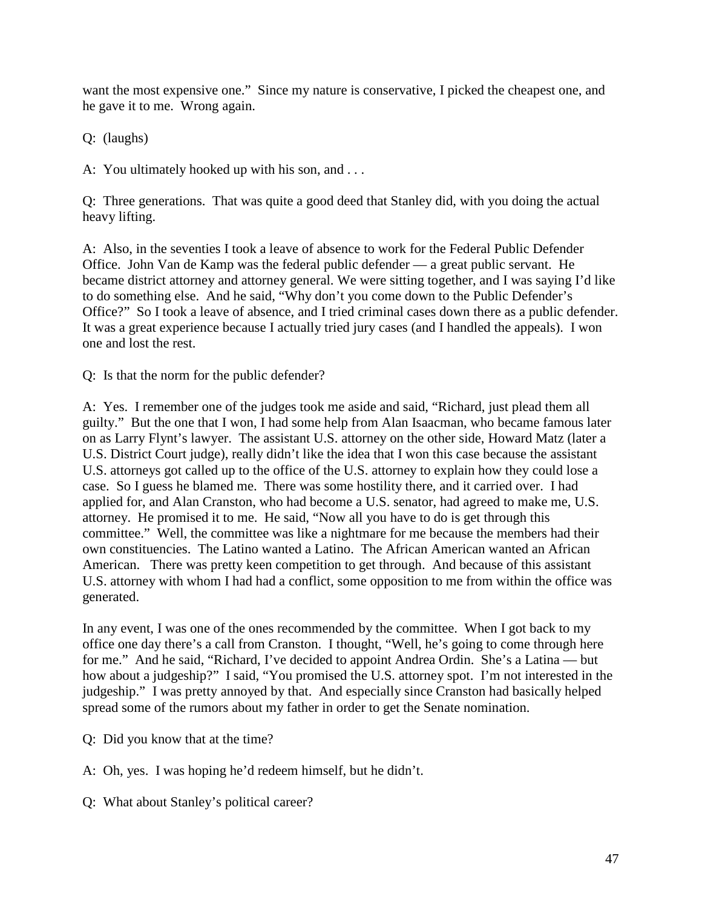want the most expensive one." Since my nature is conservative, I picked the cheapest one, and he gave it to me. Wrong again.

Q: (laughs)

A: You ultimately hooked up with his son, and . . .

Q: Three generations. That was quite a good deed that Stanley did, with you doing the actual heavy lifting.

A: Also, in the seventies I took a leave of absence to work for the Federal Public Defender Office. John Van de Kamp was the federal public defender — a great public servant. He became district attorney and attorney general. We were sitting together, and I was saying I'd like to do something else. And he said, "Why don't you come down to the Public Defender's Office?" So I took a leave of absence, and I tried criminal cases down there as a public defender. It was a great experience because I actually tried jury cases (and I handled the appeals). I won one and lost the rest.

Q: Is that the norm for the public defender?

A: Yes. I remember one of the judges took me aside and said, "Richard, just plead them all guilty." But the one that I won, I had some help from Alan Isaacman, who became famous later on as Larry Flynt's lawyer. The assistant U.S. attorney on the other side, Howard Matz (later a U.S. District Court judge), really didn't like the idea that I won this case because the assistant U.S. attorneys got called up to the office of the U.S. attorney to explain how they could lose a case. So I guess he blamed me. There was some hostility there, and it carried over. I had applied for, and Alan Cranston, who had become a U.S. senator, had agreed to make me, U.S. attorney. He promised it to me. He said, "Now all you have to do is get through this committee." Well, the committee was like a nightmare for me because the members had their own constituencies. The Latino wanted a Latino. The African American wanted an African American. There was pretty keen competition to get through. And because of this assistant U.S. attorney with whom I had had a conflict, some opposition to me from within the office was generated.

In any event, I was one of the ones recommended by the committee. When I got back to my office one day there's a call from Cranston. I thought, "Well, he's going to come through here for me." And he said, "Richard, I've decided to appoint Andrea Ordin. She's a Latina — but how about a judgeship?" I said, "You promised the U.S. attorney spot. I'm not interested in the judgeship." I was pretty annoyed by that. And especially since Cranston had basically helped spread some of the rumors about my father in order to get the Senate nomination.

- Q: Did you know that at the time?
- A: Oh, yes. I was hoping he'd redeem himself, but he didn't.
- Q: What about Stanley's political career?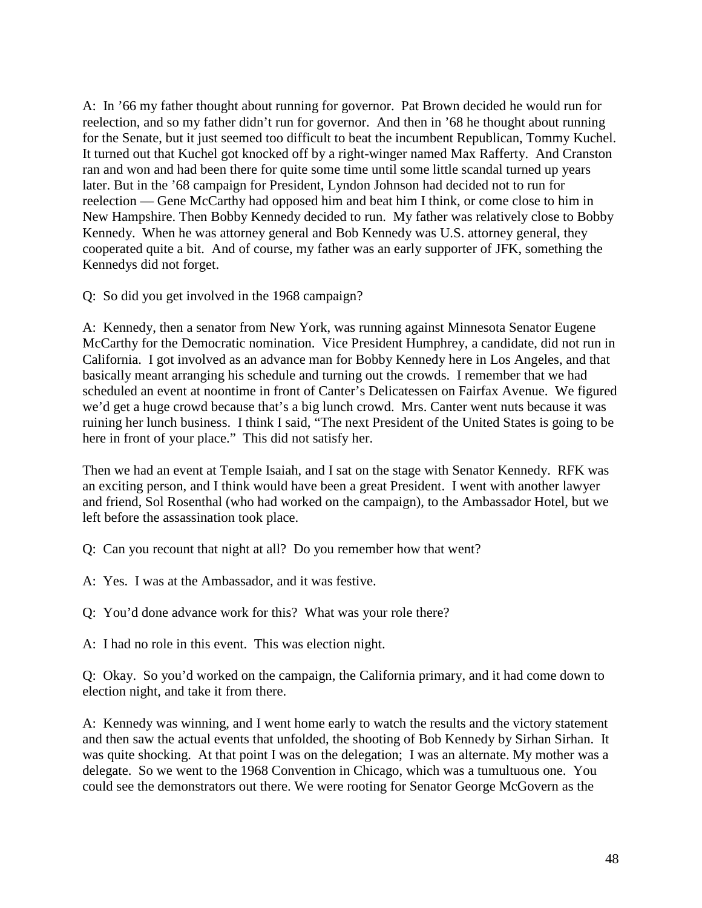A: In '66 my father thought about running for governor. Pat Brown decided he would run for reelection, and so my father didn't run for governor. And then in '68 he thought about running for the Senate, but it just seemed too difficult to beat the incumbent Republican, Tommy Kuchel. It turned out that Kuchel got knocked off by a right-winger named Max Rafferty. And Cranston ran and won and had been there for quite some time until some little scandal turned up years later. But in the '68 campaign for President, Lyndon Johnson had decided not to run for reelection — Gene McCarthy had opposed him and beat him I think, or come close to him in New Hampshire. Then Bobby Kennedy decided to run. My father was relatively close to Bobby Kennedy. When he was attorney general and Bob Kennedy was U.S. attorney general, they cooperated quite a bit. And of course, my father was an early supporter of JFK, something the Kennedys did not forget.

Q: So did you get involved in the 1968 campaign?

A: Kennedy, then a senator from New York, was running against Minnesota Senator Eugene McCarthy for the Democratic nomination. Vice President Humphrey, a candidate, did not run in California. I got involved as an advance man for Bobby Kennedy here in Los Angeles, and that basically meant arranging his schedule and turning out the crowds. I remember that we had scheduled an event at noontime in front of Canter's Delicatessen on Fairfax Avenue. We figured we'd get a huge crowd because that's a big lunch crowd. Mrs. Canter went nuts because it was ruining her lunch business. I think I said, "The next President of the United States is going to be here in front of your place." This did not satisfy her.

Then we had an event at Temple Isaiah, and I sat on the stage with Senator Kennedy. RFK was an exciting person, and I think would have been a great President. I went with another lawyer and friend, Sol Rosenthal (who had worked on the campaign), to the Ambassador Hotel, but we left before the assassination took place.

- Q: Can you recount that night at all? Do you remember how that went?
- A: Yes. I was at the Ambassador, and it was festive.
- Q: You'd done advance work for this? What was your role there?
- A: I had no role in this event. This was election night.

Q: Okay. So you'd worked on the campaign, the California primary, and it had come down to election night, and take it from there.

A: Kennedy was winning, and I went home early to watch the results and the victory statement and then saw the actual events that unfolded, the shooting of Bob Kennedy by Sirhan Sirhan. It was quite shocking. At that point I was on the delegation; I was an alternate. My mother was a delegate. So we went to the 1968 Convention in Chicago, which was a tumultuous one. You could see the demonstrators out there. We were rooting for Senator George McGovern as the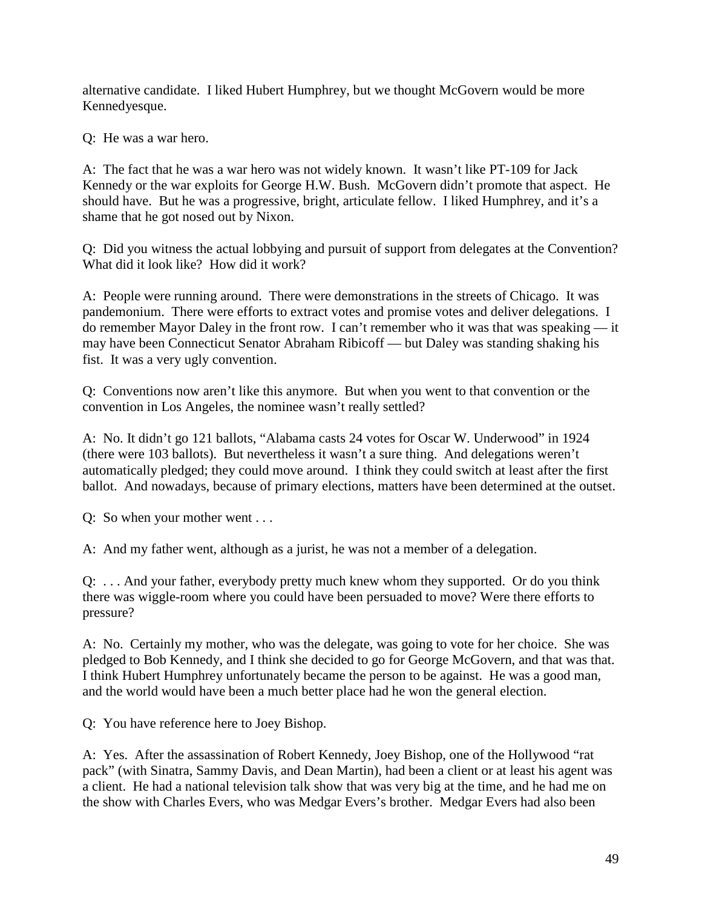alternative candidate. I liked Hubert Humphrey, but we thought McGovern would be more Kennedyesque.

Q: He was a war hero.

A: The fact that he was a war hero was not widely known. It wasn't like PT-109 for Jack Kennedy or the war exploits for George H.W. Bush. McGovern didn't promote that aspect. He should have. But he was a progressive, bright, articulate fellow. I liked Humphrey, and it's a shame that he got nosed out by Nixon.

Q: Did you witness the actual lobbying and pursuit of support from delegates at the Convention? What did it look like? How did it work?

A: People were running around. There were demonstrations in the streets of Chicago. It was pandemonium. There were efforts to extract votes and promise votes and deliver delegations. I do remember Mayor Daley in the front row. I can't remember who it was that was speaking — it may have been Connecticut Senator Abraham Ribicoff — but Daley was standing shaking his fist. It was a very ugly convention.

Q: Conventions now aren't like this anymore. But when you went to that convention or the convention in Los Angeles, the nominee wasn't really settled?

A: No. It didn't go 121 ballots, "Alabama casts 24 votes for Oscar W. Underwood" in 1924 (there were 103 ballots). But nevertheless it wasn't a sure thing. And delegations weren't automatically pledged; they could move around. I think they could switch at least after the first ballot. And nowadays, because of primary elections, matters have been determined at the outset.

Q: So when your mother went . . .

A: And my father went, although as a jurist, he was not a member of a delegation.

Q: . . . And your father, everybody pretty much knew whom they supported. Or do you think there was wiggle-room where you could have been persuaded to move? Were there efforts to pressure?

A: No. Certainly my mother, who was the delegate, was going to vote for her choice. She was pledged to Bob Kennedy, and I think she decided to go for George McGovern, and that was that. I think Hubert Humphrey unfortunately became the person to be against. He was a good man, and the world would have been a much better place had he won the general election.

Q: You have reference here to Joey Bishop.

A: Yes. After the assassination of Robert Kennedy, Joey Bishop, one of the Hollywood "rat pack" (with Sinatra, Sammy Davis, and Dean Martin), had been a client or at least his agent was a client. He had a national television talk show that was very big at the time, and he had me on the show with Charles Evers, who was Medgar Evers's brother. Medgar Evers had also been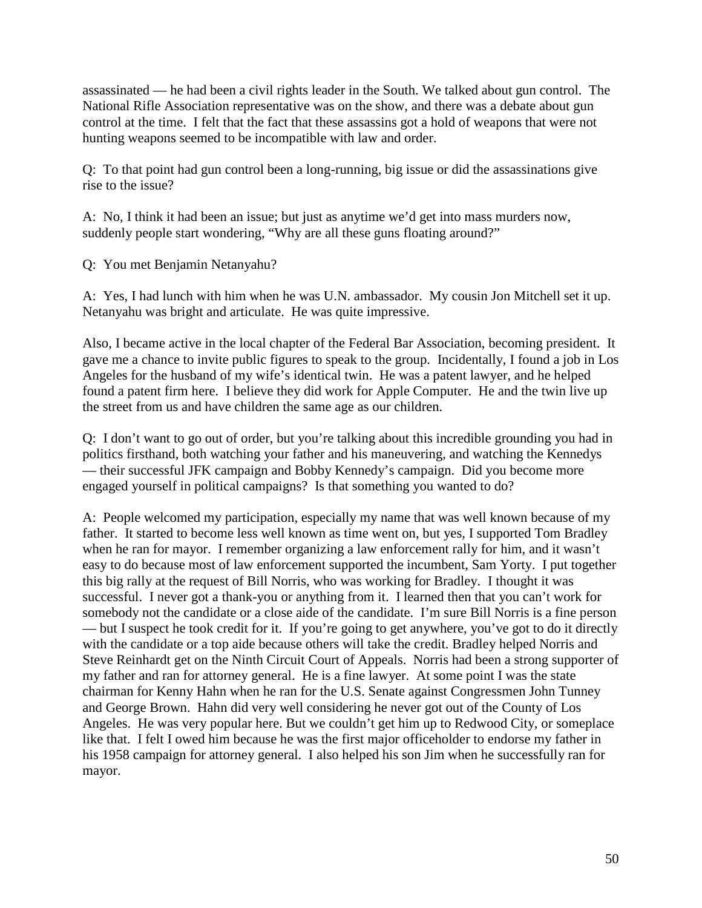assassinated — he had been a civil rights leader in the South. We talked about gun control. The National Rifle Association representative was on the show, and there was a debate about gun control at the time. I felt that the fact that these assassins got a hold of weapons that were not hunting weapons seemed to be incompatible with law and order.

Q: To that point had gun control been a long-running, big issue or did the assassinations give rise to the issue?

A: No, I think it had been an issue; but just as anytime we'd get into mass murders now, suddenly people start wondering, "Why are all these guns floating around?"

Q: You met Benjamin Netanyahu?

A: Yes, I had lunch with him when he was U.N. ambassador. My cousin Jon Mitchell set it up. Netanyahu was bright and articulate. He was quite impressive.

Also, I became active in the local chapter of the Federal Bar Association, becoming president. It gave me a chance to invite public figures to speak to the group. Incidentally, I found a job in Los Angeles for the husband of my wife's identical twin. He was a patent lawyer, and he helped found a patent firm here. I believe they did work for Apple Computer. He and the twin live up the street from us and have children the same age as our children.

Q: I don't want to go out of order, but you're talking about this incredible grounding you had in politics firsthand, both watching your father and his maneuvering, and watching the Kennedys — their successful JFK campaign and Bobby Kennedy's campaign. Did you become more engaged yourself in political campaigns? Is that something you wanted to do?

A: People welcomed my participation, especially my name that was well known because of my father. It started to become less well known as time went on, but yes, I supported Tom Bradley when he ran for mayor. I remember organizing a law enforcement rally for him, and it wasn't easy to do because most of law enforcement supported the incumbent, Sam Yorty. I put together this big rally at the request of Bill Norris, who was working for Bradley. I thought it was successful. I never got a thank-you or anything from it. I learned then that you can't work for somebody not the candidate or a close aide of the candidate. I'm sure Bill Norris is a fine person — but I suspect he took credit for it. If you're going to get anywhere, you've got to do it directly with the candidate or a top aide because others will take the credit. Bradley helped Norris and Steve Reinhardt get on the Ninth Circuit Court of Appeals. Norris had been a strong supporter of my father and ran for attorney general. He is a fine lawyer. At some point I was the state chairman for Kenny Hahn when he ran for the U.S. Senate against Congressmen John Tunney and George Brown. Hahn did very well considering he never got out of the County of Los Angeles. He was very popular here. But we couldn't get him up to Redwood City, or someplace like that. I felt I owed him because he was the first major officeholder to endorse my father in his 1958 campaign for attorney general. I also helped his son Jim when he successfully ran for mayor.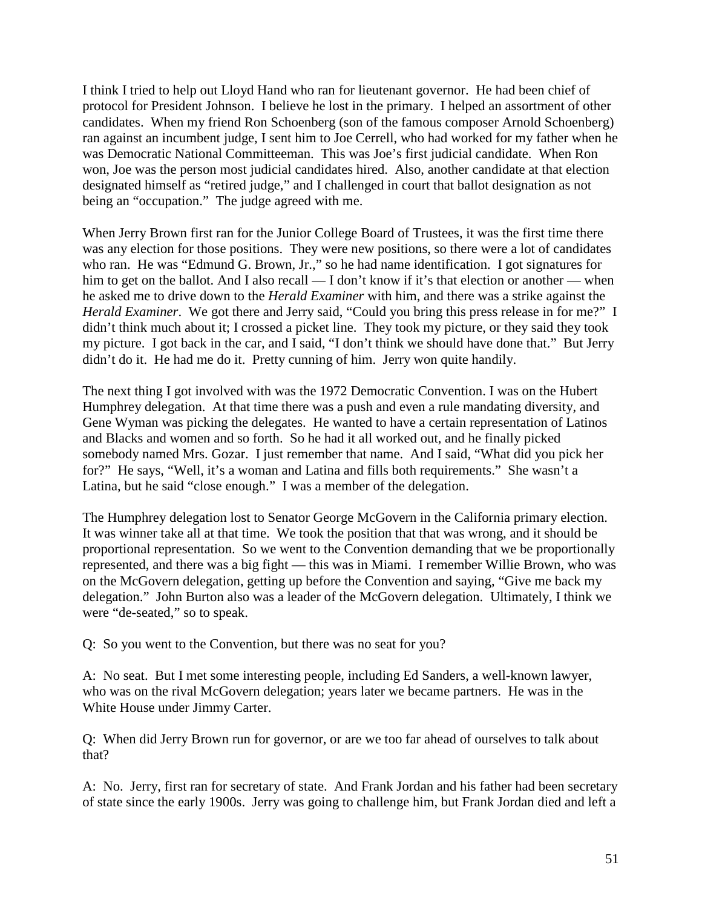I think I tried to help out Lloyd Hand who ran for lieutenant governor. He had been chief of protocol for President Johnson. I believe he lost in the primary. I helped an assortment of other candidates. When my friend Ron Schoenberg (son of the famous composer Arnold Schoenberg) ran against an incumbent judge, I sent him to Joe Cerrell, who had worked for my father when he was Democratic National Committeeman. This was Joe's first judicial candidate. When Ron won, Joe was the person most judicial candidates hired. Also, another candidate at that election designated himself as "retired judge," and I challenged in court that ballot designation as not being an "occupation." The judge agreed with me.

When Jerry Brown first ran for the Junior College Board of Trustees, it was the first time there was any election for those positions. They were new positions, so there were a lot of candidates who ran. He was "Edmund G. Brown, Jr.," so he had name identification. I got signatures for him to get on the ballot. And I also recall — I don't know if it's that election or another — when he asked me to drive down to the *Herald Examiner* with him, and there was a strike against the *Herald Examiner*. We got there and Jerry said, "Could you bring this press release in for me?" I didn't think much about it; I crossed a picket line. They took my picture, or they said they took my picture. I got back in the car, and I said, "I don't think we should have done that." But Jerry didn't do it. He had me do it. Pretty cunning of him. Jerry won quite handily.

The next thing I got involved with was the 1972 Democratic Convention. I was on the Hubert Humphrey delegation. At that time there was a push and even a rule mandating diversity, and Gene Wyman was picking the delegates. He wanted to have a certain representation of Latinos and Blacks and women and so forth. So he had it all worked out, and he finally picked somebody named Mrs. Gozar. I just remember that name. And I said, "What did you pick her for?" He says, "Well, it's a woman and Latina and fills both requirements." She wasn't a Latina, but he said "close enough." I was a member of the delegation.

The Humphrey delegation lost to Senator George McGovern in the California primary election. It was winner take all at that time. We took the position that that was wrong, and it should be proportional representation. So we went to the Convention demanding that we be proportionally represented, and there was a big fight — this was in Miami. I remember Willie Brown, who was on the McGovern delegation, getting up before the Convention and saying, "Give me back my delegation." John Burton also was a leader of the McGovern delegation. Ultimately, I think we were "de-seated," so to speak.

Q: So you went to the Convention, but there was no seat for you?

A: No seat. But I met some interesting people, including Ed Sanders, a well-known lawyer, who was on the rival McGovern delegation; years later we became partners. He was in the White House under Jimmy Carter.

Q: When did Jerry Brown run for governor, or are we too far ahead of ourselves to talk about that?

A: No. Jerry, first ran for secretary of state. And Frank Jordan and his father had been secretary of state since the early 1900s. Jerry was going to challenge him, but Frank Jordan died and left a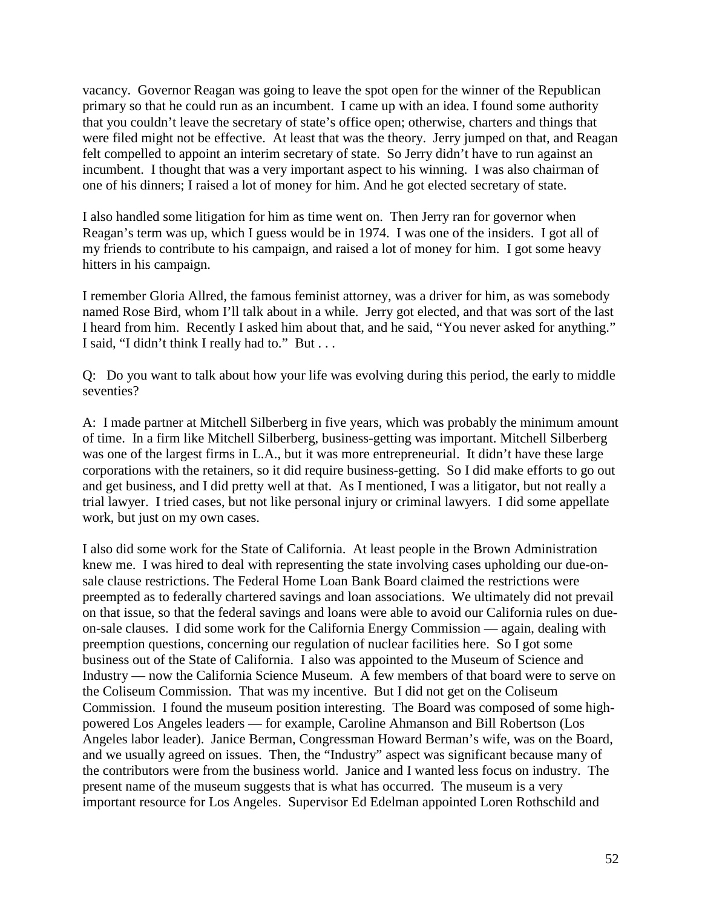vacancy. Governor Reagan was going to leave the spot open for the winner of the Republican primary so that he could run as an incumbent. I came up with an idea. I found some authority that you couldn't leave the secretary of state's office open; otherwise, charters and things that were filed might not be effective. At least that was the theory. Jerry jumped on that, and Reagan felt compelled to appoint an interim secretary of state. So Jerry didn't have to run against an incumbent. I thought that was a very important aspect to his winning. I was also chairman of one of his dinners; I raised a lot of money for him. And he got elected secretary of state.

I also handled some litigation for him as time went on. Then Jerry ran for governor when Reagan's term was up, which I guess would be in 1974. I was one of the insiders. I got all of my friends to contribute to his campaign, and raised a lot of money for him. I got some heavy hitters in his campaign.

I remember Gloria Allred, the famous feminist attorney, was a driver for him, as was somebody named Rose Bird, whom I'll talk about in a while. Jerry got elected, and that was sort of the last I heard from him. Recently I asked him about that, and he said, "You never asked for anything." I said, "I didn't think I really had to." But . . .

Q: Do you want to talk about how your life was evolving during this period, the early to middle seventies?

A: I made partner at Mitchell Silberberg in five years, which was probably the minimum amount of time. In a firm like Mitchell Silberberg, business-getting was important. Mitchell Silberberg was one of the largest firms in L.A., but it was more entrepreneurial. It didn't have these large corporations with the retainers, so it did require business-getting. So I did make efforts to go out and get business, and I did pretty well at that. As I mentioned, I was a litigator, but not really a trial lawyer. I tried cases, but not like personal injury or criminal lawyers. I did some appellate work, but just on my own cases.

I also did some work for the State of California. At least people in the Brown Administration knew me. I was hired to deal with representing the state involving cases upholding our due-onsale clause restrictions. The Federal Home Loan Bank Board claimed the restrictions were preempted as to federally chartered savings and loan associations. We ultimately did not prevail on that issue, so that the federal savings and loans were able to avoid our California rules on dueon-sale clauses. I did some work for the California Energy Commission — again, dealing with preemption questions, concerning our regulation of nuclear facilities here. So I got some business out of the State of California. I also was appointed to the Museum of Science and Industry — now the California Science Museum. A few members of that board were to serve on the Coliseum Commission. That was my incentive. But I did not get on the Coliseum Commission. I found the museum position interesting. The Board was composed of some highpowered Los Angeles leaders — for example, Caroline Ahmanson and Bill Robertson (Los Angeles labor leader). Janice Berman, Congressman Howard Berman's wife, was on the Board, and we usually agreed on issues. Then, the "Industry" aspect was significant because many of the contributors were from the business world. Janice and I wanted less focus on industry. The present name of the museum suggests that is what has occurred. The museum is a very important resource for Los Angeles. Supervisor Ed Edelman appointed Loren Rothschild and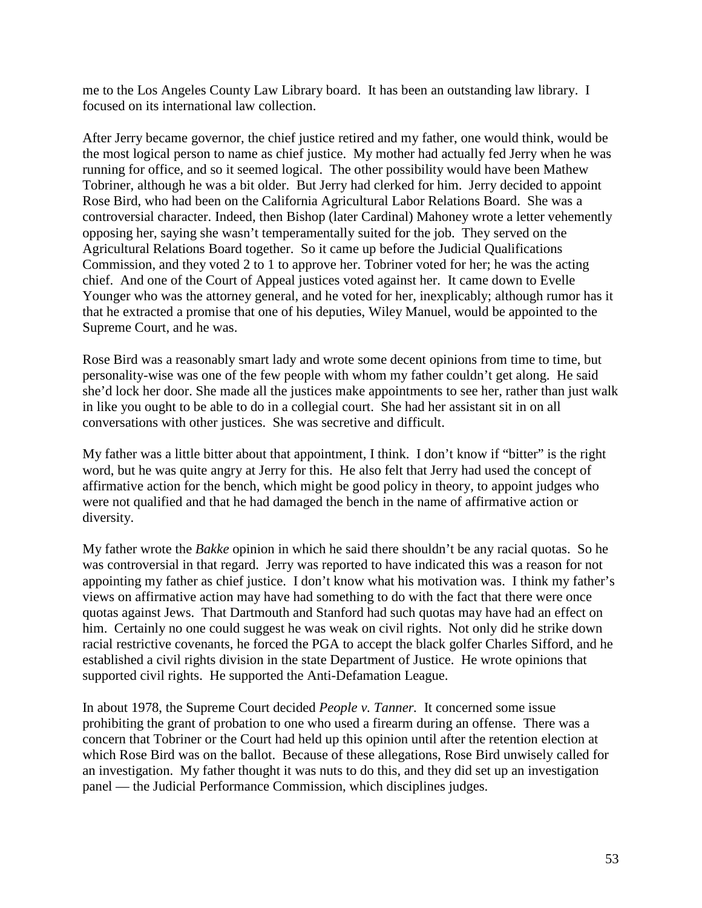me to the Los Angeles County Law Library board. It has been an outstanding law library. I focused on its international law collection.

After Jerry became governor, the chief justice retired and my father, one would think, would be the most logical person to name as chief justice. My mother had actually fed Jerry when he was running for office, and so it seemed logical. The other possibility would have been Mathew Tobriner, although he was a bit older. But Jerry had clerked for him. Jerry decided to appoint Rose Bird, who had been on the California Agricultural Labor Relations Board. She was a controversial character. Indeed, then Bishop (later Cardinal) Mahoney wrote a letter vehemently opposing her, saying she wasn't temperamentally suited for the job. They served on the Agricultural Relations Board together. So it came up before the Judicial Qualifications Commission, and they voted 2 to 1 to approve her. Tobriner voted for her; he was the acting chief. And one of the Court of Appeal justices voted against her. It came down to Evelle Younger who was the attorney general, and he voted for her, inexplicably; although rumor has it that he extracted a promise that one of his deputies, Wiley Manuel, would be appointed to the Supreme Court, and he was.

Rose Bird was a reasonably smart lady and wrote some decent opinions from time to time, but personality-wise was one of the few people with whom my father couldn't get along. He said she'd lock her door. She made all the justices make appointments to see her, rather than just walk in like you ought to be able to do in a collegial court. She had her assistant sit in on all conversations with other justices. She was secretive and difficult.

My father was a little bitter about that appointment, I think. I don't know if "bitter" is the right word, but he was quite angry at Jerry for this. He also felt that Jerry had used the concept of affirmative action for the bench, which might be good policy in theory, to appoint judges who were not qualified and that he had damaged the bench in the name of affirmative action or diversity.

My father wrote the *Bakke* opinion in which he said there shouldn't be any racial quotas. So he was controversial in that regard. Jerry was reported to have indicated this was a reason for not appointing my father as chief justice. I don't know what his motivation was. I think my father's views on affirmative action may have had something to do with the fact that there were once quotas against Jews. That Dartmouth and Stanford had such quotas may have had an effect on him. Certainly no one could suggest he was weak on civil rights. Not only did he strike down racial restrictive covenants, he forced the PGA to accept the black golfer Charles Sifford, and he established a civil rights division in the state Department of Justice. He wrote opinions that supported civil rights. He supported the Anti-Defamation League.

In about 1978, the Supreme Court decided *People v. Tanner.* It concerned some issue prohibiting the grant of probation to one who used a firearm during an offense. There was a concern that Tobriner or the Court had held up this opinion until after the retention election at which Rose Bird was on the ballot. Because of these allegations, Rose Bird unwisely called for an investigation. My father thought it was nuts to do this, and they did set up an investigation panel — the Judicial Performance Commission, which disciplines judges.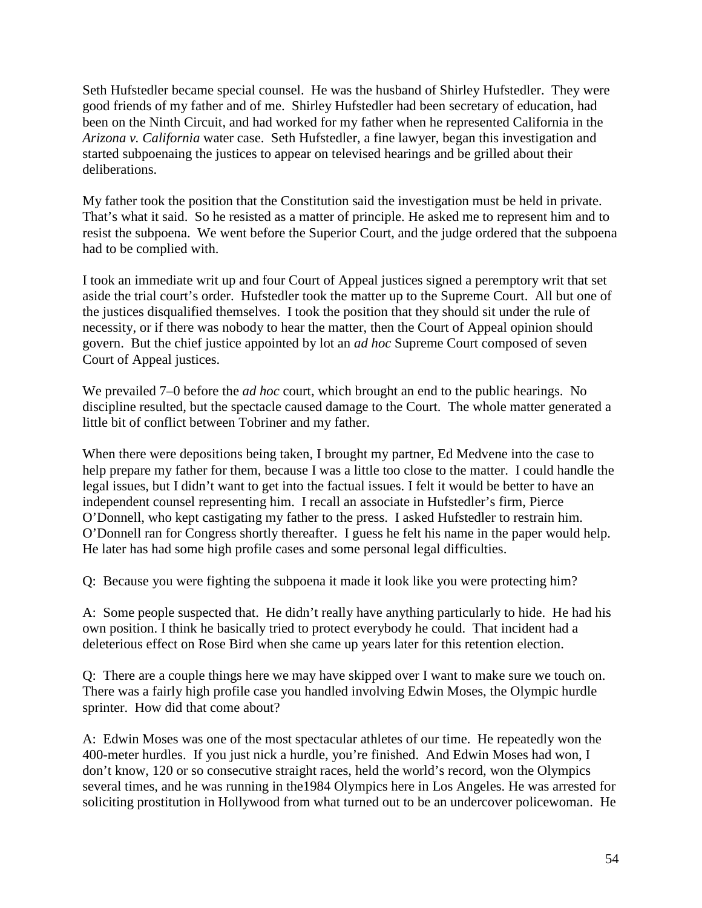Seth Hufstedler became special counsel. He was the husband of Shirley Hufstedler. They were good friends of my father and of me. Shirley Hufstedler had been secretary of education, had been on the Ninth Circuit, and had worked for my father when he represented California in the *Arizona v. California* water case. Seth Hufstedler, a fine lawyer, began this investigation and started subpoenaing the justices to appear on televised hearings and be grilled about their deliberations.

My father took the position that the Constitution said the investigation must be held in private. That's what it said. So he resisted as a matter of principle. He asked me to represent him and to resist the subpoena. We went before the Superior Court, and the judge ordered that the subpoena had to be complied with.

I took an immediate writ up and four Court of Appeal justices signed a peremptory writ that set aside the trial court's order. Hufstedler took the matter up to the Supreme Court. All but one of the justices disqualified themselves. I took the position that they should sit under the rule of necessity, or if there was nobody to hear the matter, then the Court of Appeal opinion should govern. But the chief justice appointed by lot an *ad hoc* Supreme Court composed of seven Court of Appeal justices.

We prevailed 7–0 before the *ad hoc* court, which brought an end to the public hearings. No discipline resulted, but the spectacle caused damage to the Court. The whole matter generated a little bit of conflict between Tobriner and my father.

When there were depositions being taken, I brought my partner, Ed Medvene into the case to help prepare my father for them, because I was a little too close to the matter. I could handle the legal issues, but I didn't want to get into the factual issues. I felt it would be better to have an independent counsel representing him. I recall an associate in Hufstedler's firm, Pierce O'Donnell, who kept castigating my father to the press. I asked Hufstedler to restrain him. O'Donnell ran for Congress shortly thereafter. I guess he felt his name in the paper would help. He later has had some high profile cases and some personal legal difficulties.

Q: Because you were fighting the subpoena it made it look like you were protecting him?

A: Some people suspected that. He didn't really have anything particularly to hide. He had his own position. I think he basically tried to protect everybody he could. That incident had a deleterious effect on Rose Bird when she came up years later for this retention election.

Q: There are a couple things here we may have skipped over I want to make sure we touch on. There was a fairly high profile case you handled involving Edwin Moses, the Olympic hurdle sprinter. How did that come about?

A: Edwin Moses was one of the most spectacular athletes of our time. He repeatedly won the 400-meter hurdles. If you just nick a hurdle, you're finished. And Edwin Moses had won, I don't know, 120 or so consecutive straight races, held the world's record, won the Olympics several times, and he was running in the1984 Olympics here in Los Angeles. He was arrested for soliciting prostitution in Hollywood from what turned out to be an undercover policewoman. He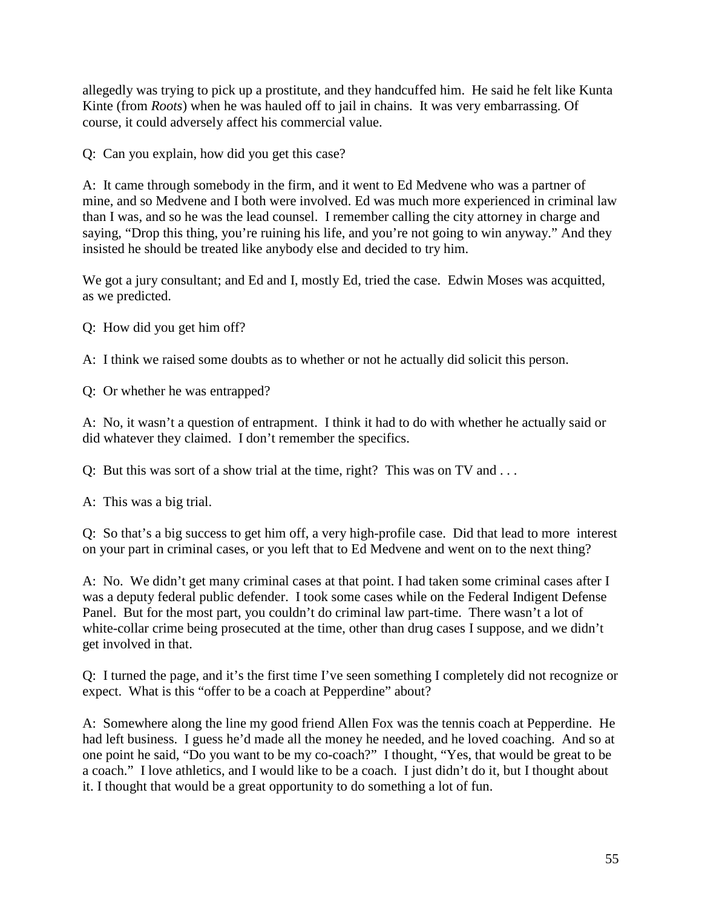allegedly was trying to pick up a prostitute, and they handcuffed him. He said he felt like Kunta Kinte (from *Roots*) when he was hauled off to jail in chains. It was very embarrassing. Of course, it could adversely affect his commercial value.

Q: Can you explain, how did you get this case?

A: It came through somebody in the firm, and it went to Ed Medvene who was a partner of mine, and so Medvene and I both were involved. Ed was much more experienced in criminal law than I was, and so he was the lead counsel. I remember calling the city attorney in charge and saying, "Drop this thing, you're ruining his life, and you're not going to win anyway." And they insisted he should be treated like anybody else and decided to try him.

We got a jury consultant; and Ed and I, mostly Ed, tried the case. Edwin Moses was acquitted, as we predicted.

Q: How did you get him off?

A: I think we raised some doubts as to whether or not he actually did solicit this person.

Q: Or whether he was entrapped?

A: No, it wasn't a question of entrapment. I think it had to do with whether he actually said or did whatever they claimed. I don't remember the specifics.

Q: But this was sort of a show trial at the time, right? This was on TV and . . .

A: This was a big trial.

Q: So that's a big success to get him off, a very high-profile case. Did that lead to more interest on your part in criminal cases, or you left that to Ed Medvene and went on to the next thing?

A: No. We didn't get many criminal cases at that point. I had taken some criminal cases after I was a deputy federal public defender. I took some cases while on the Federal Indigent Defense Panel. But for the most part, you couldn't do criminal law part-time. There wasn't a lot of white-collar crime being prosecuted at the time, other than drug cases I suppose, and we didn't get involved in that.

Q: I turned the page, and it's the first time I've seen something I completely did not recognize or expect. What is this "offer to be a coach at Pepperdine" about?

A: Somewhere along the line my good friend Allen Fox was the tennis coach at Pepperdine. He had left business. I guess he'd made all the money he needed, and he loved coaching. And so at one point he said, "Do you want to be my co-coach?" I thought, "Yes, that would be great to be a coach." I love athletics, and I would like to be a coach. I just didn't do it, but I thought about it. I thought that would be a great opportunity to do something a lot of fun.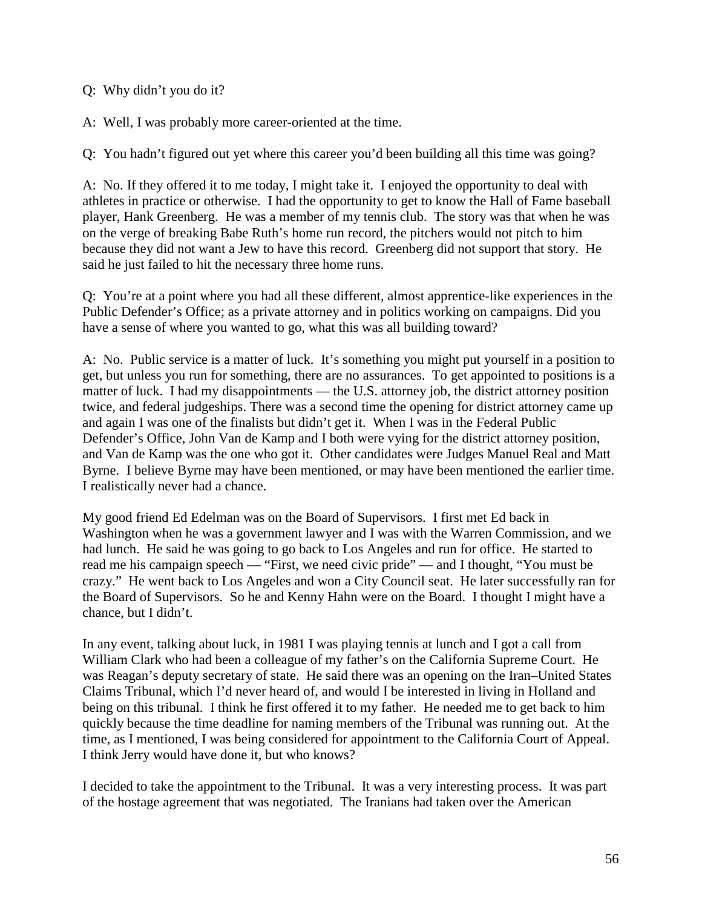Q: Why didn't you do it?

A: Well, I was probably more career-oriented at the time.

Q: You hadn't figured out yet where this career you'd been building all this time was going?

A: No. If they offered it to me today, I might take it. I enjoyed the opportunity to deal with athletes in practice or otherwise. I had the opportunity to get to know the Hall of Fame baseball player, Hank Greenberg. He was a member of my tennis club. The story was that when he was on the verge of breaking Babe Ruth's home run record, the pitchers would not pitch to him because they did not want a Jew to have this record. Greenberg did not support that story. He said he just failed to hit the necessary three home runs.

Q: You're at a point where you had all these different, almost apprentice-like experiences in the Public Defender's Office; as a private attorney and in politics working on campaigns. Did you have a sense of where you wanted to go, what this was all building toward?

A: No. Public service is a matter of luck. It's something you might put yourself in a position to get, but unless you run for something, there are no assurances. To get appointed to positions is a matter of luck. I had my disappointments — the U.S. attorney job, the district attorney position twice, and federal judgeships. There was a second time the opening for district attorney came up and again I was one of the finalists but didn't get it. When I was in the Federal Public Defender's Office, John Van de Kamp and I both were vying for the district attorney position, and Van de Kamp was the one who got it. Other candidates were Judges Manuel Real and Matt Byrne. I believe Byrne may have been mentioned, or may have been mentioned the earlier time. I realistically never had a chance.

My good friend Ed Edelman was on the Board of Supervisors. I first met Ed back in Washington when he was a government lawyer and I was with the Warren Commission, and we had lunch. He said he was going to go back to Los Angeles and run for office. He started to read me his campaign speech — "First, we need civic pride" — and I thought, "You must be crazy." He went back to Los Angeles and won a City Council seat. He later successfully ran for the Board of Supervisors. So he and Kenny Hahn were on the Board. I thought I might have a chance, but I didn't.

In any event, talking about luck, in 1981 I was playing tennis at lunch and I got a call from William Clark who had been a colleague of my father's on the California Supreme Court. He was Reagan's deputy secretary of state. He said there was an opening on the Iran–United States Claims Tribunal, which I'd never heard of, and would I be interested in living in Holland and being on this tribunal. I think he first offered it to my father. He needed me to get back to him quickly because the time deadline for naming members of the Tribunal was running out. At the time, as I mentioned, I was being considered for appointment to the California Court of Appeal. I think Jerry would have done it, but who knows?

I decided to take the appointment to the Tribunal. It was a very interesting process. It was part of the hostage agreement that was negotiated. The Iranians had taken over the American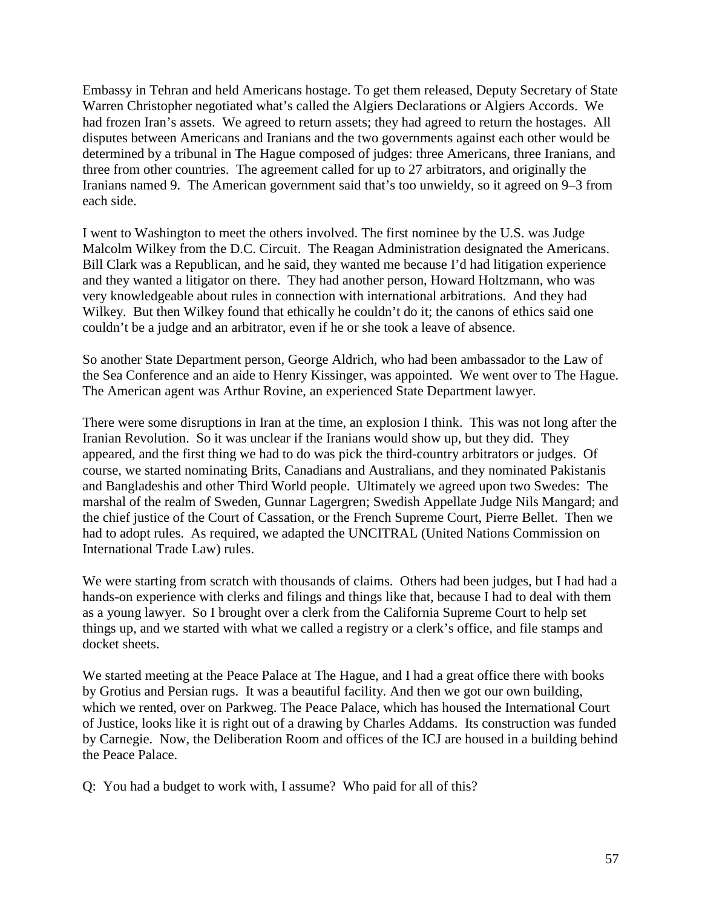Embassy in Tehran and held Americans hostage. To get them released, Deputy Secretary of State Warren Christopher negotiated what's called the Algiers Declarations or Algiers Accords. We had frozen Iran's assets. We agreed to return assets; they had agreed to return the hostages. All disputes between Americans and Iranians and the two governments against each other would be determined by a tribunal in The Hague composed of judges: three Americans, three Iranians, and three from other countries. The agreement called for up to 27 arbitrators, and originally the Iranians named 9. The American government said that's too unwieldy, so it agreed on 9–3 from each side.

I went to Washington to meet the others involved. The first nominee by the U.S. was Judge Malcolm Wilkey from the D.C. Circuit. The Reagan Administration designated the Americans. Bill Clark was a Republican, and he said, they wanted me because I'd had litigation experience and they wanted a litigator on there. They had another person, Howard Holtzmann, who was very knowledgeable about rules in connection with international arbitrations. And they had Wilkey. But then Wilkey found that ethically he couldn't do it; the canons of ethics said one couldn't be a judge and an arbitrator, even if he or she took a leave of absence.

So another State Department person, George Aldrich, who had been ambassador to the Law of the Sea Conference and an aide to Henry Kissinger, was appointed. We went over to The Hague. The American agent was Arthur Rovine, an experienced State Department lawyer.

There were some disruptions in Iran at the time, an explosion I think. This was not long after the Iranian Revolution. So it was unclear if the Iranians would show up, but they did. They appeared, and the first thing we had to do was pick the third-country arbitrators or judges. Of course, we started nominating Brits, Canadians and Australians, and they nominated Pakistanis and Bangladeshis and other Third World people. Ultimately we agreed upon two Swedes: The marshal of the realm of Sweden, Gunnar Lagergren; Swedish Appellate Judge Nils Mangard; and the chief justice of the Court of Cassation, or the French Supreme Court, Pierre Bellet. Then we had to adopt rules. As required, we adapted the UNCITRAL (United Nations Commission on International Trade Law) rules.

We were starting from scratch with thousands of claims. Others had been judges, but I had had a hands-on experience with clerks and filings and things like that, because I had to deal with them as a young lawyer. So I brought over a clerk from the California Supreme Court to help set things up, and we started with what we called a registry or a clerk's office, and file stamps and docket sheets.

We started meeting at the Peace Palace at The Hague, and I had a great office there with books by Grotius and Persian rugs. It was a beautiful facility. And then we got our own building, which we rented, over on Parkweg. The Peace Palace, which has housed the International Court of Justice, looks like it is right out of a drawing by Charles Addams. Its construction was funded by Carnegie. Now, the Deliberation Room and offices of the ICJ are housed in a building behind the Peace Palace.

Q: You had a budget to work with, I assume? Who paid for all of this?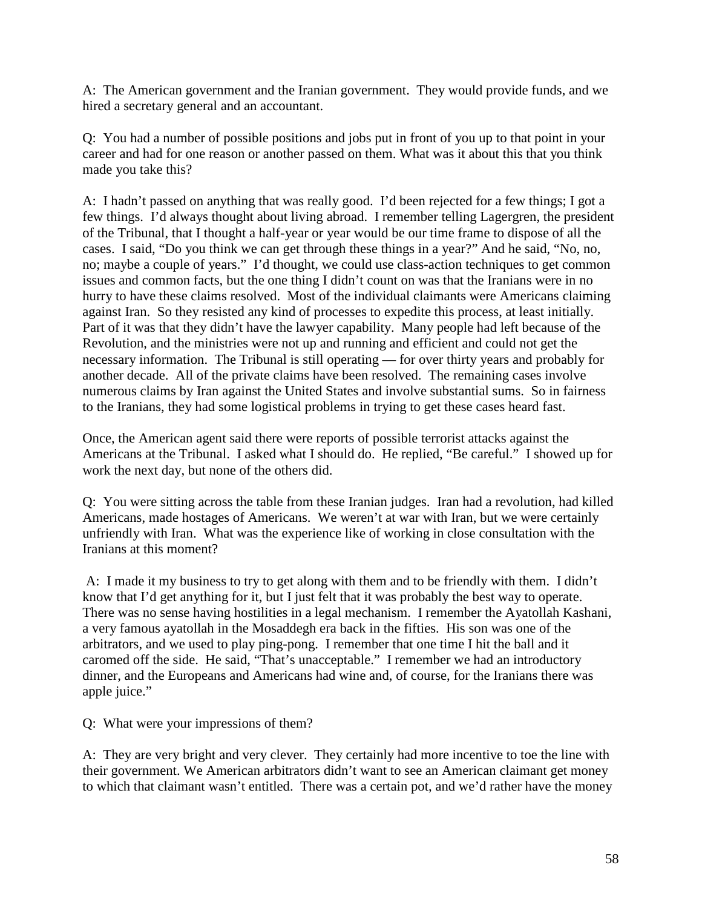A: The American government and the Iranian government. They would provide funds, and we hired a secretary general and an accountant.

Q: You had a number of possible positions and jobs put in front of you up to that point in your career and had for one reason or another passed on them. What was it about this that you think made you take this?

A: I hadn't passed on anything that was really good. I'd been rejected for a few things; I got a few things. I'd always thought about living abroad. I remember telling Lagergren, the president of the Tribunal, that I thought a half-year or year would be our time frame to dispose of all the cases. I said, "Do you think we can get through these things in a year?" And he said, "No, no, no; maybe a couple of years." I'd thought, we could use class-action techniques to get common issues and common facts, but the one thing I didn't count on was that the Iranians were in no hurry to have these claims resolved. Most of the individual claimants were Americans claiming against Iran. So they resisted any kind of processes to expedite this process, at least initially. Part of it was that they didn't have the lawyer capability. Many people had left because of the Revolution, and the ministries were not up and running and efficient and could not get the necessary information. The Tribunal is still operating — for over thirty years and probably for another decade. All of the private claims have been resolved. The remaining cases involve numerous claims by Iran against the United States and involve substantial sums. So in fairness to the Iranians, they had some logistical problems in trying to get these cases heard fast.

Once, the American agent said there were reports of possible terrorist attacks against the Americans at the Tribunal. I asked what I should do. He replied, "Be careful." I showed up for work the next day, but none of the others did.

Q: You were sitting across the table from these Iranian judges. Iran had a revolution, had killed Americans, made hostages of Americans. We weren't at war with Iran, but we were certainly unfriendly with Iran. What was the experience like of working in close consultation with the Iranians at this moment?

A: I made it my business to try to get along with them and to be friendly with them. I didn't know that I'd get anything for it, but I just felt that it was probably the best way to operate. There was no sense having hostilities in a legal mechanism. I remember the Ayatollah Kashani, a very famous ayatollah in the Mosaddegh era back in the fifties. His son was one of the arbitrators, and we used to play ping-pong. I remember that one time I hit the ball and it caromed off the side. He said, "That's unacceptable." I remember we had an introductory dinner, and the Europeans and Americans had wine and, of course, for the Iranians there was apple juice."

Q: What were your impressions of them?

A: They are very bright and very clever. They certainly had more incentive to toe the line with their government. We American arbitrators didn't want to see an American claimant get money to which that claimant wasn't entitled. There was a certain pot, and we'd rather have the money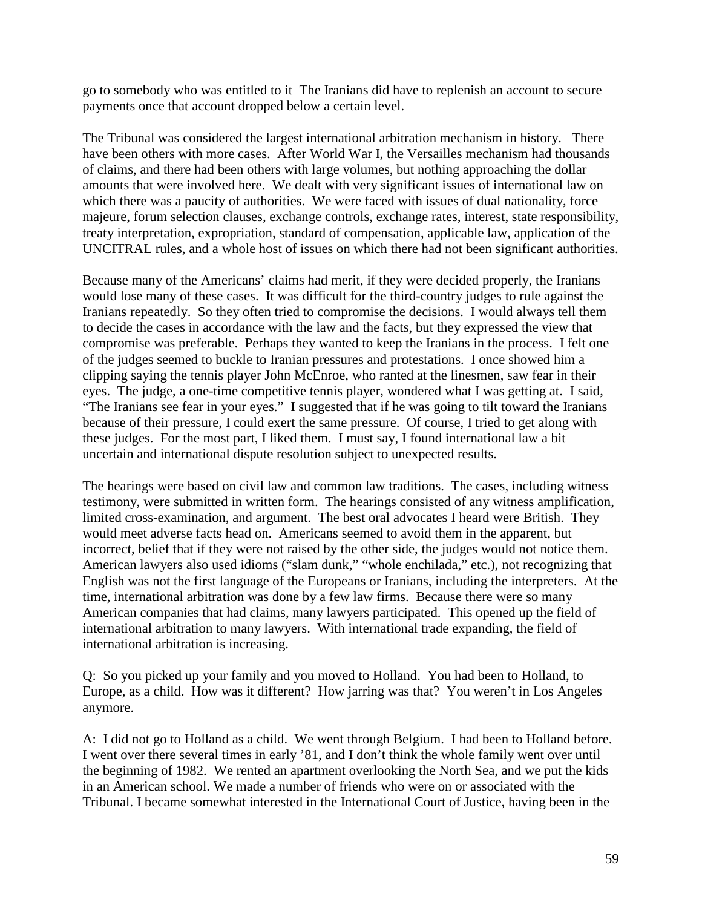go to somebody who was entitled to it The Iranians did have to replenish an account to secure payments once that account dropped below a certain level.

The Tribunal was considered the largest international arbitration mechanism in history. There have been others with more cases. After World War I, the Versailles mechanism had thousands of claims, and there had been others with large volumes, but nothing approaching the dollar amounts that were involved here. We dealt with very significant issues of international law on which there was a paucity of authorities. We were faced with issues of dual nationality, force majeure, forum selection clauses, exchange controls, exchange rates, interest, state responsibility, treaty interpretation, expropriation, standard of compensation, applicable law, application of the UNCITRAL rules, and a whole host of issues on which there had not been significant authorities.

Because many of the Americans' claims had merit, if they were decided properly, the Iranians would lose many of these cases. It was difficult for the third-country judges to rule against the Iranians repeatedly. So they often tried to compromise the decisions. I would always tell them to decide the cases in accordance with the law and the facts, but they expressed the view that compromise was preferable. Perhaps they wanted to keep the Iranians in the process. I felt one of the judges seemed to buckle to Iranian pressures and protestations. I once showed him a clipping saying the tennis player John McEnroe, who ranted at the linesmen, saw fear in their eyes. The judge, a one-time competitive tennis player, wondered what I was getting at. I said, "The Iranians see fear in your eyes." I suggested that if he was going to tilt toward the Iranians because of their pressure, I could exert the same pressure. Of course, I tried to get along with these judges. For the most part, I liked them. I must say, I found international law a bit uncertain and international dispute resolution subject to unexpected results.

The hearings were based on civil law and common law traditions. The cases, including witness testimony, were submitted in written form. The hearings consisted of any witness amplification, limited cross-examination, and argument. The best oral advocates I heard were British. They would meet adverse facts head on. Americans seemed to avoid them in the apparent, but incorrect, belief that if they were not raised by the other side, the judges would not notice them. American lawyers also used idioms ("slam dunk," "whole enchilada," etc.), not recognizing that English was not the first language of the Europeans or Iranians, including the interpreters. At the time, international arbitration was done by a few law firms. Because there were so many American companies that had claims, many lawyers participated. This opened up the field of international arbitration to many lawyers. With international trade expanding, the field of international arbitration is increasing.

Q: So you picked up your family and you moved to Holland. You had been to Holland, to Europe, as a child. How was it different? How jarring was that? You weren't in Los Angeles anymore.

A: I did not go to Holland as a child. We went through Belgium. I had been to Holland before. I went over there several times in early '81, and I don't think the whole family went over until the beginning of 1982. We rented an apartment overlooking the North Sea, and we put the kids in an American school. We made a number of friends who were on or associated with the Tribunal. I became somewhat interested in the International Court of Justice, having been in the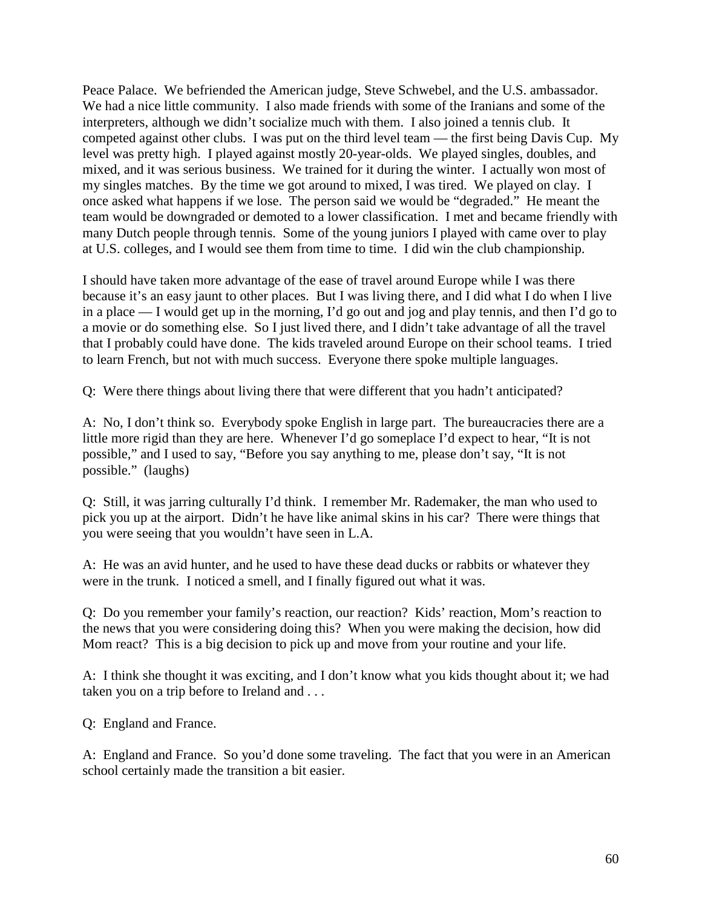Peace Palace. We befriended the American judge, Steve Schwebel, and the U.S. ambassador. We had a nice little community. I also made friends with some of the Iranians and some of the interpreters, although we didn't socialize much with them. I also joined a tennis club. It competed against other clubs. I was put on the third level team — the first being Davis Cup. My level was pretty high. I played against mostly 20-year-olds. We played singles, doubles, and mixed, and it was serious business. We trained for it during the winter. I actually won most of my singles matches. By the time we got around to mixed, I was tired. We played on clay. I once asked what happens if we lose. The person said we would be "degraded." He meant the team would be downgraded or demoted to a lower classification. I met and became friendly with many Dutch people through tennis. Some of the young juniors I played with came over to play at U.S. colleges, and I would see them from time to time. I did win the club championship.

I should have taken more advantage of the ease of travel around Europe while I was there because it's an easy jaunt to other places. But I was living there, and I did what I do when I live in a place — I would get up in the morning, I'd go out and jog and play tennis, and then I'd go to a movie or do something else. So I just lived there, and I didn't take advantage of all the travel that I probably could have done. The kids traveled around Europe on their school teams. I tried to learn French, but not with much success. Everyone there spoke multiple languages.

Q: Were there things about living there that were different that you hadn't anticipated?

A: No, I don't think so. Everybody spoke English in large part. The bureaucracies there are a little more rigid than they are here. Whenever I'd go someplace I'd expect to hear, "It is not possible," and I used to say, "Before you say anything to me, please don't say, "It is not possible." (laughs)

Q: Still, it was jarring culturally I'd think. I remember Mr. Rademaker, the man who used to pick you up at the airport. Didn't he have like animal skins in his car? There were things that you were seeing that you wouldn't have seen in L.A.

A: He was an avid hunter, and he used to have these dead ducks or rabbits or whatever they were in the trunk. I noticed a smell, and I finally figured out what it was.

Q: Do you remember your family's reaction, our reaction? Kids' reaction, Mom's reaction to the news that you were considering doing this? When you were making the decision, how did Mom react? This is a big decision to pick up and move from your routine and your life.

A: I think she thought it was exciting, and I don't know what you kids thought about it; we had taken you on a trip before to Ireland and . . .

Q: England and France.

A: England and France. So you'd done some traveling. The fact that you were in an American school certainly made the transition a bit easier.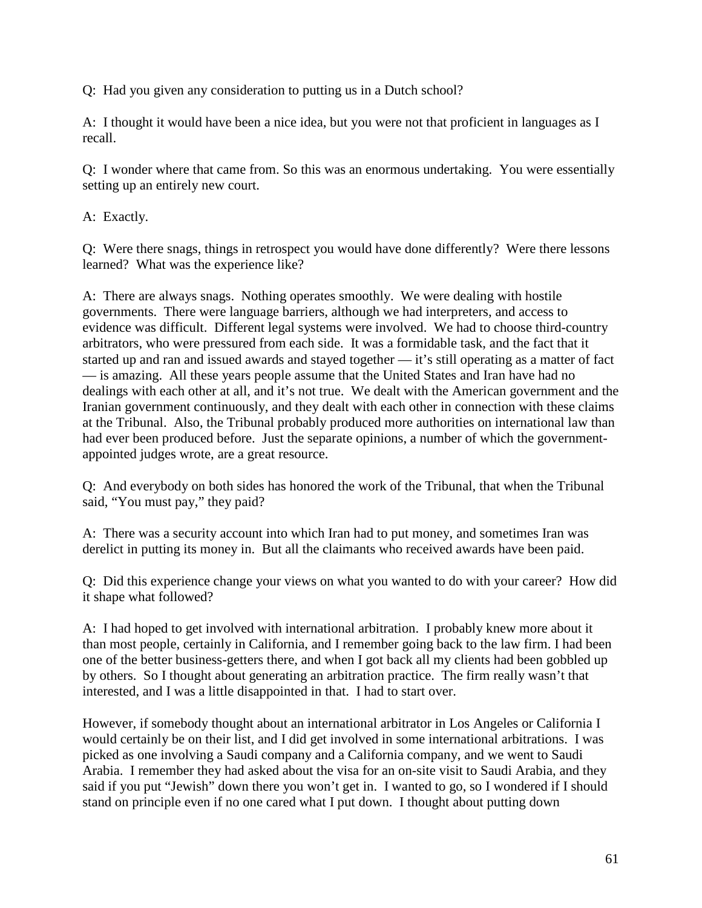Q: Had you given any consideration to putting us in a Dutch school?

A: I thought it would have been a nice idea, but you were not that proficient in languages as I recall.

Q: I wonder where that came from. So this was an enormous undertaking. You were essentially setting up an entirely new court.

A: Exactly.

Q: Were there snags, things in retrospect you would have done differently? Were there lessons learned? What was the experience like?

A: There are always snags. Nothing operates smoothly. We were dealing with hostile governments. There were language barriers, although we had interpreters, and access to evidence was difficult. Different legal systems were involved. We had to choose third-country arbitrators, who were pressured from each side. It was a formidable task, and the fact that it started up and ran and issued awards and stayed together — it's still operating as a matter of fact — is amazing. All these years people assume that the United States and Iran have had no dealings with each other at all, and it's not true. We dealt with the American government and the Iranian government continuously, and they dealt with each other in connection with these claims at the Tribunal. Also, the Tribunal probably produced more authorities on international law than had ever been produced before. Just the separate opinions, a number of which the governmentappointed judges wrote, are a great resource.

Q: And everybody on both sides has honored the work of the Tribunal, that when the Tribunal said, "You must pay," they paid?

A: There was a security account into which Iran had to put money, and sometimes Iran was derelict in putting its money in. But all the claimants who received awards have been paid.

Q: Did this experience change your views on what you wanted to do with your career? How did it shape what followed?

A: I had hoped to get involved with international arbitration. I probably knew more about it than most people, certainly in California, and I remember going back to the law firm. I had been one of the better business-getters there, and when I got back all my clients had been gobbled up by others. So I thought about generating an arbitration practice. The firm really wasn't that interested, and I was a little disappointed in that. I had to start over.

However, if somebody thought about an international arbitrator in Los Angeles or California I would certainly be on their list, and I did get involved in some international arbitrations. I was picked as one involving a Saudi company and a California company, and we went to Saudi Arabia. I remember they had asked about the visa for an on-site visit to Saudi Arabia, and they said if you put "Jewish" down there you won't get in. I wanted to go, so I wondered if I should stand on principle even if no one cared what I put down. I thought about putting down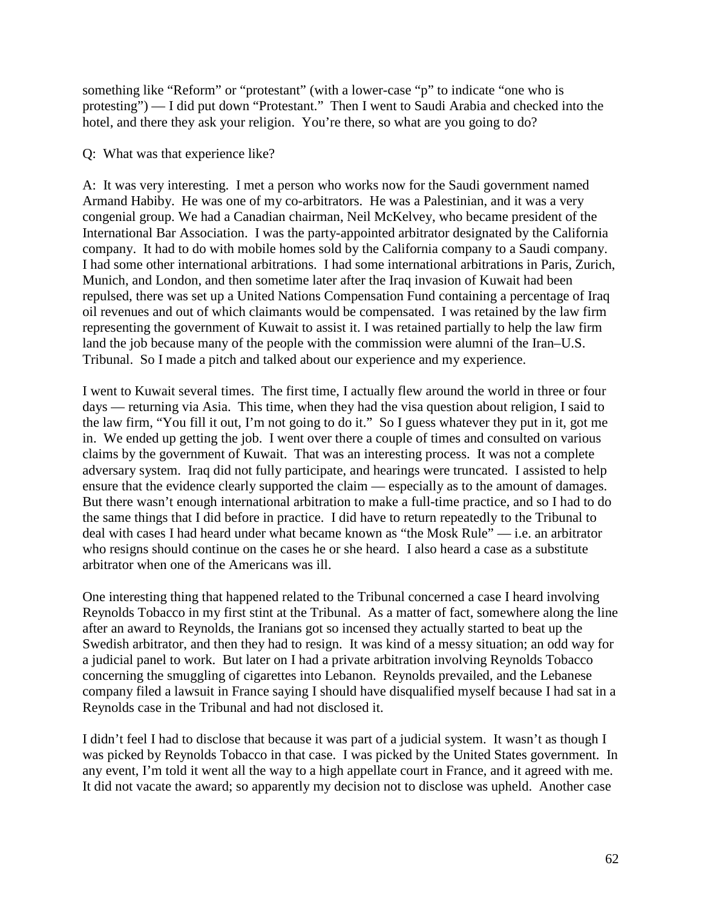something like "Reform" or "protestant" (with a lower-case "p" to indicate "one who is protesting") — I did put down "Protestant." Then I went to Saudi Arabia and checked into the hotel, and there they ask your religion. You're there, so what are you going to do?

## Q: What was that experience like?

A: It was very interesting. I met a person who works now for the Saudi government named Armand Habiby. He was one of my co-arbitrators. He was a Palestinian, and it was a very congenial group. We had a Canadian chairman, Neil McKelvey, who became president of the International Bar Association. I was the party-appointed arbitrator designated by the California company. It had to do with mobile homes sold by the California company to a Saudi company. I had some other international arbitrations. I had some international arbitrations in Paris, Zurich, Munich, and London, and then sometime later after the Iraq invasion of Kuwait had been repulsed, there was set up a United Nations Compensation Fund containing a percentage of Iraq oil revenues and out of which claimants would be compensated. I was retained by the law firm representing the government of Kuwait to assist it. I was retained partially to help the law firm land the job because many of the people with the commission were alumni of the Iran–U.S. Tribunal. So I made a pitch and talked about our experience and my experience.

I went to Kuwait several times. The first time, I actually flew around the world in three or four days — returning via Asia. This time, when they had the visa question about religion, I said to the law firm, "You fill it out, I'm not going to do it." So I guess whatever they put in it, got me in. We ended up getting the job. I went over there a couple of times and consulted on various claims by the government of Kuwait. That was an interesting process. It was not a complete adversary system. Iraq did not fully participate, and hearings were truncated. I assisted to help ensure that the evidence clearly supported the claim — especially as to the amount of damages. But there wasn't enough international arbitration to make a full-time practice, and so I had to do the same things that I did before in practice. I did have to return repeatedly to the Tribunal to deal with cases I had heard under what became known as "the Mosk Rule" — i.e. an arbitrator who resigns should continue on the cases he or she heard. I also heard a case as a substitute arbitrator when one of the Americans was ill.

One interesting thing that happened related to the Tribunal concerned a case I heard involving Reynolds Tobacco in my first stint at the Tribunal. As a matter of fact, somewhere along the line after an award to Reynolds, the Iranians got so incensed they actually started to beat up the Swedish arbitrator, and then they had to resign. It was kind of a messy situation; an odd way for a judicial panel to work. But later on I had a private arbitration involving Reynolds Tobacco concerning the smuggling of cigarettes into Lebanon. Reynolds prevailed, and the Lebanese company filed a lawsuit in France saying I should have disqualified myself because I had sat in a Reynolds case in the Tribunal and had not disclosed it.

I didn't feel I had to disclose that because it was part of a judicial system. It wasn't as though I was picked by Reynolds Tobacco in that case. I was picked by the United States government. In any event, I'm told it went all the way to a high appellate court in France, and it agreed with me. It did not vacate the award; so apparently my decision not to disclose was upheld. Another case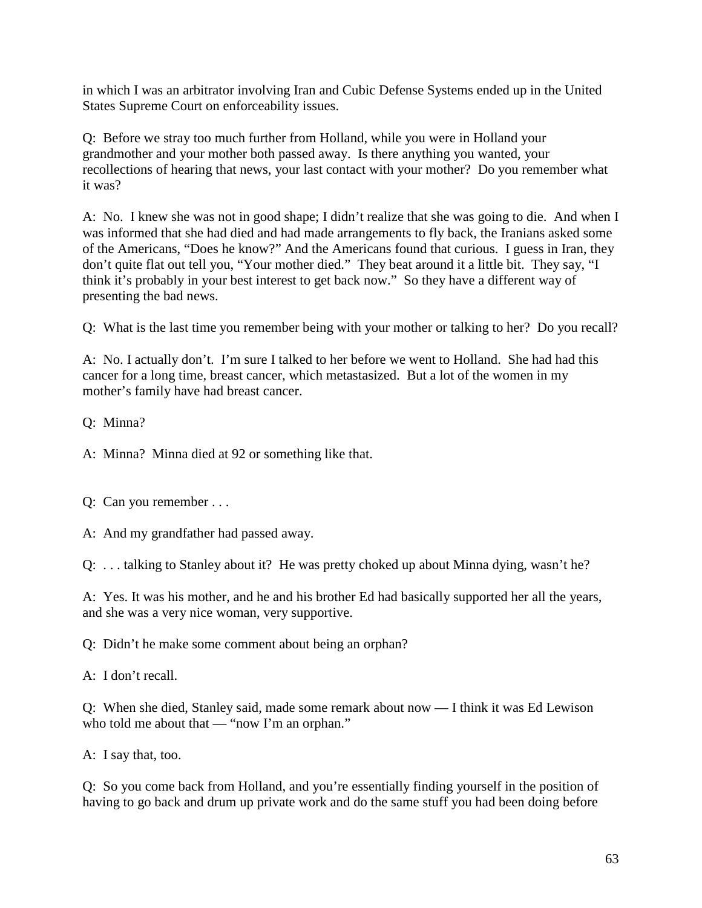in which I was an arbitrator involving Iran and Cubic Defense Systems ended up in the United States Supreme Court on enforceability issues.

Q: Before we stray too much further from Holland, while you were in Holland your grandmother and your mother both passed away. Is there anything you wanted, your recollections of hearing that news, your last contact with your mother? Do you remember what it was?

A: No. I knew she was not in good shape; I didn't realize that she was going to die. And when I was informed that she had died and had made arrangements to fly back, the Iranians asked some of the Americans, "Does he know?" And the Americans found that curious. I guess in Iran, they don't quite flat out tell you, "Your mother died." They beat around it a little bit. They say, "I think it's probably in your best interest to get back now." So they have a different way of presenting the bad news.

Q: What is the last time you remember being with your mother or talking to her? Do you recall?

A: No. I actually don't. I'm sure I talked to her before we went to Holland. She had had this cancer for a long time, breast cancer, which metastasized. But a lot of the women in my mother's family have had breast cancer.

Q: Minna?

A: Minna? Minna died at 92 or something like that.

Q: Can you remember . . .

A: And my grandfather had passed away.

Q: . . . talking to Stanley about it? He was pretty choked up about Minna dying, wasn't he?

A: Yes. It was his mother, and he and his brother Ed had basically supported her all the years, and she was a very nice woman, very supportive.

Q: Didn't he make some comment about being an orphan?

A: I don't recall.

Q: When she died, Stanley said, made some remark about now — I think it was Ed Lewison who told me about that — "now I'm an orphan."

A: I say that, too.

Q: So you come back from Holland, and you're essentially finding yourself in the position of having to go back and drum up private work and do the same stuff you had been doing before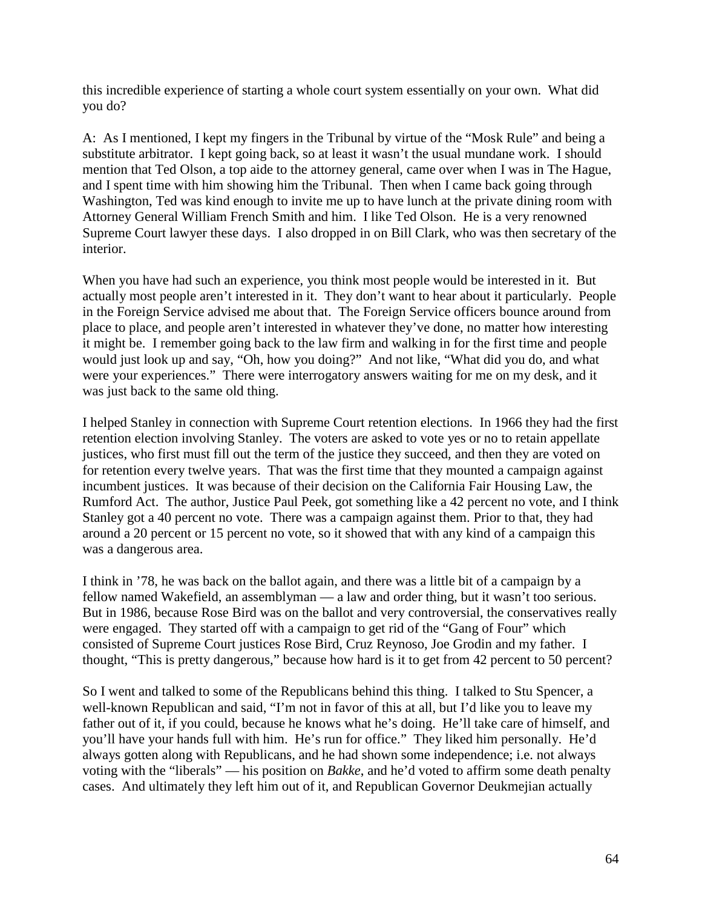this incredible experience of starting a whole court system essentially on your own. What did you do?

A: As I mentioned, I kept my fingers in the Tribunal by virtue of the "Mosk Rule" and being a substitute arbitrator. I kept going back, so at least it wasn't the usual mundane work. I should mention that Ted Olson, a top aide to the attorney general, came over when I was in The Hague, and I spent time with him showing him the Tribunal. Then when I came back going through Washington, Ted was kind enough to invite me up to have lunch at the private dining room with Attorney General William French Smith and him. I like Ted Olson. He is a very renowned Supreme Court lawyer these days. I also dropped in on Bill Clark, who was then secretary of the interior.

When you have had such an experience, you think most people would be interested in it. But actually most people aren't interested in it. They don't want to hear about it particularly. People in the Foreign Service advised me about that. The Foreign Service officers bounce around from place to place, and people aren't interested in whatever they've done, no matter how interesting it might be. I remember going back to the law firm and walking in for the first time and people would just look up and say, "Oh, how you doing?" And not like, "What did you do, and what were your experiences." There were interrogatory answers waiting for me on my desk, and it was just back to the same old thing.

I helped Stanley in connection with Supreme Court retention elections. In 1966 they had the first retention election involving Stanley. The voters are asked to vote yes or no to retain appellate justices, who first must fill out the term of the justice they succeed, and then they are voted on for retention every twelve years. That was the first time that they mounted a campaign against incumbent justices. It was because of their decision on the California Fair Housing Law, the Rumford Act. The author, Justice Paul Peek, got something like a 42 percent no vote, and I think Stanley got a 40 percent no vote. There was a campaign against them. Prior to that, they had around a 20 percent or 15 percent no vote, so it showed that with any kind of a campaign this was a dangerous area.

I think in '78, he was back on the ballot again, and there was a little bit of a campaign by a fellow named Wakefield, an assemblyman — a law and order thing, but it wasn't too serious. But in 1986, because Rose Bird was on the ballot and very controversial, the conservatives really were engaged. They started off with a campaign to get rid of the "Gang of Four" which consisted of Supreme Court justices Rose Bird, Cruz Reynoso, Joe Grodin and my father. I thought, "This is pretty dangerous," because how hard is it to get from 42 percent to 50 percent?

So I went and talked to some of the Republicans behind this thing. I talked to Stu Spencer, a well-known Republican and said, "I'm not in favor of this at all, but I'd like you to leave my father out of it, if you could, because he knows what he's doing. He'll take care of himself, and you'll have your hands full with him. He's run for office." They liked him personally. He'd always gotten along with Republicans, and he had shown some independence; i.e. not always voting with the "liberals" — his position on *Bakke*, and he'd voted to affirm some death penalty cases. And ultimately they left him out of it, and Republican Governor Deukmejian actually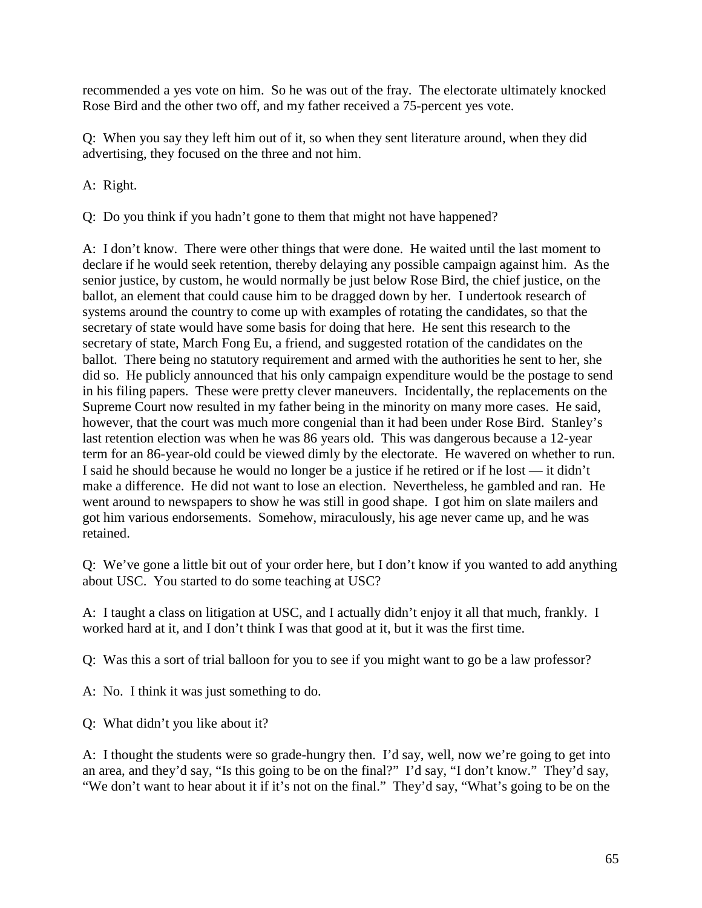recommended a yes vote on him. So he was out of the fray. The electorate ultimately knocked Rose Bird and the other two off, and my father received a 75-percent yes vote.

Q: When you say they left him out of it, so when they sent literature around, when they did advertising, they focused on the three and not him.

A: Right.

Q: Do you think if you hadn't gone to them that might not have happened?

A: I don't know. There were other things that were done. He waited until the last moment to declare if he would seek retention, thereby delaying any possible campaign against him. As the senior justice, by custom, he would normally be just below Rose Bird, the chief justice, on the ballot, an element that could cause him to be dragged down by her. I undertook research of systems around the country to come up with examples of rotating the candidates, so that the secretary of state would have some basis for doing that here. He sent this research to the secretary of state, March Fong Eu, a friend, and suggested rotation of the candidates on the ballot. There being no statutory requirement and armed with the authorities he sent to her, she did so. He publicly announced that his only campaign expenditure would be the postage to send in his filing papers. These were pretty clever maneuvers. Incidentally, the replacements on the Supreme Court now resulted in my father being in the minority on many more cases. He said, however, that the court was much more congenial than it had been under Rose Bird. Stanley's last retention election was when he was 86 years old. This was dangerous because a 12-year term for an 86-year-old could be viewed dimly by the electorate. He wavered on whether to run. I said he should because he would no longer be a justice if he retired or if he lost — it didn't make a difference. He did not want to lose an election. Nevertheless, he gambled and ran. He went around to newspapers to show he was still in good shape. I got him on slate mailers and got him various endorsements. Somehow, miraculously, his age never came up, and he was retained.

Q: We've gone a little bit out of your order here, but I don't know if you wanted to add anything about USC. You started to do some teaching at USC?

A: I taught a class on litigation at USC, and I actually didn't enjoy it all that much, frankly. I worked hard at it, and I don't think I was that good at it, but it was the first time.

Q: Was this a sort of trial balloon for you to see if you might want to go be a law professor?

A: No. I think it was just something to do.

Q: What didn't you like about it?

A: I thought the students were so grade-hungry then. I'd say, well, now we're going to get into an area, and they'd say, "Is this going to be on the final?" I'd say, "I don't know." They'd say, "We don't want to hear about it if it's not on the final." They'd say, "What's going to be on the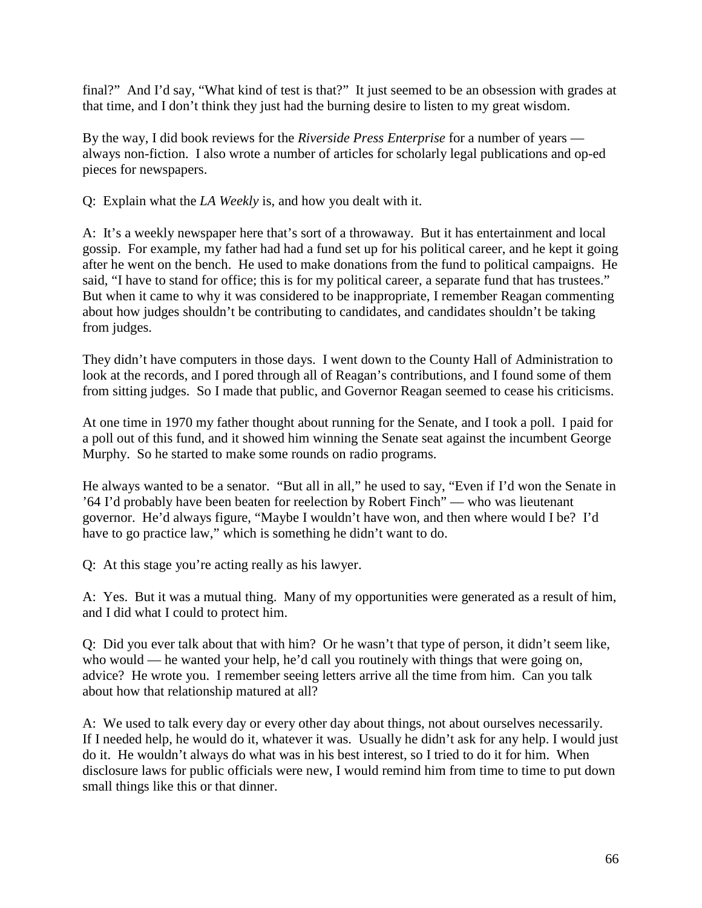final?" And I'd say, "What kind of test is that?" It just seemed to be an obsession with grades at that time, and I don't think they just had the burning desire to listen to my great wisdom.

By the way, I did book reviews for the *Riverside Press Enterprise* for a number of years always non-fiction. I also wrote a number of articles for scholarly legal publications and op-ed pieces for newspapers.

Q: Explain what the *LA Weekly* is, and how you dealt with it.

A: It's a weekly newspaper here that's sort of a throwaway. But it has entertainment and local gossip. For example, my father had had a fund set up for his political career, and he kept it going after he went on the bench. He used to make donations from the fund to political campaigns. He said, "I have to stand for office; this is for my political career, a separate fund that has trustees." But when it came to why it was considered to be inappropriate, I remember Reagan commenting about how judges shouldn't be contributing to candidates, and candidates shouldn't be taking from judges.

They didn't have computers in those days. I went down to the County Hall of Administration to look at the records, and I pored through all of Reagan's contributions, and I found some of them from sitting judges. So I made that public, and Governor Reagan seemed to cease his criticisms.

At one time in 1970 my father thought about running for the Senate, and I took a poll. I paid for a poll out of this fund, and it showed him winning the Senate seat against the incumbent George Murphy. So he started to make some rounds on radio programs.

He always wanted to be a senator. "But all in all," he used to say, "Even if I'd won the Senate in '64 I'd probably have been beaten for reelection by Robert Finch" — who was lieutenant governor. He'd always figure, "Maybe I wouldn't have won, and then where would I be? I'd have to go practice law," which is something he didn't want to do.

Q: At this stage you're acting really as his lawyer.

A: Yes. But it was a mutual thing. Many of my opportunities were generated as a result of him, and I did what I could to protect him.

Q: Did you ever talk about that with him? Or he wasn't that type of person, it didn't seem like, who would — he wanted your help, he'd call you routinely with things that were going on, advice? He wrote you. I remember seeing letters arrive all the time from him. Can you talk about how that relationship matured at all?

A: We used to talk every day or every other day about things, not about ourselves necessarily. If I needed help, he would do it, whatever it was. Usually he didn't ask for any help. I would just do it. He wouldn't always do what was in his best interest, so I tried to do it for him. When disclosure laws for public officials were new, I would remind him from time to time to put down small things like this or that dinner.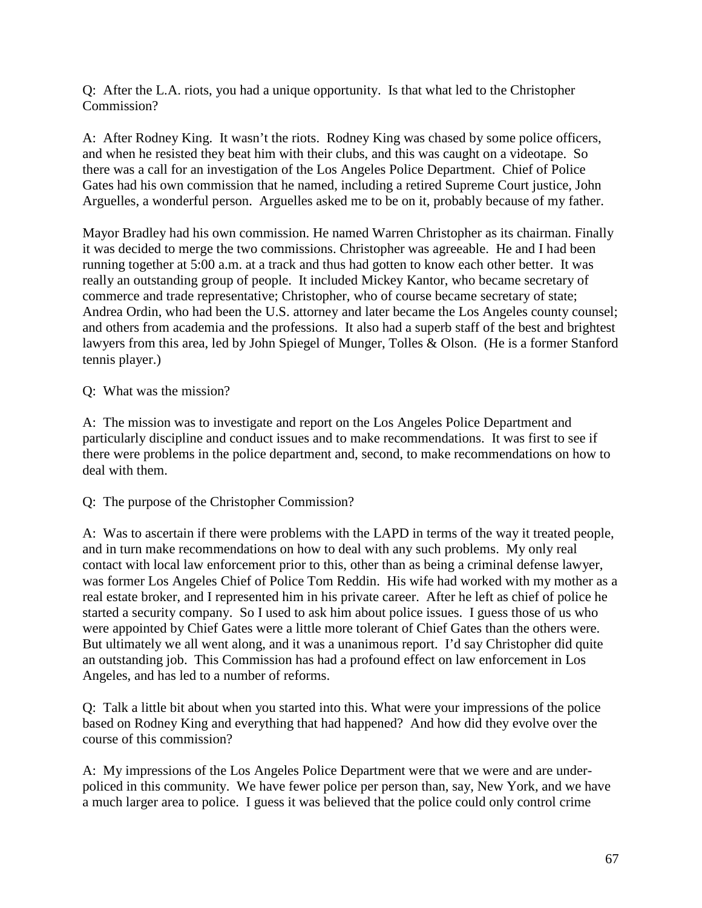Q: After the L.A. riots, you had a unique opportunity. Is that what led to the Christopher Commission?

A: After Rodney King. It wasn't the riots. Rodney King was chased by some police officers, and when he resisted they beat him with their clubs, and this was caught on a videotape. So there was a call for an investigation of the Los Angeles Police Department. Chief of Police Gates had his own commission that he named, including a retired Supreme Court justice, John Arguelles, a wonderful person. Arguelles asked me to be on it, probably because of my father.

Mayor Bradley had his own commission. He named Warren Christopher as its chairman. Finally it was decided to merge the two commissions. Christopher was agreeable. He and I had been running together at 5:00 a.m. at a track and thus had gotten to know each other better. It was really an outstanding group of people. It included Mickey Kantor, who became secretary of commerce and trade representative; Christopher, who of course became secretary of state; Andrea Ordin, who had been the U.S. attorney and later became the Los Angeles county counsel; and others from academia and the professions. It also had a superb staff of the best and brightest lawyers from this area, led by John Spiegel of Munger, Tolles & Olson. (He is a former Stanford tennis player.)

Q: What was the mission?

A: The mission was to investigate and report on the Los Angeles Police Department and particularly discipline and conduct issues and to make recommendations. It was first to see if there were problems in the police department and, second, to make recommendations on how to deal with them.

Q: The purpose of the Christopher Commission?

A: Was to ascertain if there were problems with the LAPD in terms of the way it treated people, and in turn make recommendations on how to deal with any such problems. My only real contact with local law enforcement prior to this, other than as being a criminal defense lawyer, was former Los Angeles Chief of Police Tom Reddin. His wife had worked with my mother as a real estate broker, and I represented him in his private career. After he left as chief of police he started a security company. So I used to ask him about police issues. I guess those of us who were appointed by Chief Gates were a little more tolerant of Chief Gates than the others were. But ultimately we all went along, and it was a unanimous report. I'd say Christopher did quite an outstanding job. This Commission has had a profound effect on law enforcement in Los Angeles, and has led to a number of reforms.

Q: Talk a little bit about when you started into this. What were your impressions of the police based on Rodney King and everything that had happened? And how did they evolve over the course of this commission?

A: My impressions of the Los Angeles Police Department were that we were and are underpoliced in this community. We have fewer police per person than, say, New York, and we have a much larger area to police. I guess it was believed that the police could only control crime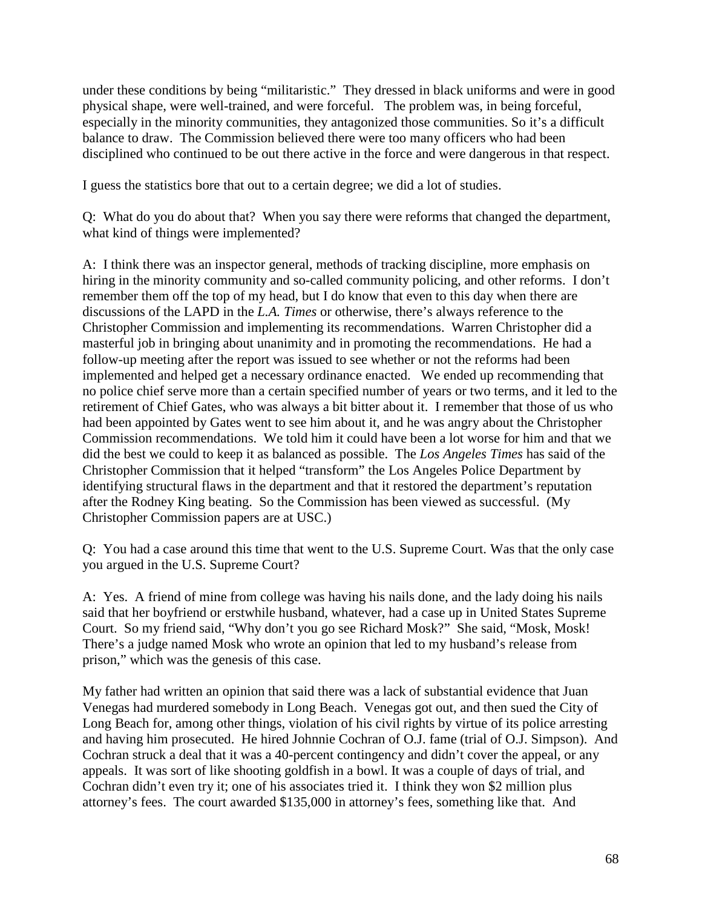under these conditions by being "militaristic." They dressed in black uniforms and were in good physical shape, were well-trained, and were forceful. The problem was, in being forceful, especially in the minority communities, they antagonized those communities. So it's a difficult balance to draw. The Commission believed there were too many officers who had been disciplined who continued to be out there active in the force and were dangerous in that respect.

I guess the statistics bore that out to a certain degree; we did a lot of studies.

Q: What do you do about that? When you say there were reforms that changed the department, what kind of things were implemented?

A: I think there was an inspector general, methods of tracking discipline, more emphasis on hiring in the minority community and so-called community policing, and other reforms. I don't remember them off the top of my head, but I do know that even to this day when there are discussions of the LAPD in the *L.A. Times* or otherwise, there's always reference to the Christopher Commission and implementing its recommendations. Warren Christopher did a masterful job in bringing about unanimity and in promoting the recommendations. He had a follow-up meeting after the report was issued to see whether or not the reforms had been implemented and helped get a necessary ordinance enacted. We ended up recommending that no police chief serve more than a certain specified number of years or two terms, and it led to the retirement of Chief Gates, who was always a bit bitter about it. I remember that those of us who had been appointed by Gates went to see him about it, and he was angry about the Christopher Commission recommendations. We told him it could have been a lot worse for him and that we did the best we could to keep it as balanced as possible. The *Los Angeles Times* has said of the Christopher Commission that it helped "transform" the Los Angeles Police Department by identifying structural flaws in the department and that it restored the department's reputation after the Rodney King beating. So the Commission has been viewed as successful. (My Christopher Commission papers are at USC.)

Q: You had a case around this time that went to the U.S. Supreme Court. Was that the only case you argued in the U.S. Supreme Court?

A: Yes. A friend of mine from college was having his nails done, and the lady doing his nails said that her boyfriend or erstwhile husband, whatever, had a case up in United States Supreme Court. So my friend said, "Why don't you go see Richard Mosk?" She said, "Mosk, Mosk! There's a judge named Mosk who wrote an opinion that led to my husband's release from prison," which was the genesis of this case.

My father had written an opinion that said there was a lack of substantial evidence that Juan Venegas had murdered somebody in Long Beach. Venegas got out, and then sued the City of Long Beach for, among other things, violation of his civil rights by virtue of its police arresting and having him prosecuted. He hired Johnnie Cochran of O.J. fame (trial of O.J. Simpson). And Cochran struck a deal that it was a 40-percent contingency and didn't cover the appeal, or any appeals. It was sort of like shooting goldfish in a bowl. It was a couple of days of trial, and Cochran didn't even try it; one of his associates tried it. I think they won \$2 million plus attorney's fees. The court awarded \$135,000 in attorney's fees, something like that. And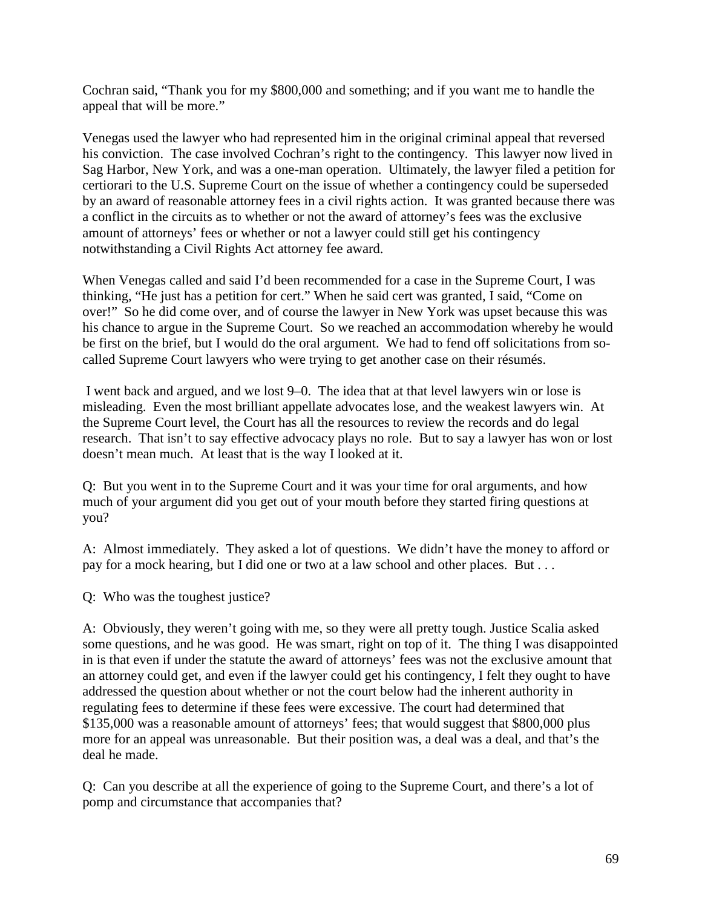Cochran said, "Thank you for my \$800,000 and something; and if you want me to handle the appeal that will be more."

Venegas used the lawyer who had represented him in the original criminal appeal that reversed his conviction. The case involved Cochran's right to the contingency. This lawyer now lived in Sag Harbor, New York, and was a one-man operation. Ultimately, the lawyer filed a petition for certiorari to the U.S. Supreme Court on the issue of whether a contingency could be superseded by an award of reasonable attorney fees in a civil rights action. It was granted because there was a conflict in the circuits as to whether or not the award of attorney's fees was the exclusive amount of attorneys' fees or whether or not a lawyer could still get his contingency notwithstanding a Civil Rights Act attorney fee award.

When Venegas called and said I'd been recommended for a case in the Supreme Court, I was thinking, "He just has a petition for cert." When he said cert was granted, I said, "Come on over!" So he did come over, and of course the lawyer in New York was upset because this was his chance to argue in the Supreme Court. So we reached an accommodation whereby he would be first on the brief, but I would do the oral argument. We had to fend off solicitations from socalled Supreme Court lawyers who were trying to get another case on their résumés.

I went back and argued, and we lost 9–0. The idea that at that level lawyers win or lose is misleading. Even the most brilliant appellate advocates lose, and the weakest lawyers win. At the Supreme Court level, the Court has all the resources to review the records and do legal research. That isn't to say effective advocacy plays no role. But to say a lawyer has won or lost doesn't mean much. At least that is the way I looked at it.

Q: But you went in to the Supreme Court and it was your time for oral arguments, and how much of your argument did you get out of your mouth before they started firing questions at you?

A: Almost immediately. They asked a lot of questions. We didn't have the money to afford or pay for a mock hearing, but I did one or two at a law school and other places. But . . .

Q: Who was the toughest justice?

A: Obviously, they weren't going with me, so they were all pretty tough. Justice Scalia asked some questions, and he was good. He was smart, right on top of it. The thing I was disappointed in is that even if under the statute the award of attorneys' fees was not the exclusive amount that an attorney could get, and even if the lawyer could get his contingency, I felt they ought to have addressed the question about whether or not the court below had the inherent authority in regulating fees to determine if these fees were excessive. The court had determined that \$135,000 was a reasonable amount of attorneys' fees; that would suggest that \$800,000 plus more for an appeal was unreasonable. But their position was, a deal was a deal, and that's the deal he made.

Q: Can you describe at all the experience of going to the Supreme Court, and there's a lot of pomp and circumstance that accompanies that?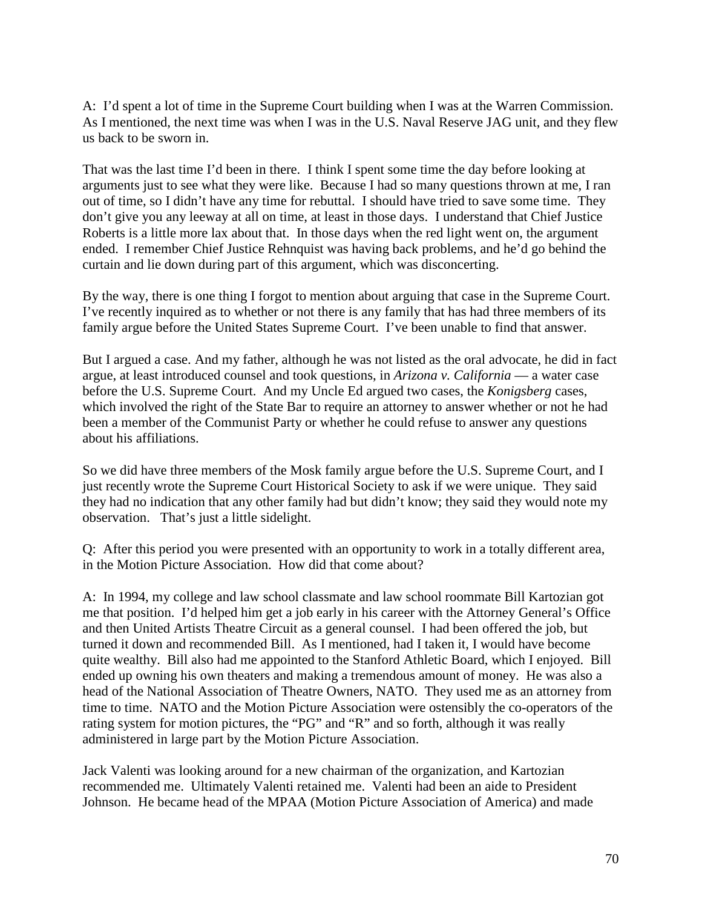A: I'd spent a lot of time in the Supreme Court building when I was at the Warren Commission. As I mentioned, the next time was when I was in the U.S. Naval Reserve JAG unit, and they flew us back to be sworn in.

That was the last time I'd been in there. I think I spent some time the day before looking at arguments just to see what they were like. Because I had so many questions thrown at me, I ran out of time, so I didn't have any time for rebuttal. I should have tried to save some time. They don't give you any leeway at all on time, at least in those days. I understand that Chief Justice Roberts is a little more lax about that. In those days when the red light went on, the argument ended. I remember Chief Justice Rehnquist was having back problems, and he'd go behind the curtain and lie down during part of this argument, which was disconcerting.

By the way, there is one thing I forgot to mention about arguing that case in the Supreme Court. I've recently inquired as to whether or not there is any family that has had three members of its family argue before the United States Supreme Court. I've been unable to find that answer.

But I argued a case. And my father, although he was not listed as the oral advocate, he did in fact argue, at least introduced counsel and took questions, in *Arizona v. California* — a water case before the U.S. Supreme Court. And my Uncle Ed argued two cases, the *Konigsberg* cases, which involved the right of the State Bar to require an attorney to answer whether or not he had been a member of the Communist Party or whether he could refuse to answer any questions about his affiliations.

So we did have three members of the Mosk family argue before the U.S. Supreme Court, and I just recently wrote the Supreme Court Historical Society to ask if we were unique. They said they had no indication that any other family had but didn't know; they said they would note my observation. That's just a little sidelight.

Q: After this period you were presented with an opportunity to work in a totally different area, in the Motion Picture Association. How did that come about?

A: In 1994, my college and law school classmate and law school roommate Bill Kartozian got me that position. I'd helped him get a job early in his career with the Attorney General's Office and then United Artists Theatre Circuit as a general counsel. I had been offered the job, but turned it down and recommended Bill. As I mentioned, had I taken it, I would have become quite wealthy. Bill also had me appointed to the Stanford Athletic Board, which I enjoyed. Bill ended up owning his own theaters and making a tremendous amount of money. He was also a head of the National Association of Theatre Owners, NATO. They used me as an attorney from time to time. NATO and the Motion Picture Association were ostensibly the co-operators of the rating system for motion pictures, the "PG" and "R" and so forth, although it was really administered in large part by the Motion Picture Association.

Jack Valenti was looking around for a new chairman of the organization, and Kartozian recommended me. Ultimately Valenti retained me. Valenti had been an aide to President Johnson. He became head of the MPAA (Motion Picture Association of America) and made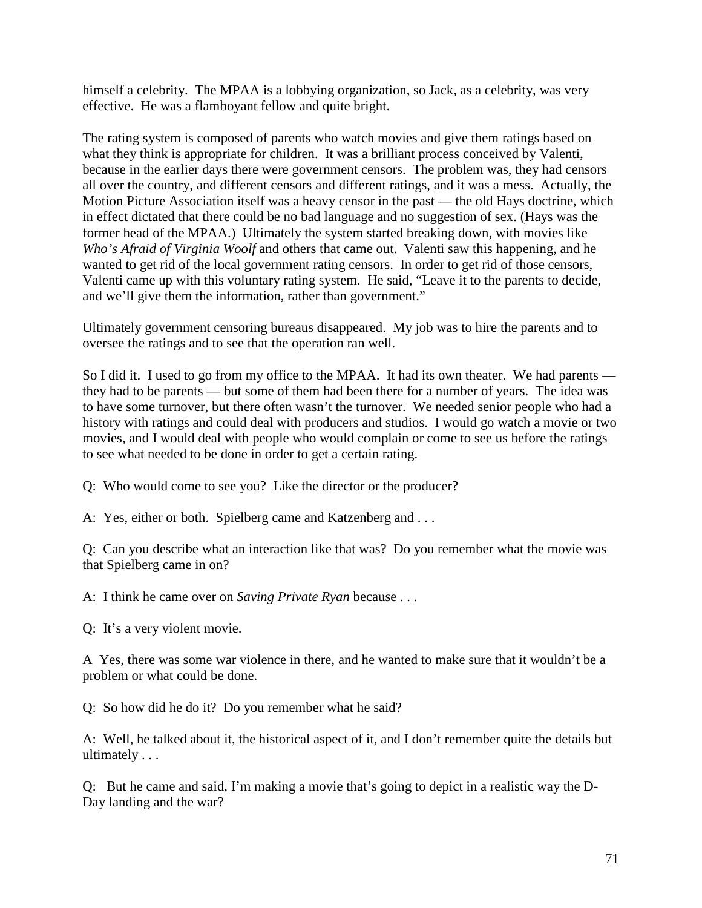himself a celebrity. The MPAA is a lobbying organization, so Jack, as a celebrity, was very effective. He was a flamboyant fellow and quite bright.

The rating system is composed of parents who watch movies and give them ratings based on what they think is appropriate for children. It was a brilliant process conceived by Valenti, because in the earlier days there were government censors. The problem was, they had censors all over the country, and different censors and different ratings, and it was a mess. Actually, the Motion Picture Association itself was a heavy censor in the past — the old Hays doctrine, which in effect dictated that there could be no bad language and no suggestion of sex. (Hays was the former head of the MPAA.) Ultimately the system started breaking down, with movies like *Who's Afraid of Virginia Woolf* and others that came out. Valenti saw this happening, and he wanted to get rid of the local government rating censors. In order to get rid of those censors, Valenti came up with this voluntary rating system. He said, "Leave it to the parents to decide, and we'll give them the information, rather than government."

Ultimately government censoring bureaus disappeared. My job was to hire the parents and to oversee the ratings and to see that the operation ran well.

So I did it. I used to go from my office to the MPAA. It had its own theater. We had parents they had to be parents — but some of them had been there for a number of years. The idea was to have some turnover, but there often wasn't the turnover. We needed senior people who had a history with ratings and could deal with producers and studios. I would go watch a movie or two movies, and I would deal with people who would complain or come to see us before the ratings to see what needed to be done in order to get a certain rating.

Q: Who would come to see you? Like the director or the producer?

A: Yes, either or both. Spielberg came and Katzenberg and ...

Q: Can you describe what an interaction like that was? Do you remember what the movie was that Spielberg came in on?

A: I think he came over on *Saving Private Ryan* because . . .

Q: It's a very violent movie.

A Yes, there was some war violence in there, and he wanted to make sure that it wouldn't be a problem or what could be done.

Q: So how did he do it? Do you remember what he said?

A: Well, he talked about it, the historical aspect of it, and I don't remember quite the details but ultimately . . .

Q: But he came and said, I'm making a movie that's going to depict in a realistic way the D-Day landing and the war?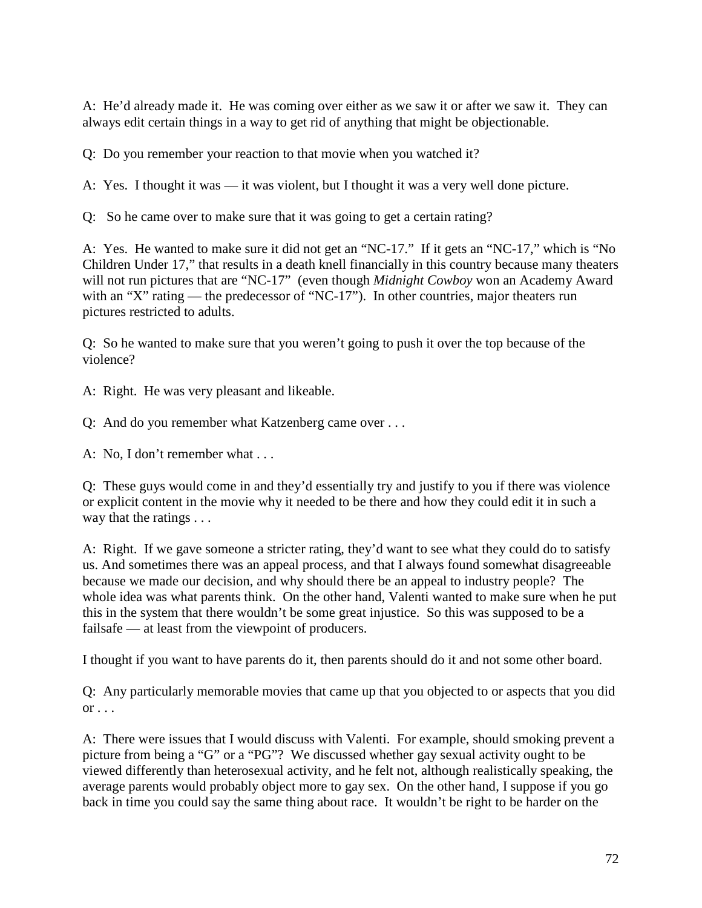A: He'd already made it. He was coming over either as we saw it or after we saw it. They can always edit certain things in a way to get rid of anything that might be objectionable.

Q: Do you remember your reaction to that movie when you watched it?

A: Yes. I thought it was — it was violent, but I thought it was a very well done picture.

Q: So he came over to make sure that it was going to get a certain rating?

A: Yes. He wanted to make sure it did not get an "NC-17." If it gets an "NC-17," which is "No Children Under 17," that results in a death knell financially in this country because many theaters will not run pictures that are "NC-17" (even though *Midnight Cowboy* won an Academy Award with an "X" rating — the predecessor of "NC-17"). In other countries, major theaters run pictures restricted to adults.

Q: So he wanted to make sure that you weren't going to push it over the top because of the violence?

A: Right. He was very pleasant and likeable.

Q: And do you remember what Katzenberg came over . . .

A: No, I don't remember what . . .

Q: These guys would come in and they'd essentially try and justify to you if there was violence or explicit content in the movie why it needed to be there and how they could edit it in such a way that the ratings . . .

A: Right. If we gave someone a stricter rating, they'd want to see what they could do to satisfy us. And sometimes there was an appeal process, and that I always found somewhat disagreeable because we made our decision, and why should there be an appeal to industry people? The whole idea was what parents think. On the other hand, Valenti wanted to make sure when he put this in the system that there wouldn't be some great injustice. So this was supposed to be a failsafe — at least from the viewpoint of producers.

I thought if you want to have parents do it, then parents should do it and not some other board.

Q: Any particularly memorable movies that came up that you objected to or aspects that you did  $\overline{\text{or}} \dots$ 

A: There were issues that I would discuss with Valenti. For example, should smoking prevent a picture from being a "G" or a "PG"? We discussed whether gay sexual activity ought to be viewed differently than heterosexual activity, and he felt not, although realistically speaking, the average parents would probably object more to gay sex. On the other hand, I suppose if you go back in time you could say the same thing about race. It wouldn't be right to be harder on the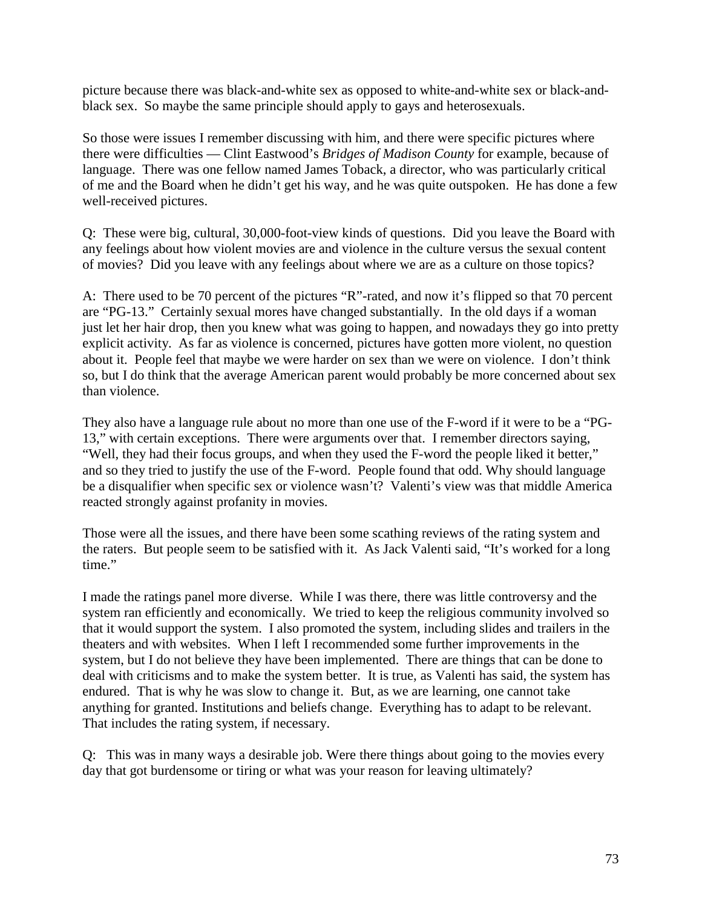picture because there was black-and-white sex as opposed to white-and-white sex or black-andblack sex. So maybe the same principle should apply to gays and heterosexuals.

So those were issues I remember discussing with him, and there were specific pictures where there were difficulties — Clint Eastwood's *Bridges of Madison County* for example, because of language. There was one fellow named James Toback, a director, who was particularly critical of me and the Board when he didn't get his way, and he was quite outspoken. He has done a few well-received pictures.

Q: These were big, cultural, 30,000-foot-view kinds of questions. Did you leave the Board with any feelings about how violent movies are and violence in the culture versus the sexual content of movies? Did you leave with any feelings about where we are as a culture on those topics?

A: There used to be 70 percent of the pictures "R"-rated, and now it's flipped so that 70 percent are "PG-13." Certainly sexual mores have changed substantially. In the old days if a woman just let her hair drop, then you knew what was going to happen, and nowadays they go into pretty explicit activity. As far as violence is concerned, pictures have gotten more violent, no question about it. People feel that maybe we were harder on sex than we were on violence. I don't think so, but I do think that the average American parent would probably be more concerned about sex than violence.

They also have a language rule about no more than one use of the F-word if it were to be a "PG-13," with certain exceptions. There were arguments over that. I remember directors saying, "Well, they had their focus groups, and when they used the F-word the people liked it better," and so they tried to justify the use of the F-word. People found that odd. Why should language be a disqualifier when specific sex or violence wasn't? Valenti's view was that middle America reacted strongly against profanity in movies.

Those were all the issues, and there have been some scathing reviews of the rating system and the raters. But people seem to be satisfied with it. As Jack Valenti said, "It's worked for a long time."

I made the ratings panel more diverse. While I was there, there was little controversy and the system ran efficiently and economically. We tried to keep the religious community involved so that it would support the system. I also promoted the system, including slides and trailers in the theaters and with websites. When I left I recommended some further improvements in the system, but I do not believe they have been implemented. There are things that can be done to deal with criticisms and to make the system better. It is true, as Valenti has said, the system has endured. That is why he was slow to change it. But, as we are learning, one cannot take anything for granted. Institutions and beliefs change. Everything has to adapt to be relevant. That includes the rating system, if necessary.

Q: This was in many ways a desirable job. Were there things about going to the movies every day that got burdensome or tiring or what was your reason for leaving ultimately?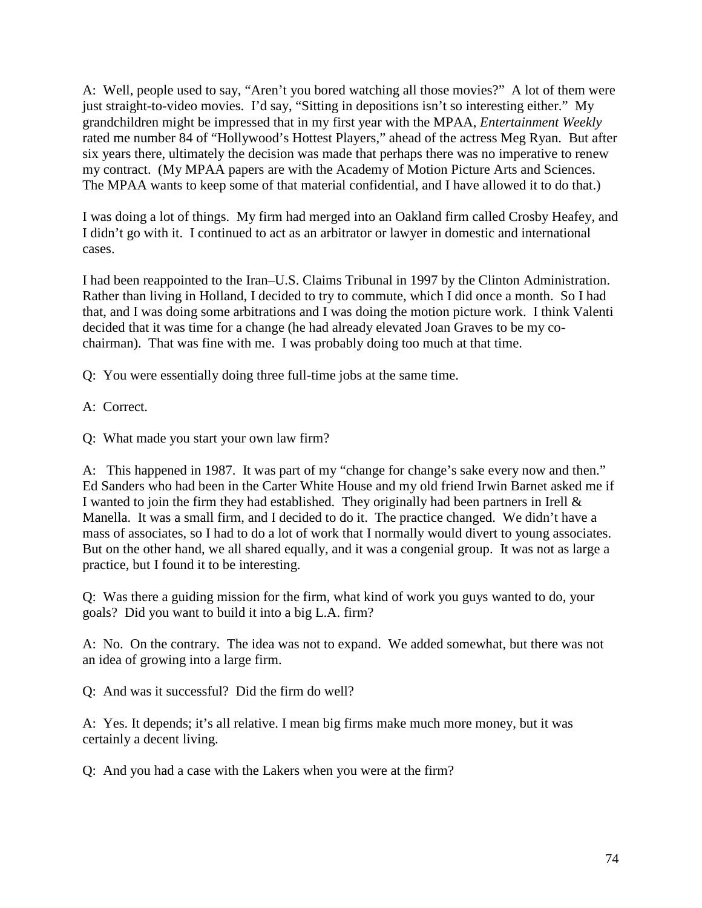A: Well, people used to say, "Aren't you bored watching all those movies?" A lot of them were just straight-to-video movies. I'd say, "Sitting in depositions isn't so interesting either." My grandchildren might be impressed that in my first year with the MPAA, *Entertainment Weekly* rated me number 84 of "Hollywood's Hottest Players," ahead of the actress Meg Ryan. But after six years there, ultimately the decision was made that perhaps there was no imperative to renew my contract. (My MPAA papers are with the Academy of Motion Picture Arts and Sciences. The MPAA wants to keep some of that material confidential, and I have allowed it to do that.)

I was doing a lot of things. My firm had merged into an Oakland firm called Crosby Heafey, and I didn't go with it. I continued to act as an arbitrator or lawyer in domestic and international cases.

I had been reappointed to the Iran–U.S. Claims Tribunal in 1997 by the Clinton Administration. Rather than living in Holland, I decided to try to commute, which I did once a month. So I had that, and I was doing some arbitrations and I was doing the motion picture work. I think Valenti decided that it was time for a change (he had already elevated Joan Graves to be my cochairman). That was fine with me. I was probably doing too much at that time.

Q: You were essentially doing three full-time jobs at the same time.

A: Correct.

Q: What made you start your own law firm?

A: This happened in 1987. It was part of my "change for change's sake every now and then." Ed Sanders who had been in the Carter White House and my old friend Irwin Barnet asked me if I wanted to join the firm they had established. They originally had been partners in Irell & Manella. It was a small firm, and I decided to do it. The practice changed. We didn't have a mass of associates, so I had to do a lot of work that I normally would divert to young associates. But on the other hand, we all shared equally, and it was a congenial group. It was not as large a practice, but I found it to be interesting.

Q: Was there a guiding mission for the firm, what kind of work you guys wanted to do, your goals? Did you want to build it into a big L.A. firm?

A: No. On the contrary. The idea was not to expand. We added somewhat, but there was not an idea of growing into a large firm.

Q: And was it successful? Did the firm do well?

A: Yes. It depends; it's all relative. I mean big firms make much more money, but it was certainly a decent living.

Q: And you had a case with the Lakers when you were at the firm?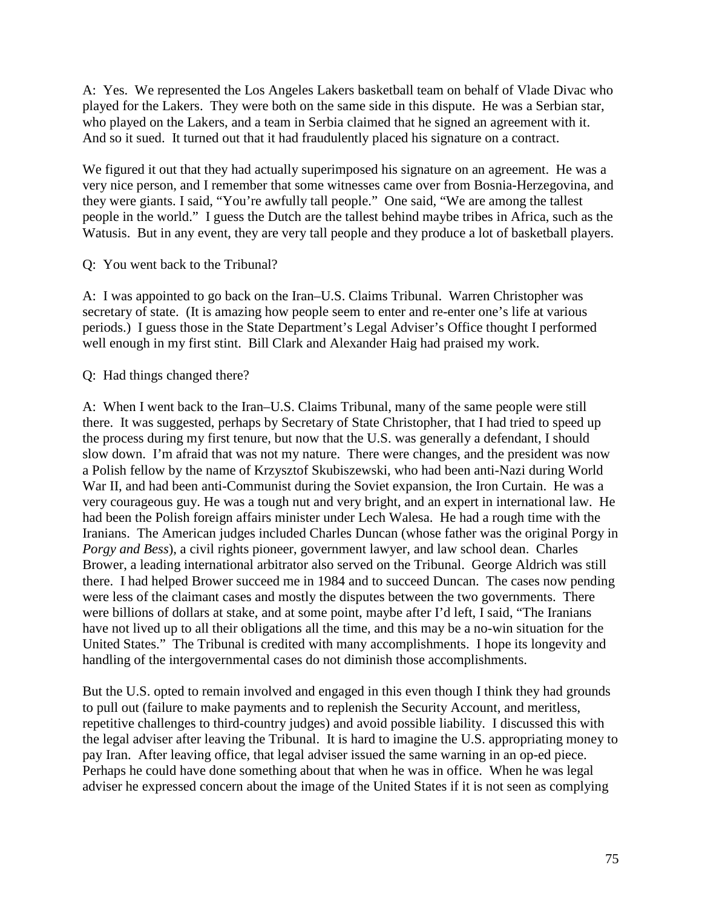A: Yes. We represented the Los Angeles Lakers basketball team on behalf of Vlade Divac who played for the Lakers. They were both on the same side in this dispute. He was a Serbian star, who played on the Lakers, and a team in Serbia claimed that he signed an agreement with it. And so it sued. It turned out that it had fraudulently placed his signature on a contract.

We figured it out that they had actually superimposed his signature on an agreement. He was a very nice person, and I remember that some witnesses came over from Bosnia-Herzegovina, and they were giants. I said, "You're awfully tall people." One said, "We are among the tallest people in the world." I guess the Dutch are the tallest behind maybe tribes in Africa, such as the Watusis. But in any event, they are very tall people and they produce a lot of basketball players.

Q: You went back to the Tribunal?

A: I was appointed to go back on the Iran–U.S. Claims Tribunal. Warren Christopher was secretary of state. (It is amazing how people seem to enter and re-enter one's life at various periods.) I guess those in the State Department's Legal Adviser's Office thought I performed well enough in my first stint. Bill Clark and Alexander Haig had praised my work.

Q: Had things changed there?

A: When I went back to the Iran–U.S. Claims Tribunal, many of the same people were still there. It was suggested, perhaps by Secretary of State Christopher, that I had tried to speed up the process during my first tenure, but now that the U.S. was generally a defendant, I should slow down. I'm afraid that was not my nature. There were changes, and the president was now a Polish fellow by the name of Krzysztof Skubiszewski, who had been anti-Nazi during World War II, and had been anti-Communist during the Soviet expansion, the Iron Curtain. He was a very courageous guy. He was a tough nut and very bright, and an expert in international law. He had been the Polish foreign affairs minister under Lech Walesa. He had a rough time with the Iranians. The American judges included Charles Duncan (whose father was the original Porgy in *Porgy and Bess*), a civil rights pioneer, government lawyer, and law school dean. Charles Brower, a leading international arbitrator also served on the Tribunal. George Aldrich was still there. I had helped Brower succeed me in 1984 and to succeed Duncan. The cases now pending were less of the claimant cases and mostly the disputes between the two governments. There were billions of dollars at stake, and at some point, maybe after I'd left, I said, "The Iranians have not lived up to all their obligations all the time, and this may be a no-win situation for the United States." The Tribunal is credited with many accomplishments. I hope its longevity and handling of the intergovernmental cases do not diminish those accomplishments.

But the U.S. opted to remain involved and engaged in this even though I think they had grounds to pull out (failure to make payments and to replenish the Security Account, and meritless, repetitive challenges to third-country judges) and avoid possible liability. I discussed this with the legal adviser after leaving the Tribunal. It is hard to imagine the U.S. appropriating money to pay Iran. After leaving office, that legal adviser issued the same warning in an op-ed piece. Perhaps he could have done something about that when he was in office. When he was legal adviser he expressed concern about the image of the United States if it is not seen as complying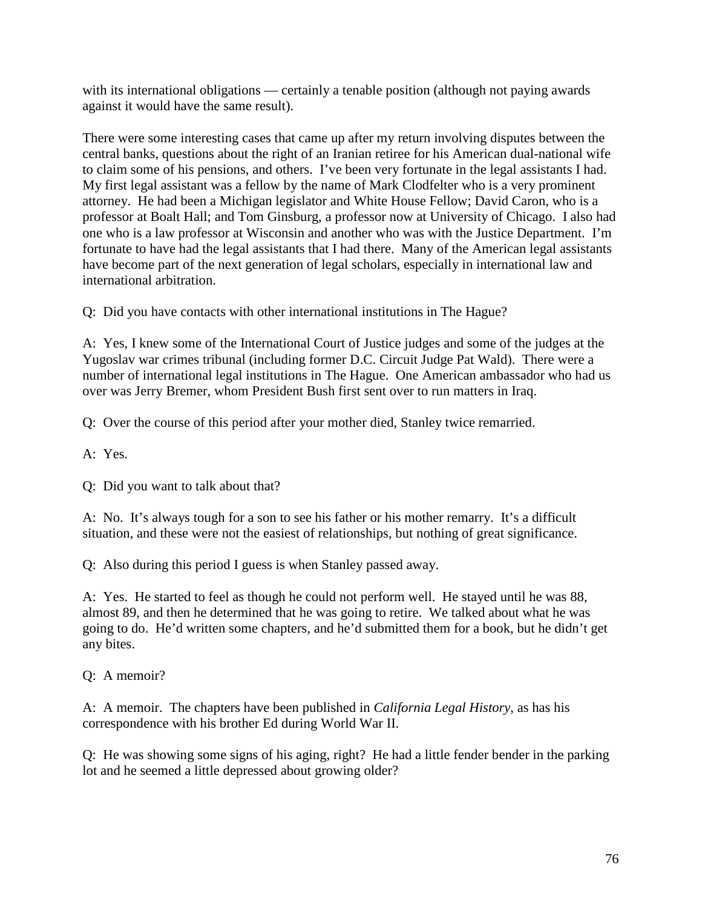with its international obligations — certainly a tenable position (although not paying awards against it would have the same result).

There were some interesting cases that came up after my return involving disputes between the central banks, questions about the right of an Iranian retiree for his American dual-national wife to claim some of his pensions, and others. I've been very fortunate in the legal assistants I had. My first legal assistant was a fellow by the name of Mark Clodfelter who is a very prominent attorney. He had been a Michigan legislator and White House Fellow; David Caron, who is a professor at Boalt Hall; and Tom Ginsburg, a professor now at University of Chicago. I also had one who is a law professor at Wisconsin and another who was with the Justice Department. I'm fortunate to have had the legal assistants that I had there. Many of the American legal assistants have become part of the next generation of legal scholars, especially in international law and international arbitration.

Q: Did you have contacts with other international institutions in The Hague?

A: Yes, I knew some of the International Court of Justice judges and some of the judges at the Yugoslav war crimes tribunal (including former D.C. Circuit Judge Pat Wald). There were a number of international legal institutions in The Hague. One American ambassador who had us over was Jerry Bremer, whom President Bush first sent over to run matters in Iraq.

Q: Over the course of this period after your mother died, Stanley twice remarried.

A: Yes.

Q: Did you want to talk about that?

A: No. It's always tough for a son to see his father or his mother remarry. It's a difficult situation, and these were not the easiest of relationships, but nothing of great significance.

Q: Also during this period I guess is when Stanley passed away.

A: Yes. He started to feel as though he could not perform well. He stayed until he was 88, almost 89, and then he determined that he was going to retire. We talked about what he was going to do. He'd written some chapters, and he'd submitted them for a book, but he didn't get any bites.

Q: A memoir?

A: A memoir. The chapters have been published in *California Legal History*, as has his correspondence with his brother Ed during World War II.

Q: He was showing some signs of his aging, right? He had a little fender bender in the parking lot and he seemed a little depressed about growing older?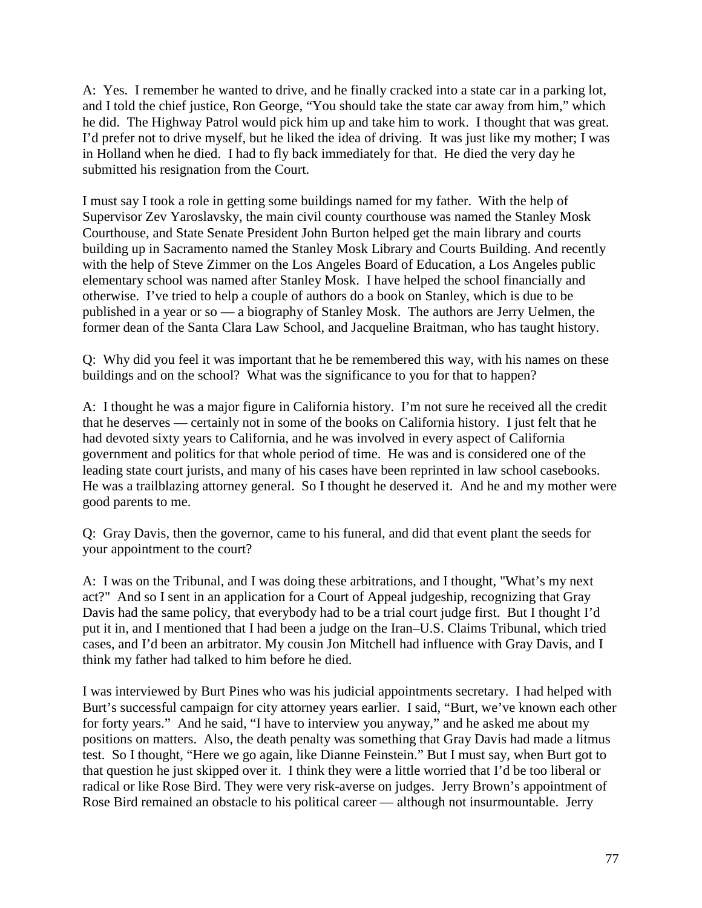A: Yes. I remember he wanted to drive, and he finally cracked into a state car in a parking lot, and I told the chief justice, Ron George, "You should take the state car away from him," which he did. The Highway Patrol would pick him up and take him to work. I thought that was great. I'd prefer not to drive myself, but he liked the idea of driving. It was just like my mother; I was in Holland when he died. I had to fly back immediately for that. He died the very day he submitted his resignation from the Court.

I must say I took a role in getting some buildings named for my father. With the help of Supervisor Zev Yaroslavsky, the main civil county courthouse was named the Stanley Mosk Courthouse, and State Senate President John Burton helped get the main library and courts building up in Sacramento named the Stanley Mosk Library and Courts Building. And recently with the help of Steve Zimmer on the Los Angeles Board of Education, a Los Angeles public elementary school was named after Stanley Mosk. I have helped the school financially and otherwise. I've tried to help a couple of authors do a book on Stanley, which is due to be published in a year or so — a biography of Stanley Mosk. The authors are Jerry Uelmen, the former dean of the Santa Clara Law School, and Jacqueline Braitman, who has taught history.

Q: Why did you feel it was important that he be remembered this way, with his names on these buildings and on the school? What was the significance to you for that to happen?

A: I thought he was a major figure in California history. I'm not sure he received all the credit that he deserves — certainly not in some of the books on California history. I just felt that he had devoted sixty years to California, and he was involved in every aspect of California government and politics for that whole period of time. He was and is considered one of the leading state court jurists, and many of his cases have been reprinted in law school casebooks. He was a trailblazing attorney general. So I thought he deserved it. And he and my mother were good parents to me.

Q: Gray Davis, then the governor, came to his funeral, and did that event plant the seeds for your appointment to the court?

A: I was on the Tribunal, and I was doing these arbitrations, and I thought, "What's my next act?" And so I sent in an application for a Court of Appeal judgeship, recognizing that Gray Davis had the same policy, that everybody had to be a trial court judge first. But I thought I'd put it in, and I mentioned that I had been a judge on the Iran–U.S. Claims Tribunal, which tried cases, and I'd been an arbitrator. My cousin Jon Mitchell had influence with Gray Davis, and I think my father had talked to him before he died.

I was interviewed by Burt Pines who was his judicial appointments secretary. I had helped with Burt's successful campaign for city attorney years earlier. I said, "Burt, we've known each other for forty years." And he said, "I have to interview you anyway," and he asked me about my positions on matters. Also, the death penalty was something that Gray Davis had made a litmus test. So I thought, "Here we go again, like Dianne Feinstein." But I must say, when Burt got to that question he just skipped over it. I think they were a little worried that I'd be too liberal or radical or like Rose Bird. They were very risk-averse on judges. Jerry Brown's appointment of Rose Bird remained an obstacle to his political career — although not insurmountable. Jerry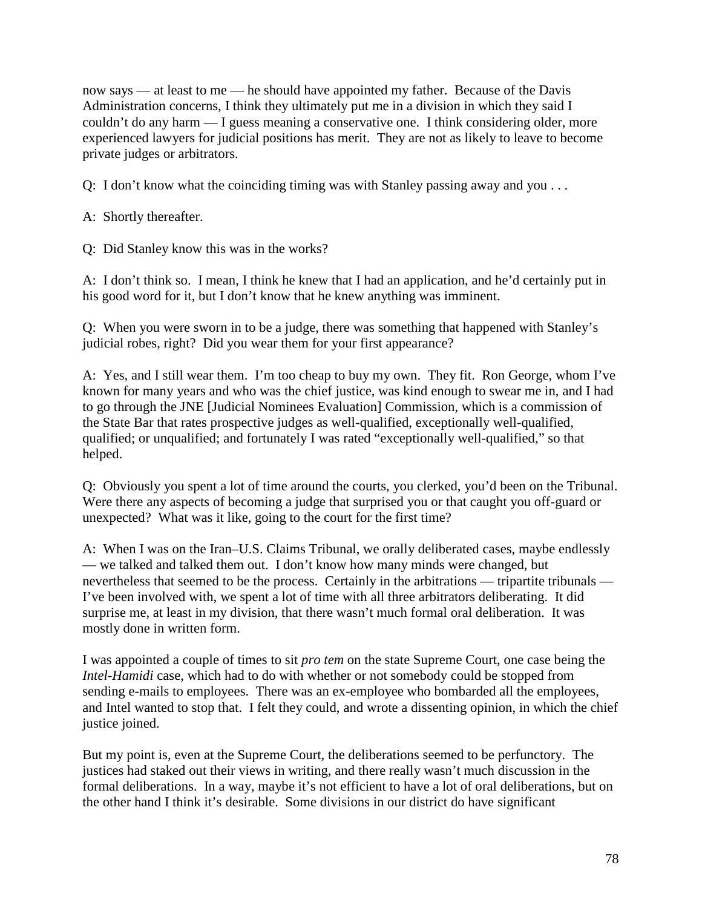now says — at least to me — he should have appointed my father. Because of the Davis Administration concerns, I think they ultimately put me in a division in which they said I couldn't do any harm — I guess meaning a conservative one. I think considering older, more experienced lawyers for judicial positions has merit. They are not as likely to leave to become private judges or arbitrators.

Q: I don't know what the coinciding timing was with Stanley passing away and you . . .

A: Shortly thereafter.

Q: Did Stanley know this was in the works?

A: I don't think so. I mean, I think he knew that I had an application, and he'd certainly put in his good word for it, but I don't know that he knew anything was imminent.

Q: When you were sworn in to be a judge, there was something that happened with Stanley's judicial robes, right? Did you wear them for your first appearance?

A: Yes, and I still wear them. I'm too cheap to buy my own. They fit. Ron George, whom I've known for many years and who was the chief justice, was kind enough to swear me in, and I had to go through the JNE [Judicial Nominees Evaluation] Commission, which is a commission of the State Bar that rates prospective judges as well-qualified, exceptionally well-qualified, qualified; or unqualified; and fortunately I was rated "exceptionally well-qualified," so that helped.

Q: Obviously you spent a lot of time around the courts, you clerked, you'd been on the Tribunal. Were there any aspects of becoming a judge that surprised you or that caught you off-guard or unexpected? What was it like, going to the court for the first time?

A: When I was on the Iran–U.S. Claims Tribunal, we orally deliberated cases, maybe endlessly — we talked and talked them out. I don't know how many minds were changed, but nevertheless that seemed to be the process. Certainly in the arbitrations — tripartite tribunals — I've been involved with, we spent a lot of time with all three arbitrators deliberating. It did surprise me, at least in my division, that there wasn't much formal oral deliberation. It was mostly done in written form.

I was appointed a couple of times to sit *pro tem* on the state Supreme Court, one case being the *Intel-Hamidi* case, which had to do with whether or not somebody could be stopped from sending e-mails to employees. There was an ex-employee who bombarded all the employees, and Intel wanted to stop that. I felt they could, and wrote a dissenting opinion, in which the chief justice joined.

But my point is, even at the Supreme Court, the deliberations seemed to be perfunctory. The justices had staked out their views in writing, and there really wasn't much discussion in the formal deliberations. In a way, maybe it's not efficient to have a lot of oral deliberations, but on the other hand I think it's desirable. Some divisions in our district do have significant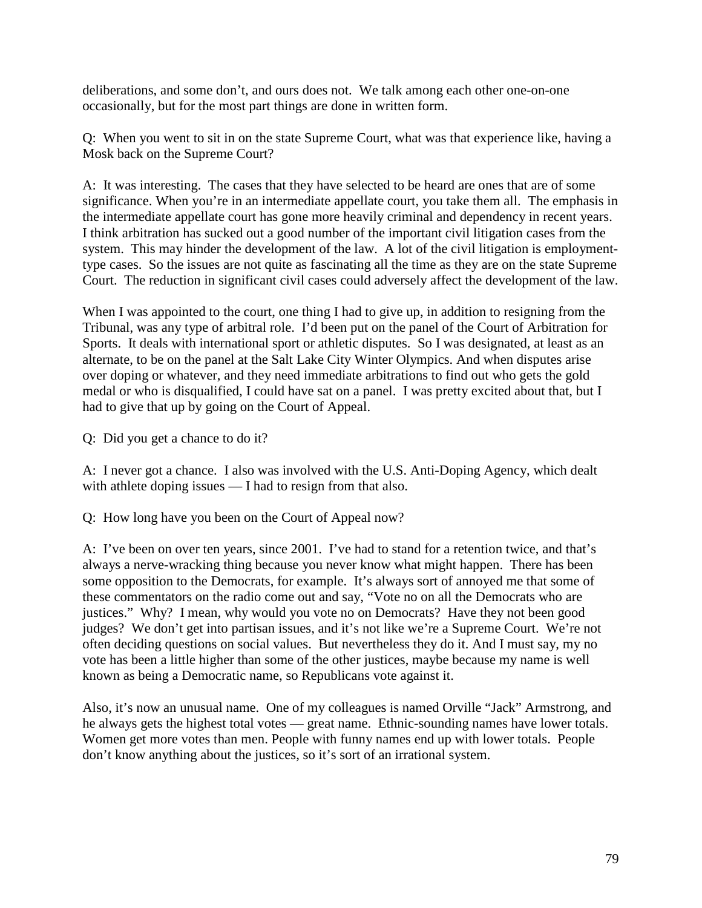deliberations, and some don't, and ours does not. We talk among each other one-on-one occasionally, but for the most part things are done in written form.

Q: When you went to sit in on the state Supreme Court, what was that experience like, having a Mosk back on the Supreme Court?

A: It was interesting. The cases that they have selected to be heard are ones that are of some significance. When you're in an intermediate appellate court, you take them all. The emphasis in the intermediate appellate court has gone more heavily criminal and dependency in recent years. I think arbitration has sucked out a good number of the important civil litigation cases from the system. This may hinder the development of the law. A lot of the civil litigation is employmenttype cases. So the issues are not quite as fascinating all the time as they are on the state Supreme Court. The reduction in significant civil cases could adversely affect the development of the law.

When I was appointed to the court, one thing I had to give up, in addition to resigning from the Tribunal, was any type of arbitral role. I'd been put on the panel of the Court of Arbitration for Sports. It deals with international sport or athletic disputes. So I was designated, at least as an alternate, to be on the panel at the Salt Lake City Winter Olympics. And when disputes arise over doping or whatever, and they need immediate arbitrations to find out who gets the gold medal or who is disqualified, I could have sat on a panel. I was pretty excited about that, but I had to give that up by going on the Court of Appeal.

Q: Did you get a chance to do it?

A: I never got a chance. I also was involved with the U.S. Anti-Doping Agency, which dealt with athlete doping issues — I had to resign from that also.

Q: How long have you been on the Court of Appeal now?

A: I've been on over ten years, since 2001. I've had to stand for a retention twice, and that's always a nerve-wracking thing because you never know what might happen. There has been some opposition to the Democrats, for example. It's always sort of annoyed me that some of these commentators on the radio come out and say, "Vote no on all the Democrats who are justices." Why? I mean, why would you vote no on Democrats? Have they not been good judges? We don't get into partisan issues, and it's not like we're a Supreme Court. We're not often deciding questions on social values. But nevertheless they do it. And I must say, my no vote has been a little higher than some of the other justices, maybe because my name is well known as being a Democratic name, so Republicans vote against it.

Also, it's now an unusual name. One of my colleagues is named Orville "Jack" Armstrong, and he always gets the highest total votes — great name. Ethnic-sounding names have lower totals. Women get more votes than men. People with funny names end up with lower totals. People don't know anything about the justices, so it's sort of an irrational system.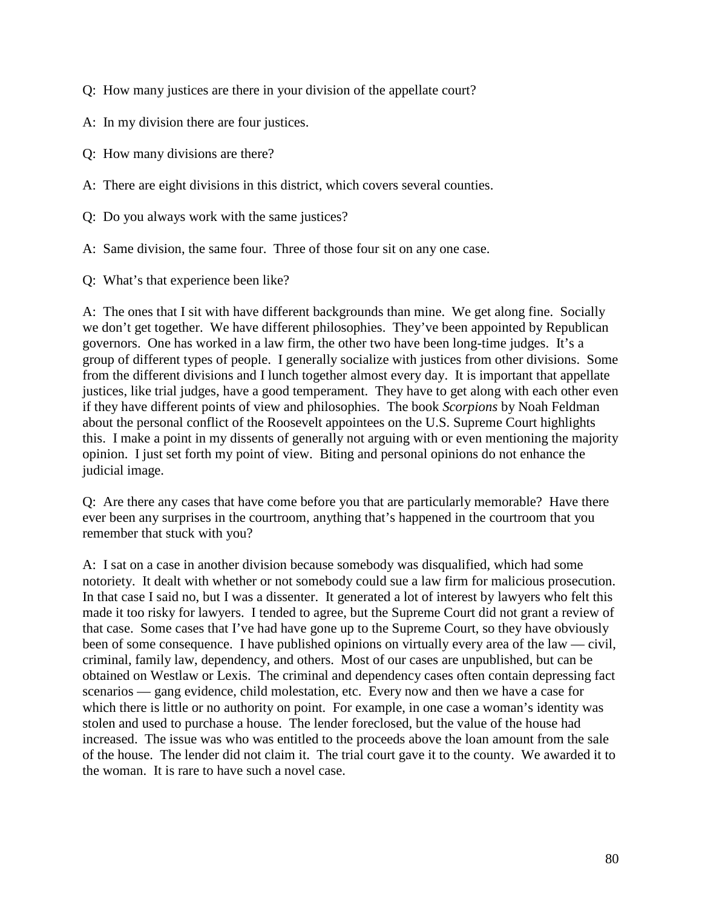- Q: How many justices are there in your division of the appellate court?
- A: In my division there are four justices.
- Q: How many divisions are there?
- A: There are eight divisions in this district, which covers several counties.
- Q: Do you always work with the same justices?
- A: Same division, the same four. Three of those four sit on any one case.
- Q: What's that experience been like?

A: The ones that I sit with have different backgrounds than mine. We get along fine. Socially we don't get together. We have different philosophies. They've been appointed by Republican governors. One has worked in a law firm, the other two have been long-time judges. It's a group of different types of people. I generally socialize with justices from other divisions. Some from the different divisions and I lunch together almost every day. It is important that appellate justices, like trial judges, have a good temperament. They have to get along with each other even if they have different points of view and philosophies. The book *Scorpions* by Noah Feldman about the personal conflict of the Roosevelt appointees on the U.S. Supreme Court highlights this. I make a point in my dissents of generally not arguing with or even mentioning the majority opinion. I just set forth my point of view. Biting and personal opinions do not enhance the judicial image.

Q: Are there any cases that have come before you that are particularly memorable? Have there ever been any surprises in the courtroom, anything that's happened in the courtroom that you remember that stuck with you?

A: I sat on a case in another division because somebody was disqualified, which had some notoriety. It dealt with whether or not somebody could sue a law firm for malicious prosecution. In that case I said no, but I was a dissenter. It generated a lot of interest by lawyers who felt this made it too risky for lawyers. I tended to agree, but the Supreme Court did not grant a review of that case. Some cases that I've had have gone up to the Supreme Court, so they have obviously been of some consequence. I have published opinions on virtually every area of the law — civil, criminal, family law, dependency, and others. Most of our cases are unpublished, but can be obtained on Westlaw or Lexis. The criminal and dependency cases often contain depressing fact scenarios — gang evidence, child molestation, etc. Every now and then we have a case for which there is little or no authority on point. For example, in one case a woman's identity was stolen and used to purchase a house. The lender foreclosed, but the value of the house had increased. The issue was who was entitled to the proceeds above the loan amount from the sale of the house. The lender did not claim it. The trial court gave it to the county. We awarded it to the woman. It is rare to have such a novel case.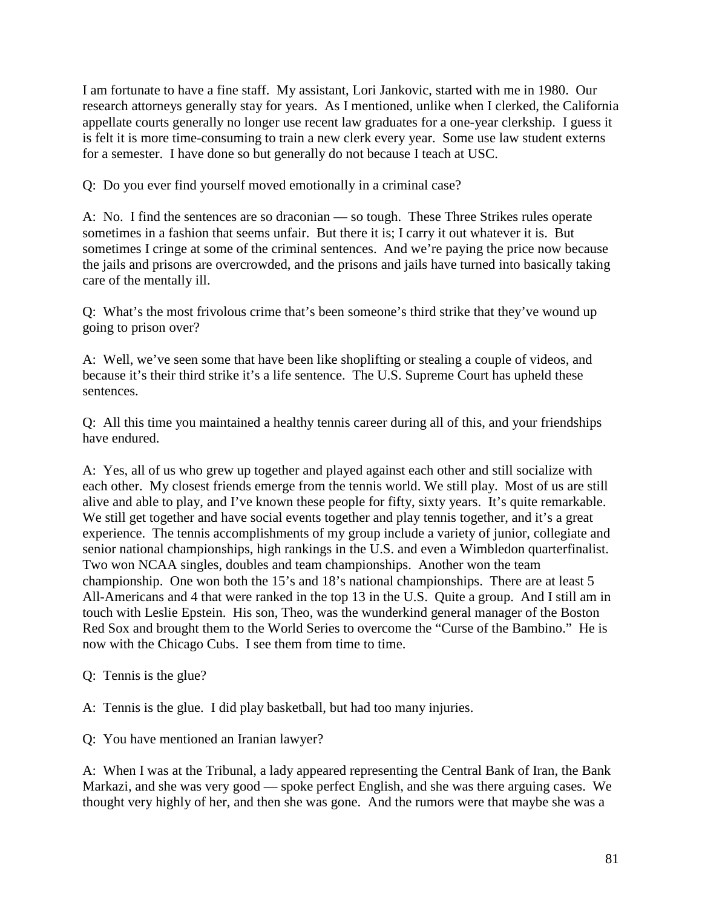I am fortunate to have a fine staff. My assistant, Lori Jankovic, started with me in 1980. Our research attorneys generally stay for years. As I mentioned, unlike when I clerked, the California appellate courts generally no longer use recent law graduates for a one-year clerkship. I guess it is felt it is more time-consuming to train a new clerk every year. Some use law student externs for a semester. I have done so but generally do not because I teach at USC.

Q: Do you ever find yourself moved emotionally in a criminal case?

A: No. I find the sentences are so draconian — so tough. These Three Strikes rules operate sometimes in a fashion that seems unfair. But there it is; I carry it out whatever it is. But sometimes I cringe at some of the criminal sentences. And we're paying the price now because the jails and prisons are overcrowded, and the prisons and jails have turned into basically taking care of the mentally ill.

Q: What's the most frivolous crime that's been someone's third strike that they've wound up going to prison over?

A: Well, we've seen some that have been like shoplifting or stealing a couple of videos, and because it's their third strike it's a life sentence. The U.S. Supreme Court has upheld these sentences.

Q: All this time you maintained a healthy tennis career during all of this, and your friendships have endured.

A: Yes, all of us who grew up together and played against each other and still socialize with each other. My closest friends emerge from the tennis world. We still play. Most of us are still alive and able to play, and I've known these people for fifty, sixty years. It's quite remarkable. We still get together and have social events together and play tennis together, and it's a great experience. The tennis accomplishments of my group include a variety of junior, collegiate and senior national championships, high rankings in the U.S. and even a Wimbledon quarterfinalist. Two won NCAA singles, doubles and team championships. Another won the team championship. One won both the 15's and 18's national championships. There are at least 5 All-Americans and 4 that were ranked in the top 13 in the U.S. Quite a group. And I still am in touch with Leslie Epstein. His son, Theo, was the wunderkind general manager of the Boston Red Sox and brought them to the World Series to overcome the "Curse of the Bambino." He is now with the Chicago Cubs. I see them from time to time.

Q: Tennis is the glue?

A: Tennis is the glue. I did play basketball, but had too many injuries.

Q: You have mentioned an Iranian lawyer?

A: When I was at the Tribunal, a lady appeared representing the Central Bank of Iran, the Bank Markazi, and she was very good — spoke perfect English, and she was there arguing cases. We thought very highly of her, and then she was gone. And the rumors were that maybe she was a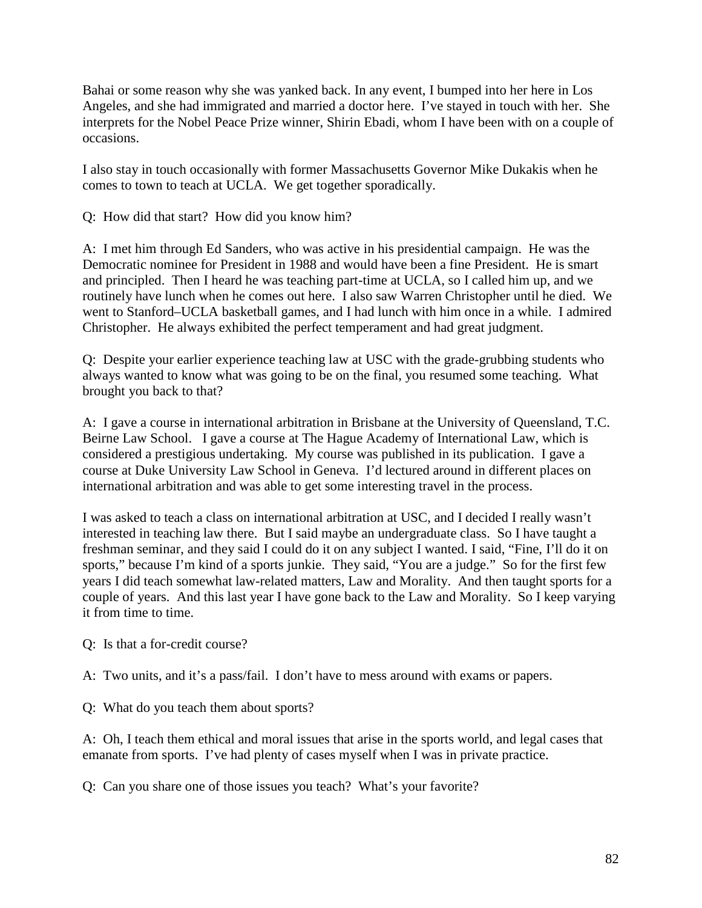Bahai or some reason why she was yanked back. In any event, I bumped into her here in Los Angeles, and she had immigrated and married a doctor here. I've stayed in touch with her. She interprets for the Nobel Peace Prize winner, Shirin Ebadi, whom I have been with on a couple of occasions.

I also stay in touch occasionally with former Massachusetts Governor Mike Dukakis when he comes to town to teach at UCLA. We get together sporadically.

Q: How did that start? How did you know him?

A: I met him through Ed Sanders, who was active in his presidential campaign. He was the Democratic nominee for President in 1988 and would have been a fine President. He is smart and principled. Then I heard he was teaching part-time at UCLA, so I called him up, and we routinely have lunch when he comes out here. I also saw Warren Christopher until he died. We went to Stanford–UCLA basketball games, and I had lunch with him once in a while. I admired Christopher. He always exhibited the perfect temperament and had great judgment.

Q: Despite your earlier experience teaching law at USC with the grade-grubbing students who always wanted to know what was going to be on the final, you resumed some teaching. What brought you back to that?

A: I gave a course in international arbitration in Brisbane at the University of Queensland, T.C. Beirne Law School. I gave a course at The Hague Academy of International Law, which is considered a prestigious undertaking. My course was published in its publication. I gave a course at Duke University Law School in Geneva. I'd lectured around in different places on international arbitration and was able to get some interesting travel in the process.

I was asked to teach a class on international arbitration at USC, and I decided I really wasn't interested in teaching law there. But I said maybe an undergraduate class. So I have taught a freshman seminar, and they said I could do it on any subject I wanted. I said, "Fine, I'll do it on sports," because I'm kind of a sports junkie. They said, "You are a judge." So for the first few years I did teach somewhat law-related matters, Law and Morality. And then taught sports for a couple of years. And this last year I have gone back to the Law and Morality. So I keep varying it from time to time.

Q: Is that a for-credit course?

A: Two units, and it's a pass/fail. I don't have to mess around with exams or papers.

Q: What do you teach them about sports?

A: Oh, I teach them ethical and moral issues that arise in the sports world, and legal cases that emanate from sports. I've had plenty of cases myself when I was in private practice.

Q: Can you share one of those issues you teach? What's your favorite?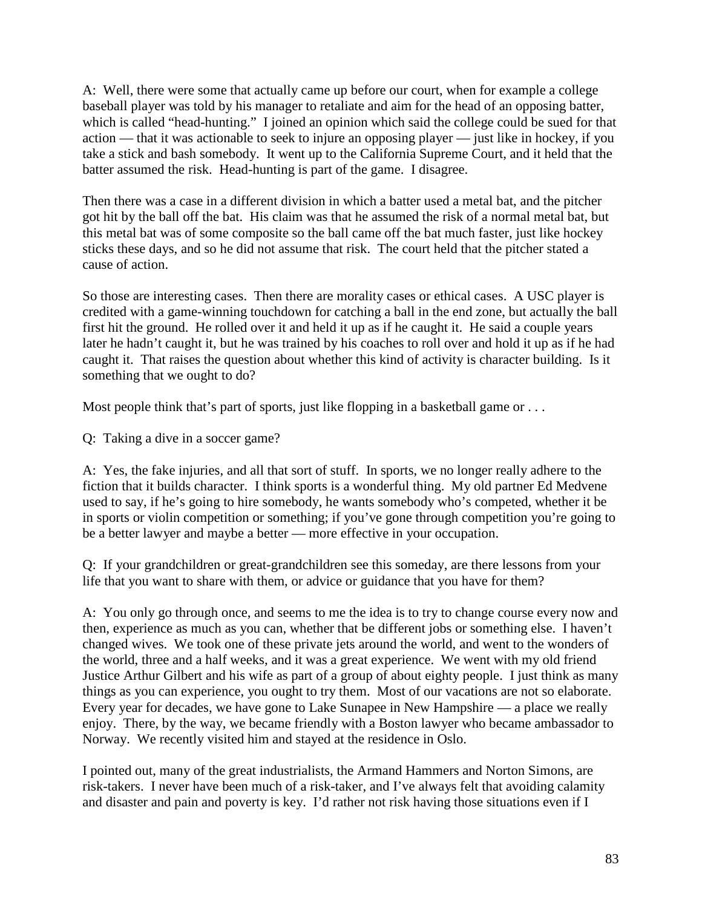A: Well, there were some that actually came up before our court, when for example a college baseball player was told by his manager to retaliate and aim for the head of an opposing batter, which is called "head-hunting." I joined an opinion which said the college could be sued for that action — that it was actionable to seek to injure an opposing player — just like in hockey, if you take a stick and bash somebody. It went up to the California Supreme Court, and it held that the batter assumed the risk. Head-hunting is part of the game. I disagree.

Then there was a case in a different division in which a batter used a metal bat, and the pitcher got hit by the ball off the bat. His claim was that he assumed the risk of a normal metal bat, but this metal bat was of some composite so the ball came off the bat much faster, just like hockey sticks these days, and so he did not assume that risk. The court held that the pitcher stated a cause of action.

So those are interesting cases. Then there are morality cases or ethical cases. A USC player is credited with a game-winning touchdown for catching a ball in the end zone, but actually the ball first hit the ground. He rolled over it and held it up as if he caught it. He said a couple years later he hadn't caught it, but he was trained by his coaches to roll over and hold it up as if he had caught it. That raises the question about whether this kind of activity is character building. Is it something that we ought to do?

Most people think that's part of sports, just like flopping in a basketball game or ...

Q: Taking a dive in a soccer game?

A: Yes, the fake injuries, and all that sort of stuff. In sports, we no longer really adhere to the fiction that it builds character. I think sports is a wonderful thing. My old partner Ed Medvene used to say, if he's going to hire somebody, he wants somebody who's competed, whether it be in sports or violin competition or something; if you've gone through competition you're going to be a better lawyer and maybe a better — more effective in your occupation.

Q: If your grandchildren or great-grandchildren see this someday, are there lessons from your life that you want to share with them, or advice or guidance that you have for them?

A: You only go through once, and seems to me the idea is to try to change course every now and then, experience as much as you can, whether that be different jobs or something else. I haven't changed wives. We took one of these private jets around the world, and went to the wonders of the world, three and a half weeks, and it was a great experience. We went with my old friend Justice Arthur Gilbert and his wife as part of a group of about eighty people. I just think as many things as you can experience, you ought to try them. Most of our vacations are not so elaborate. Every year for decades, we have gone to Lake Sunapee in New Hampshire — a place we really enjoy. There, by the way, we became friendly with a Boston lawyer who became ambassador to Norway. We recently visited him and stayed at the residence in Oslo.

I pointed out, many of the great industrialists, the Armand Hammers and Norton Simons, are risk-takers. I never have been much of a risk-taker, and I've always felt that avoiding calamity and disaster and pain and poverty is key. I'd rather not risk having those situations even if I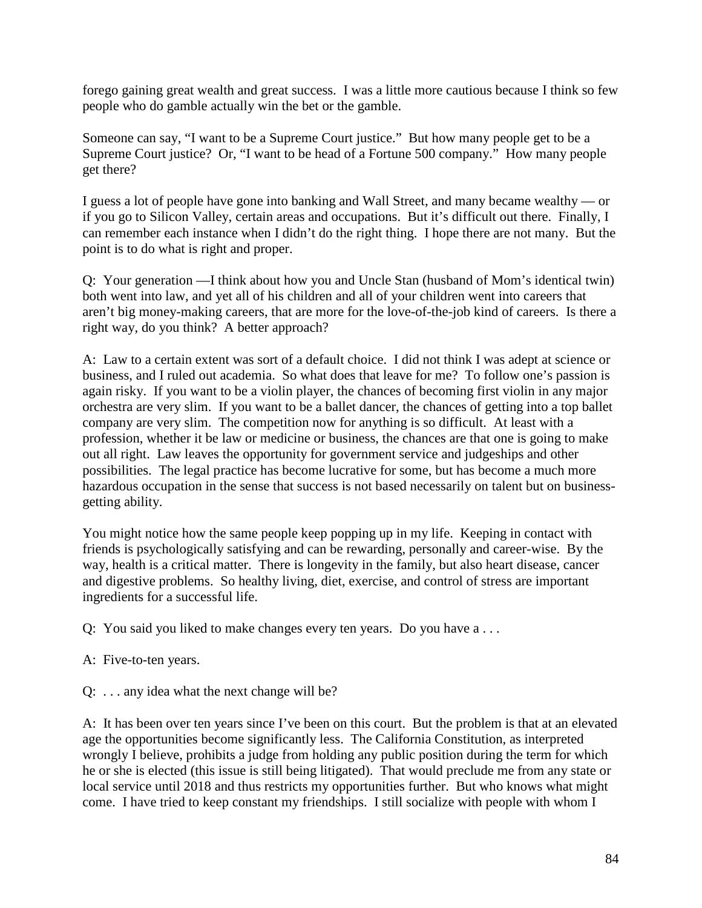forego gaining great wealth and great success. I was a little more cautious because I think so few people who do gamble actually win the bet or the gamble.

Someone can say, "I want to be a Supreme Court justice." But how many people get to be a Supreme Court justice? Or, "I want to be head of a Fortune 500 company." How many people get there?

I guess a lot of people have gone into banking and Wall Street, and many became wealthy — or if you go to Silicon Valley, certain areas and occupations. But it's difficult out there. Finally, I can remember each instance when I didn't do the right thing. I hope there are not many. But the point is to do what is right and proper.

Q: Your generation —I think about how you and Uncle Stan (husband of Mom's identical twin) both went into law, and yet all of his children and all of your children went into careers that aren't big money-making careers, that are more for the love-of-the-job kind of careers. Is there a right way, do you think? A better approach?

A: Law to a certain extent was sort of a default choice. I did not think I was adept at science or business, and I ruled out academia. So what does that leave for me? To follow one's passion is again risky. If you want to be a violin player, the chances of becoming first violin in any major orchestra are very slim. If you want to be a ballet dancer, the chances of getting into a top ballet company are very slim. The competition now for anything is so difficult. At least with a profession, whether it be law or medicine or business, the chances are that one is going to make out all right. Law leaves the opportunity for government service and judgeships and other possibilities. The legal practice has become lucrative for some, but has become a much more hazardous occupation in the sense that success is not based necessarily on talent but on businessgetting ability.

You might notice how the same people keep popping up in my life. Keeping in contact with friends is psychologically satisfying and can be rewarding, personally and career-wise. By the way, health is a critical matter. There is longevity in the family, but also heart disease, cancer and digestive problems. So healthy living, diet, exercise, and control of stress are important ingredients for a successful life.

Q: You said you liked to make changes every ten years. Do you have a . . .

- A: Five-to-ten years.
- Q: . . . any idea what the next change will be?

A: It has been over ten years since I've been on this court. But the problem is that at an elevated age the opportunities become significantly less. The California Constitution, as interpreted wrongly I believe, prohibits a judge from holding any public position during the term for which he or she is elected (this issue is still being litigated). That would preclude me from any state or local service until 2018 and thus restricts my opportunities further. But who knows what might come. I have tried to keep constant my friendships. I still socialize with people with whom I